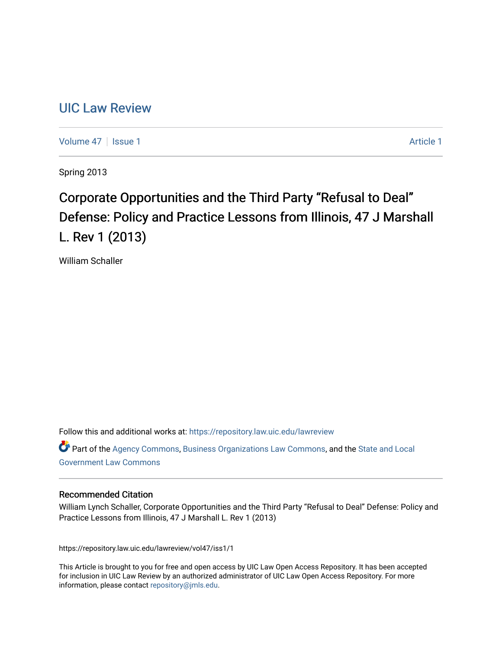# [UIC Law Review](https://repository.law.uic.edu/lawreview)

[Volume 47](https://repository.law.uic.edu/lawreview/vol47) | [Issue 1](https://repository.law.uic.edu/lawreview/vol47/iss1) Article 1

Spring 2013

# Corporate Opportunities and the Third Party "Refusal to Deal" Defense: Policy and Practice Lessons from Illinois, 47 J Marshall L. Rev 1 (2013)

William Schaller

Follow this and additional works at: [https://repository.law.uic.edu/lawreview](https://repository.law.uic.edu/lawreview?utm_source=repository.law.uic.edu%2Flawreview%2Fvol47%2Fiss1%2F1&utm_medium=PDF&utm_campaign=PDFCoverPages) 

Part of the [Agency Commons,](http://network.bepress.com/hgg/discipline/829?utm_source=repository.law.uic.edu%2Flawreview%2Fvol47%2Fiss1%2F1&utm_medium=PDF&utm_campaign=PDFCoverPages) [Business Organizations Law Commons](http://network.bepress.com/hgg/discipline/900?utm_source=repository.law.uic.edu%2Flawreview%2Fvol47%2Fiss1%2F1&utm_medium=PDF&utm_campaign=PDFCoverPages), and the [State and Local](http://network.bepress.com/hgg/discipline/879?utm_source=repository.law.uic.edu%2Flawreview%2Fvol47%2Fiss1%2F1&utm_medium=PDF&utm_campaign=PDFCoverPages) [Government Law Commons](http://network.bepress.com/hgg/discipline/879?utm_source=repository.law.uic.edu%2Flawreview%2Fvol47%2Fiss1%2F1&utm_medium=PDF&utm_campaign=PDFCoverPages) 

# Recommended Citation

William Lynch Schaller, Corporate Opportunities and the Third Party "Refusal to Deal" Defense: Policy and Practice Lessons from Illinois, 47 J Marshall L. Rev 1 (2013)

https://repository.law.uic.edu/lawreview/vol47/iss1/1

This Article is brought to you for free and open access by UIC Law Open Access Repository. It has been accepted for inclusion in UIC Law Review by an authorized administrator of UIC Law Open Access Repository. For more information, please contact [repository@jmls.edu.](mailto:repository@jmls.edu)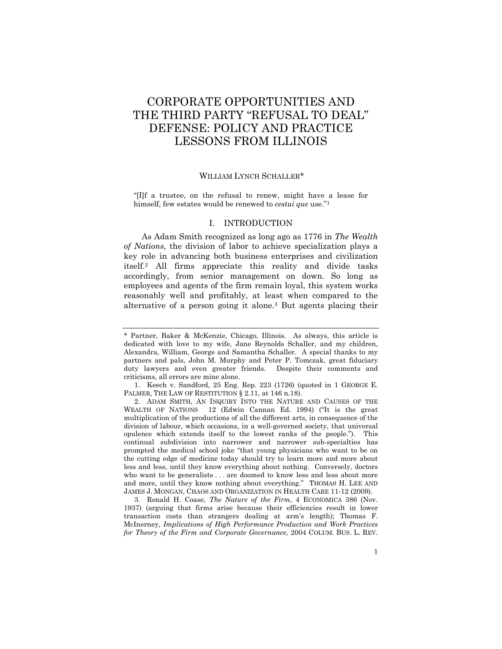# CORPORATE OPPORTUNITIES AND THE THIRD PARTY "REFUSAL TO DEAL" DEFENSE: POLICY AND PRACTICE LESSONS FROM ILLINOIS

# WILLIAM LYNCH SCHALLER\*

"[I]f a trustee, on the refusal to renew, might have a lease for himself, few estates would be renewed to *cestui que* use."1

# I. INTRODUCTION

As Adam Smith recognized as long ago as 1776 in *The Wealth of Nations*, the division of labor to achieve specialization plays a key role in advancing both business enterprises and civilization itself.2 All firms appreciate this reality and divide tasks accordingly, from senior management on down. So long as employees and agents of the firm remain loyal, this system works reasonably well and profitably, at least when compared to the alternative of a person going it alone.3 But agents placing their

<sup>\*</sup> Partner, Baker & McKenzie, Chicago, Illinois. As always, this article is dedicated with love to my wife, Jane Reynolds Schaller, and my children, Alexandra, William, George and Samantha Schaller. A special thanks to my partners and pals, John M. Murphy and Peter P. Tomczak, great fiduciary duty lawyers and even greater friends. Despite their comments and criticisms, all errors are mine alone.

 <sup>1.</sup> Keech v. Sandford, 25 Eng. Rep. 223 (1726) (quoted in 1 GEORGE E. PALMER, THE LAW OF RESTITUTION § 2.11, at 146 n.18).

 <sup>2.</sup> ADAM SMITH, AN INQUIRY INTO THE NATURE AND CAUSES OF THE WEALTH OF NATIONS 12 (Edwin Cannan Ed. 1994) ("It is the great multiplication of the productions of all the different arts, in consequence of the division of labour, which occasions, in a well-governed society, that universal opulence which extends itself to the lowest ranks of the people."). This continual subdivision into narrower and narrower sub-specialties has prompted the medical school joke "that young physicians who want to be on the cutting edge of medicine today should try to learn more and more about less and less, until they know everything about nothing. Conversely, doctors who want to be generalists . . . are doomed to know less and less about more and more, until they know nothing about everything." THOMAS H. LEE AND JAMES J. MONGAN, CHAOS AND ORGANIZATION IN HEALTH CARE 11-12 (2009).

 <sup>3.</sup> Ronald H. Coase, *The Nature of the Firm*, 4 ECONOMICA 386 (Nov. 1937) (arguing that firms arise because their efficiencies result in lower transaction costs than strangers dealing at arm's length); Thomas F. McInerney, *Implications of High Performance Production and Work Practices for Theory of the Firm and Corporate Governance*, 2004 COLUM. BUS. L. REV.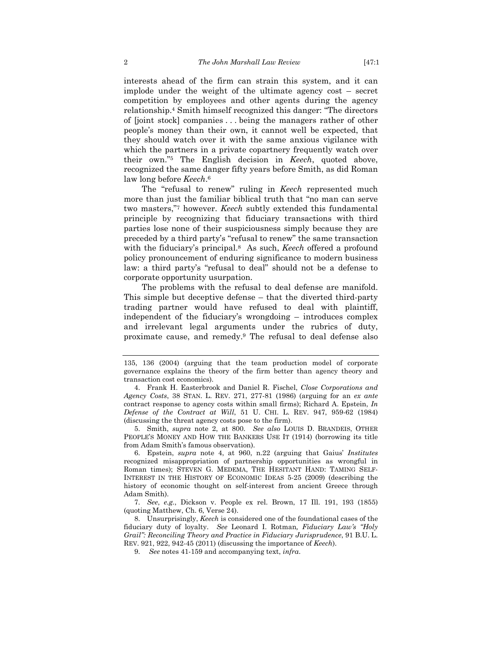interests ahead of the firm can strain this system, and it can implode under the weight of the ultimate agency cost – secret competition by employees and other agents during the agency relationship.4 Smith himself recognized this danger: "The directors of [joint stock] companies . . . being the managers rather of other people's money than their own, it cannot well be expected, that they should watch over it with the same anxious vigilance with which the partners in a private copartnery frequently watch over their own."5 The English decision in *Keech*, quoted above, recognized the same danger fifty years before Smith, as did Roman law long before *Keech*.6

The "refusal to renew" ruling in *Keech* represented much more than just the familiar biblical truth that "no man can serve two masters,"7 however. *Keech* subtly extended this fundamental principle by recognizing that fiduciary transactions with third parties lose none of their suspiciousness simply because they are preceded by a third party's "refusal to renew" the same transaction with the fiduciary's principal.8 As such, *Keech* offered a profound policy pronouncement of enduring significance to modern business law: a third party's "refusal to deal" should not be a defense to corporate opportunity usurpation.

The problems with the refusal to deal defense are manifold. This simple but deceptive defense – that the diverted third-party trading partner would have refused to deal with plaintiff, independent of the fiduciary's wrongdoing – introduces complex and irrelevant legal arguments under the rubrics of duty, proximate cause, and remedy.9 The refusal to deal defense also

 5. Smith, *supra* note 2, at 800. *See also* LOUIS D. BRANDEIS, OTHER PEOPLE'S MONEY AND HOW THE BANKERS USE IT (1914) (borrowing its title from Adam Smith's famous observation).

 6. Epstein, *supra* note 4, at 960, n.22 (arguing that Gaius' *Institutes* recognized misappropriation of partnership opportunities as wrongful in Roman times); STEVEN G. MEDEMA, THE HESITANT HAND: TAMING SELF-INTEREST IN THE HISTORY OF ECONOMIC IDEAS 5-25 (2009) (describing the history of economic thought on self-interest from ancient Greece through Adam Smith).

 7. *See*, *e.g.*, Dickson v. People ex rel. Brown, 17 Ill. 191, 193 (1855) (quoting Matthew, Ch. 6, Verse 24).

 8. Unsurprisingly, *Keech* is considered one of the foundational cases of the fiduciary duty of loyalty. *See* Leonard I. Rotman*, Fiduciary Law's "Holy Grail": Reconciling Theory and Practice in Fiduciary Jurisprudence*, 91 B.U. L. REV. 921, 922, 942-45 (2011) (discussing the importance of *Keech*).

9. *See* notes 41-159 and accompanying text, *infra*.

<sup>135, 136 (2004) (</sup>arguing that the team production model of corporate governance explains the theory of the firm better than agency theory and transaction cost economics).

 <sup>4.</sup> Frank H. Easterbrook and Daniel R. Fischel, *Close Corporations and Agency Costs*, 38 STAN. L. REV. 271, 277-81 (1986) (arguing for an *ex ante* contract response to agency costs within small firms); Richard A. Epstein, *In Defense of the Contract at Will*, 51 U. CHI. L. REV. 947, 959-62 (1984) (discussing the threat agency costs pose to the firm).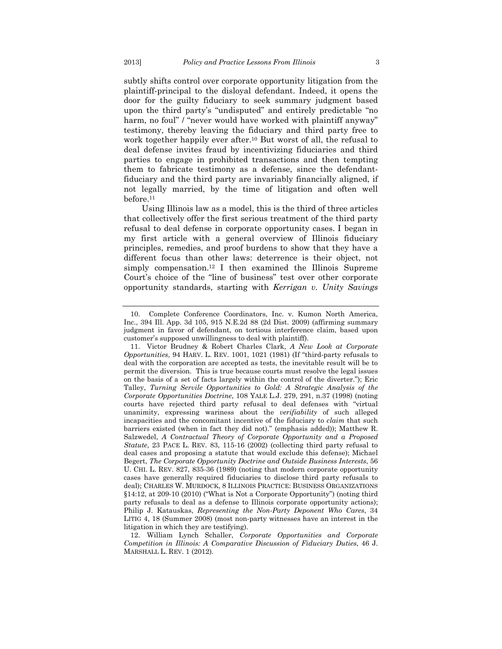subtly shifts control over corporate opportunity litigation from the plaintiff-principal to the disloyal defendant. Indeed, it opens the door for the guilty fiduciary to seek summary judgment based upon the third party's "undisputed" and entirely predictable "no harm, no foul" / "never would have worked with plaintiff anyway" testimony, thereby leaving the fiduciary and third party free to work together happily ever after.10 But worst of all, the refusal to deal defense invites fraud by incentivizing fiduciaries and third parties to engage in prohibited transactions and then tempting them to fabricate testimony as a defense, since the defendantfiduciary and the third party are invariably financially aligned, if not legally married, by the time of litigation and often well before.11

Using Illinois law as a model, this is the third of three articles that collectively offer the first serious treatment of the third party refusal to deal defense in corporate opportunity cases. I began in my first article with a general overview of Illinois fiduciary principles, remedies, and proof burdens to show that they have a different focus than other laws: deterrence is their object, not simply compensation.12 I then examined the Illinois Supreme Court's choice of the "line of business" test over other corporate opportunity standards, starting with *Kerrigan v. Unity Savings* 

 <sup>10.</sup> Complete Conference Coordinators, Inc. v. Kumon North America, Inc., 394 Ill. App. 3d 105, 915 N.E.2d 88 (2d Dist. 2009) (affirming summary judgment in favor of defendant, on tortious interference claim, based upon customer's supposed unwillingness to deal with plaintiff).

 <sup>11.</sup> Victor Brudney & Robert Charles Clark, *A New Look at Corporate Opportunities*, 94 HARV. L. REV. 1001, 1021 (1981) (If "third-party refusals to deal with the corporation are accepted as tests, the inevitable result will be to permit the diversion. This is true because courts must resolve the legal issues on the basis of a set of facts largely within the control of the diverter."); Eric Talley, *Turning Servile Opportunities to Gold: A Strategic Analysis of the Corporate Opportunities Doctrine*, 108 YALE L.J. 279, 291, n.37 (1998) (noting courts have rejected third party refusal to deal defenses with "virtual unanimity, expressing wariness about the *verifiability* of such alleged incapacities and the concomitant incentive of the fiduciary to *claim* that such barriers existed (when in fact they did not)." (emphasis added)); Matthew R. Salzwedel, *A Contractual Theory of Corporate Opportunity and a Proposed Statute*, 23 PACE L. REV. 83, 115-16 (2002) (collecting third party refusal to deal cases and proposing a statute that would exclude this defense); Michael Begert, *The Corporate Opportunity Doctrine and Outside Business Interests*, 56 U. CHI. L. REV. 827, 835-36 (1989) (noting that modern corporate opportunity cases have generally required fiduciaries to disclose third party refusals to deal); CHARLES W. MURDOCK, 8 ILLINOIS PRACTICE: BUSINESS ORGANIZATIONS §14:12, at 209-10 (2010) ("What is Not a Corporate Opportunity") (noting third party refusals to deal as a defense to Illinois corporate opportunity actions); Philip J. Katauskas, *Representing the Non-Party Deponent Who Cares*, 34 LITIG 4, 18 (Summer 2008) (most non-party witnesses have an interest in the litigation in which they are testifying).

 <sup>12.</sup> William Lynch Schaller, *Corporate Opportunities and Corporate Competition in Illinois: A Comparative Discussion of Fiduciary Duties*, 46 J. MARSHALL L. REV. 1 (2012).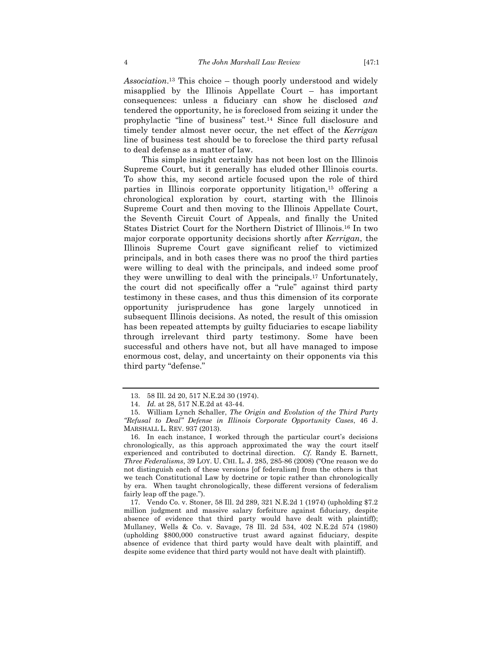*Association*.13 This choice – though poorly understood and widely misapplied by the Illinois Appellate Court – has important consequences: unless a fiduciary can show he disclosed *and* tendered the opportunity, he is foreclosed from seizing it under the prophylactic "line of business" test.14 Since full disclosure and timely tender almost never occur, the net effect of the *Kerrigan* line of business test should be to foreclose the third party refusal to deal defense as a matter of law.

This simple insight certainly has not been lost on the Illinois Supreme Court, but it generally has eluded other Illinois courts. To show this, my second article focused upon the role of third parties in Illinois corporate opportunity litigation,15 offering a chronological exploration by court, starting with the Illinois Supreme Court and then moving to the Illinois Appellate Court, the Seventh Circuit Court of Appeals, and finally the United States District Court for the Northern District of Illinois.16 In two major corporate opportunity decisions shortly after *Kerrigan*, the Illinois Supreme Court gave significant relief to victimized principals, and in both cases there was no proof the third parties were willing to deal with the principals, and indeed some proof they were unwilling to deal with the principals.17 Unfortunately, the court did not specifically offer a "rule" against third party testimony in these cases, and thus this dimension of its corporate opportunity jurisprudence has gone largely unnoticed in subsequent Illinois decisions. As noted, the result of this omission has been repeated attempts by guilty fiduciaries to escape liability through irrelevant third party testimony. Some have been successful and others have not, but all have managed to impose enormous cost, delay, and uncertainty on their opponents via this third party "defense."

 <sup>13. 58</sup> Ill. 2d 20, 517 N.E.2d 30 (1974).

 <sup>14.</sup> *Id.* at 28, 517 N.E.2d at 43-44.

 <sup>15.</sup> William Lynch Schaller, *The Origin and Evolution of the Third Party "Refusal to Deal" Defense in Illinois Corporate Opportunity Cases*, 46 J. MARSHALL L. REV. 937 (2013).

 <sup>16.</sup> In each instance, I worked through the particular court's decisions chronologically, as this approach approximated the way the court itself experienced and contributed to doctrinal direction. *Cf.* Randy E. Barnett, *Three Federalisms*, 39 LOY. U. CHI. L. J. 285, 285-86 (2008) ("One reason we do not distinguish each of these versions [of federalism] from the others is that we teach Constitutional Law by doctrine or topic rather than chronologically by era. When taught chronologically, these different versions of federalism fairly leap off the page.").

 <sup>17.</sup> Vendo Co. v. Stoner, 58 Ill. 2d 289, 321 N.E.2d 1 (1974) (upholding \$7.2 million judgment and massive salary forfeiture against fiduciary, despite absence of evidence that third party would have dealt with plaintiff); Mullaney, Wells & Co. v. Savage, 78 Ill. 2d 534, 402 N.E.2d 574 (1980) (upholding \$800,000 constructive trust award against fiduciary, despite absence of evidence that third party would have dealt with plaintiff, and despite some evidence that third party would not have dealt with plaintiff).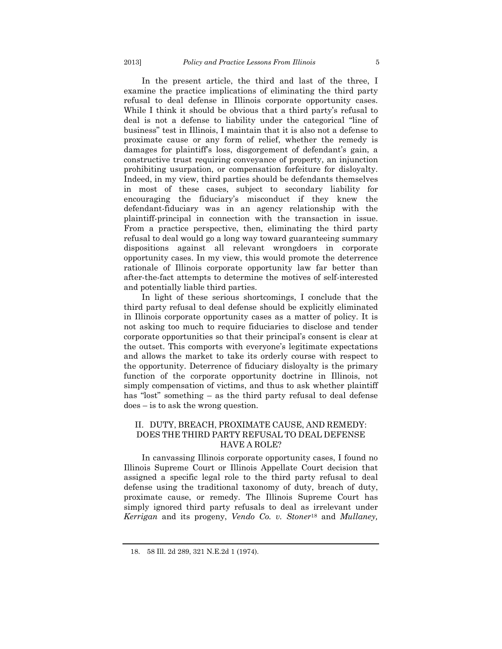In the present article, the third and last of the three, I examine the practice implications of eliminating the third party refusal to deal defense in Illinois corporate opportunity cases. While I think it should be obvious that a third party's refusal to deal is not a defense to liability under the categorical "line of business" test in Illinois, I maintain that it is also not a defense to proximate cause or any form of relief, whether the remedy is damages for plaintiff's loss, disgorgement of defendant's gain, a constructive trust requiring conveyance of property, an injunction prohibiting usurpation, or compensation forfeiture for disloyalty. Indeed, in my view, third parties should be defendants themselves in most of these cases, subject to secondary liability for encouraging the fiduciary's misconduct if they knew the defendant-fiduciary was in an agency relationship with the plaintiff-principal in connection with the transaction in issue. From a practice perspective, then, eliminating the third party refusal to deal would go a long way toward guaranteeing summary dispositions against all relevant wrongdoers in corporate opportunity cases. In my view, this would promote the deterrence rationale of Illinois corporate opportunity law far better than after-the-fact attempts to determine the motives of self-interested and potentially liable third parties.

In light of these serious shortcomings, I conclude that the third party refusal to deal defense should be explicitly eliminated in Illinois corporate opportunity cases as a matter of policy. It is not asking too much to require fiduciaries to disclose and tender corporate opportunities so that their principal's consent is clear at the outset. This comports with everyone's legitimate expectations and allows the market to take its orderly course with respect to the opportunity. Deterrence of fiduciary disloyalty is the primary function of the corporate opportunity doctrine in Illinois, not simply compensation of victims, and thus to ask whether plaintiff has "lost" something – as the third party refusal to deal defense does – is to ask the wrong question.

# II. DUTY, BREACH, PROXIMATE CAUSE, AND REMEDY: DOES THE THIRD PARTY REFUSAL TO DEAL DEFENSE HAVE A ROLE?

In canvassing Illinois corporate opportunity cases, I found no Illinois Supreme Court or Illinois Appellate Court decision that assigned a specific legal role to the third party refusal to deal defense using the traditional taxonomy of duty, breach of duty, proximate cause, or remedy. The Illinois Supreme Court has simply ignored third party refusals to deal as irrelevant under *Kerrigan* and its progeny, *Vendo Co. v. Stoner*18 and *Mullaney,* 

 <sup>18. 58</sup> Ill. 2d 289, 321 N.E.2d 1 (1974).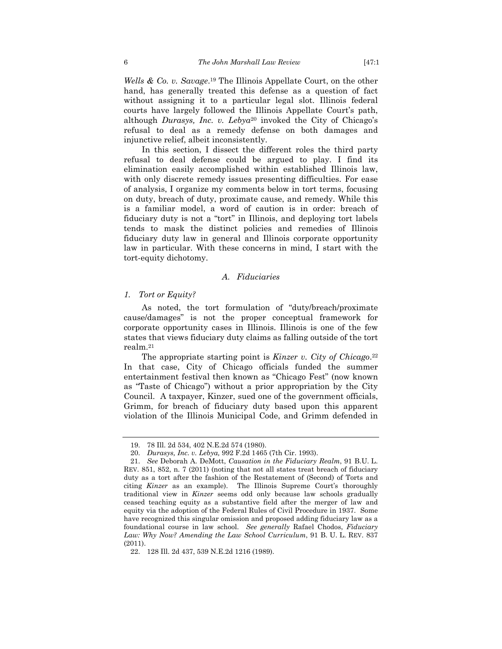*Wells & Co. v. Savage*.19 The Illinois Appellate Court, on the other hand, has generally treated this defense as a question of fact without assigning it to a particular legal slot. Illinois federal courts have largely followed the Illinois Appellate Court's path, although *Durasys, Inc. v. Lebya*<sup>20</sup> invoked the City of Chicago's refusal to deal as a remedy defense on both damages and injunctive relief, albeit inconsistently.

In this section, I dissect the different roles the third party refusal to deal defense could be argued to play. I find its elimination easily accomplished within established Illinois law, with only discrete remedy issues presenting difficulties. For ease of analysis, I organize my comments below in tort terms, focusing on duty, breach of duty, proximate cause, and remedy. While this is a familiar model, a word of caution is in order: breach of fiduciary duty is not a "tort" in Illinois, and deploying tort labels tends to mask the distinct policies and remedies of Illinois fiduciary duty law in general and Illinois corporate opportunity law in particular. With these concerns in mind, I start with the tort-equity dichotomy.

#### *A. Fiduciaries*

#### *1. Tort or Equity?*

As noted, the tort formulation of "duty/breach/proximate cause/damages" is not the proper conceptual framework for corporate opportunity cases in Illinois. Illinois is one of the few states that views fiduciary duty claims as falling outside of the tort realm.21

The appropriate starting point is *Kinzer v. City of Chicago*.<sup>22</sup> In that case, City of Chicago officials funded the summer entertainment festival then known as "Chicago Fest" (now known as "Taste of Chicago") without a prior appropriation by the City Council. A taxpayer, Kinzer, sued one of the government officials, Grimm, for breach of fiduciary duty based upon this apparent violation of the Illinois Municipal Code, and Grimm defended in

 <sup>19. 78</sup> Ill. 2d 534, 402 N.E.2d 574 (1980).

 <sup>20.</sup> *Durasys, Inc. v. Lebya,* 992 F.2d 1465 (7th Cir. 1993).

 <sup>21.</sup> *See* Deborah A. DeMott, *Causation in the Fiduciary Realm*, 91 B.U. L. REV. 851, 852, n. 7 (2011) (noting that not all states treat breach of fiduciary duty as a tort after the fashion of the Restatement of (Second) of Torts and citing *Kinzer* as an example). The Illinois Supreme Court's thoroughly traditional view in *Kinzer* seems odd only because law schools gradually ceased teaching equity as a substantive field after the merger of law and equity via the adoption of the Federal Rules of Civil Procedure in 1937. Some have recognized this singular omission and proposed adding fiduciary law as a foundational course in law school. *See generally* Rafael Chodos, *Fiduciary Law: Why Now? Amending the Law School Curriculum*, 91 B. U. L. REV. 837 (2011).

 <sup>22. 128</sup> Ill. 2d 437, 539 N.E.2d 1216 (1989).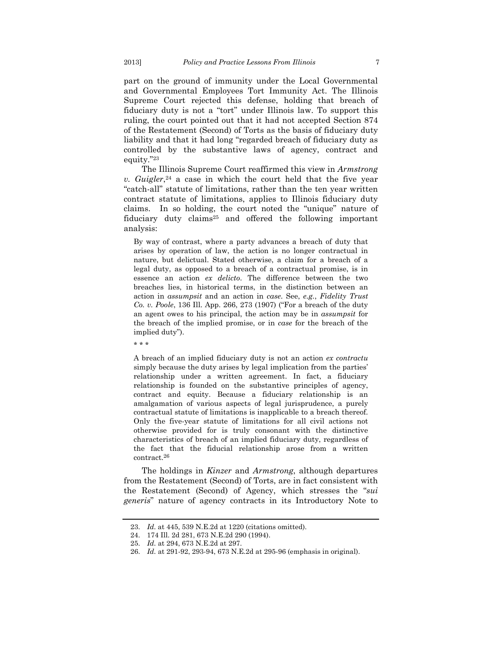part on the ground of immunity under the Local Governmental and Governmental Employees Tort Immunity Act. The Illinois Supreme Court rejected this defense, holding that breach of fiduciary duty is not a "tort" under Illinois law. To support this ruling, the court pointed out that it had not accepted Section 874 of the Restatement (Second) of Torts as the basis of fiduciary duty liability and that it had long "regarded breach of fiduciary duty as controlled by the substantive laws of agency, contract and equity."23

The Illinois Supreme Court reaffirmed this view in *Armstrong v. Guigler*,24 a case in which the court held that the five year "catch-all" statute of limitations, rather than the ten year written contract statute of limitations, applies to Illinois fiduciary duty claims. In so holding, the court noted the "unique" nature of fiduciary duty claims25 and offered the following important analysis:

By way of contrast, where a party advances a breach of duty that arises by operation of law, the action is no longer contractual in nature, but delictual. Stated otherwise, a claim for a breach of a legal duty, as opposed to a breach of a contractual promise, is in essence an action *ex delicto*. The difference between the two breaches lies, in historical terms, in the distinction between an action in *assumpsit* and an action in *case*. See, *e.g.*, *Fidelity Trust Co. v. Poole*, 136 Ill. App. 266, 273 (1907) ("For a breach of the duty an agent owes to his principal, the action may be in *assumpsit* for the breach of the implied promise, or in *case* for the breach of the implied duty").

\* \* \*

A breach of an implied fiduciary duty is not an action *ex contractu* simply because the duty arises by legal implication from the parties' relationship under a written agreement. In fact, a fiduciary relationship is founded on the substantive principles of agency, contract and equity. Because a fiduciary relationship is an amalgamation of various aspects of legal jurisprudence, a purely contractual statute of limitations is inapplicable to a breach thereof. Only the five-year statute of limitations for all civil actions not otherwise provided for is truly consonant with the distinctive characteristics of breach of an implied fiduciary duty, regardless of the fact that the fiducial relationship arose from a written contract.26

The holdings in *Kinzer* and *Armstrong*, although departures from the Restatement (Second) of Torts, are in fact consistent with the Restatement (Second) of Agency, which stresses the "*sui generis*" nature of agency contracts in its Introductory Note to

 <sup>23.</sup> *Id.* at 445, 539 N.E.2d at 1220 (citations omitted).

 <sup>24. 174</sup> Ill. 2d 281, 673 N.E.2d 290 (1994).

 <sup>25.</sup> *Id.* at 294, 673 N.E.2d at 297.

 <sup>26.</sup> *Id.* at 291-92, 293-94, 673 N.E.2d at 295-96 (emphasis in original).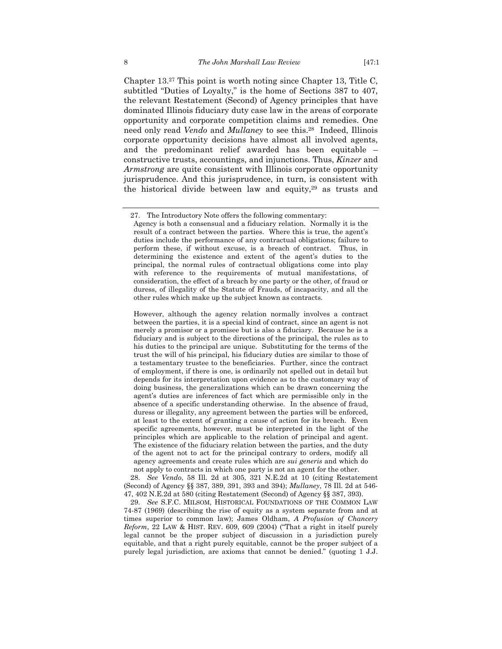Chapter 13.27 This point is worth noting since Chapter 13, Title C, subtitled "Duties of Loyalty," is the home of Sections 387 to 407, the relevant Restatement (Second) of Agency principles that have dominated Illinois fiduciary duty case law in the areas of corporate opportunity and corporate competition claims and remedies. One need only read *Vendo* and *Mullaney* to see this.28 Indeed, Illinois corporate opportunity decisions have almost all involved agents, and the predominant relief awarded has been equitable – constructive trusts, accountings, and injunctions. Thus, *Kinzer* and *Armstrong* are quite consistent with Illinois corporate opportunity jurisprudence. And this jurisprudence, in turn, is consistent with the historical divide between law and equity,29 as trusts and

However, although the agency relation normally involves a contract between the parties, it is a special kind of contract, since an agent is not merely a promisor or a promisee but is also a fiduciary. Because he is a fiduciary and is subject to the directions of the principal, the rules as to his duties to the principal are unique. Substituting for the terms of the trust the will of his principal, his fiduciary duties are similar to those of a testamentary trustee to the beneficiaries. Further, since the contract of employment, if there is one, is ordinarily not spelled out in detail but depends for its interpretation upon evidence as to the customary way of doing business, the generalizations which can be drawn concerning the agent's duties are inferences of fact which are permissible only in the absence of a specific understanding otherwise. In the absence of fraud, duress or illegality, any agreement between the parties will be enforced, at least to the extent of granting a cause of action for its breach. Even specific agreements, however, must be interpreted in the light of the principles which are applicable to the relation of principal and agent. The existence of the fiduciary relation between the parties, and the duty of the agent not to act for the principal contrary to orders, modify all agency agreements and create rules which are *sui generis* and which do not apply to contracts in which one party is not an agent for the other.

 28. *See Vendo*, 58 Ill. 2d at 305, 321 N.E.2d at 10 (citing Restatement (Second) of Agency §§ 387, 389, 391, 393 and 394); *Mullaney*, 78 Ill. 2d at 546- 47, 402 N.E.2d at 580 (citing Restatement (Second) of Agency §§ 387, 393).

 29. *See* S.F.C. MILSOM, HISTORICAL FOUNDATIONS OF THE COMMON LAW 74-87 (1969) (describing the rise of equity as a system separate from and at times superior to common law); James Oldham, *A Profusion of Chancery Reform*, 22 LAW & HIST. REV. 609, 609 (2004) ("That a right in itself purely legal cannot be the proper subject of discussion in a jurisdiction purely equitable, and that a right purely equitable, cannot be the proper subject of a purely legal jurisdiction, are axioms that cannot be denied." (quoting 1 J.J.

 <sup>27.</sup> The Introductory Note offers the following commentary:

Agency is both a consensual and a fiduciary relation. Normally it is the result of a contract between the parties. Where this is true, the agent's duties include the performance of any contractual obligations; failure to perform these, if without excuse, is a breach of contract. Thus, in determining the existence and extent of the agent's duties to the principal, the normal rules of contractual obligations come into play with reference to the requirements of mutual manifestations, of consideration, the effect of a breach by one party or the other, of fraud or duress, of illegality of the Statute of Frauds, of incapacity, and all the other rules which make up the subject known as contracts.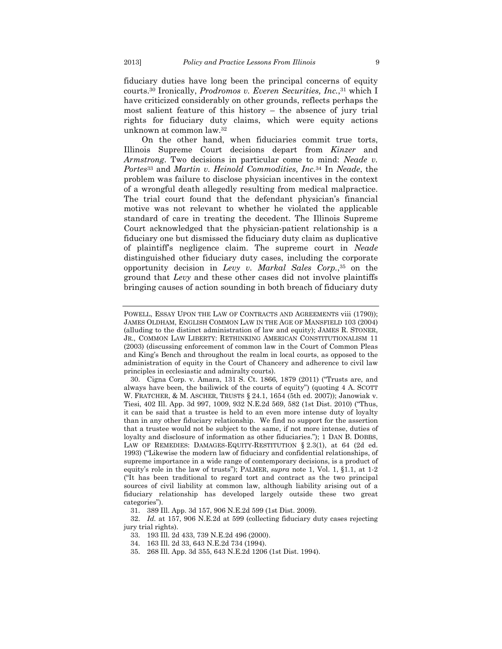fiduciary duties have long been the principal concerns of equity courts.30 Ironically, *Prodromos v. Everen Securities, Inc.*,31 which I have criticized considerably on other grounds, reflects perhaps the most salient feature of this history – the absence of jury trial rights for fiduciary duty claims, which were equity actions unknown at common law.32

On the other hand, when fiduciaries commit true torts, Illinois Supreme Court decisions depart from *Kinzer* and *Armstrong*. Two decisions in particular come to mind: *Neade v. Portes*33 and *Martin v. Heinold Commodities, Inc.*34 In *Neade*, the problem was failure to disclose physician incentives in the context of a wrongful death allegedly resulting from medical malpractice. The trial court found that the defendant physician's financial motive was not relevant to whether he violated the applicable standard of care in treating the decedent. The Illinois Supreme Court acknowledged that the physician-patient relationship is a fiduciary one but dismissed the fiduciary duty claim as duplicative of plaintiff's negligence claim. The supreme court in *Neade* distinguished other fiduciary duty cases, including the corporate opportunity decision in *Levy v. Markal Sales Corp.*,35 on the ground that *Levy* and these other cases did not involve plaintiffs bringing causes of action sounding in both breach of fiduciary duty

POWELL, ESSAY UPON THE LAW OF CONTRACTS AND AGREEMENTS viii (1790)); JAMES OLDHAM, ENGLISH COMMON LAW IN THE AGE OF MANSFIELD 103 (2004) (alluding to the distinct administration of law and equity); JAMES R. STONER, JR., COMMON LAW LIBERTY: RETHINKING AMERICAN CONSTITUTIONALISM 11 (2003) (discussing enforcement of common law in the Court of Common Pleas and King's Bench and throughout the realm in local courts, as opposed to the administration of equity in the Court of Chancery and adherence to civil law principles in ecclesiastic and admiralty courts).

 <sup>30.</sup> Cigna Corp. v. Amara, 131 S. Ct. 1866, 1879 (2011) ("Trusts are, and always have been, the bailiwick of the courts of equity") (quoting 4 A. SCOTT W. FRATCHER, & M. ASCHER, TRUSTS § 24.1, 1654 (5th ed. 2007)); Janowiak v. Tiesi, 402 Ill. App. 3d 997, 1009, 932 N.E.2d 569, 582 (1st Dist. 2010) ("Thus, it can be said that a trustee is held to an even more intense duty of loyalty than in any other fiduciary relationship. We find no support for the assertion that a trustee would not be subject to the same, if not more intense, duties of loyalty and disclosure of information as other fiduciaries."); 1 DAN B. DOBBS, LAW OF REMEDIES: DAMAGES-EQUITY-RESTITUTION § 2.3(1), at 64 (2d ed. 1993) ("Likewise the modern law of fiduciary and confidential relationships, of supreme importance in a wide range of contemporary decisions, is a product of equity's role in the law of trusts"); PALMER, *supra* note 1, Vol. 1, §1.1, at 1-2 ("It has been traditional to regard tort and contract as the two principal sources of civil liability at common law, although liability arising out of a fiduciary relationship has developed largely outside these two great categories").

 <sup>31. 389</sup> Ill. App. 3d 157, 906 N.E.2d 599 (1st Dist. 2009).

 <sup>32.</sup> *Id.* at 157, 906 N.E.2d at 599 (collecting fiduciary duty cases rejecting jury trial rights).

 <sup>33. 193</sup> Ill. 2d 433, 739 N.E.2d 496 (2000).

 <sup>34. 163</sup> Ill. 2d 33, 643 N.E.2d 734 (1994).

 <sup>35. 268</sup> Ill. App. 3d 355, 643 N.E.2d 1206 (1st Dist. 1994).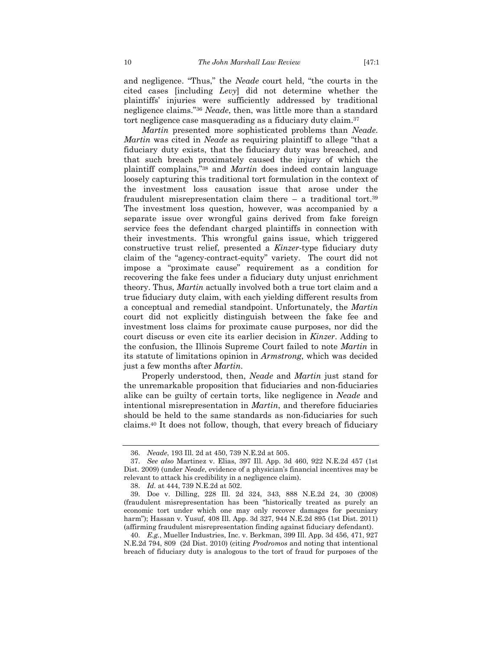and negligence. "Thus," the *Neade* court held, "the courts in the cited cases [including *Levy*] did not determine whether the plaintiffs' injuries were sufficiently addressed by traditional negligence claims."36 *Neade*, then, was little more than a standard tort negligence case masquerading as a fiduciary duty claim.37

*Martin* presented more sophisticated problems than *Neade*. *Martin* was cited in *Neade* as requiring plaintiff to allege "that a fiduciary duty exists, that the fiduciary duty was breached, and that such breach proximately caused the injury of which the plaintiff complains,"38 and *Martin* does indeed contain language loosely capturing this traditional tort formulation in the context of the investment loss causation issue that arose under the fraudulent misrepresentation claim there  $-$  a traditional tort.<sup>39</sup> The investment loss question, however, was accompanied by a separate issue over wrongful gains derived from fake foreign service fees the defendant charged plaintiffs in connection with their investments. This wrongful gains issue, which triggered constructive trust relief, presented a *Kinzer*-type fiduciary duty claim of the "agency-contract-equity" variety. The court did not impose a "proximate cause" requirement as a condition for recovering the fake fees under a fiduciary duty unjust enrichment theory. Thus, *Martin* actually involved both a true tort claim and a true fiduciary duty claim, with each yielding different results from a conceptual and remedial standpoint. Unfortunately, the *Martin* court did not explicitly distinguish between the fake fee and investment loss claims for proximate cause purposes, nor did the court discuss or even cite its earlier decision in *Kinzer*. Adding to the confusion, the Illinois Supreme Court failed to note *Martin* in its statute of limitations opinion in *Armstrong*, which was decided just a few months after *Martin*.

Properly understood, then, *Neade* and *Martin* just stand for the unremarkable proposition that fiduciaries and non-fiduciaries alike can be guilty of certain torts, like negligence in *Neade* and intentional misrepresentation in *Martin*, and therefore fiduciaries should be held to the same standards as non-fiduciaries for such claims.40 It does not follow, though, that every breach of fiduciary

 <sup>36.</sup> *Neade*, 193 Ill. 2d at 450, 739 N.E.2d at 505.

 <sup>37.</sup> *See also* Martinez v. Elias, 397 Ill. App. 3d 460, 922 N.E.2d 457 (1st Dist. 2009) (under *Neade*, evidence of a physician's financial incentives may be relevant to attack his credibility in a negligence claim).

 <sup>38.</sup> *Id.* at 444, 739 N.E.2d at 502.

 <sup>39.</sup> Doe v. Dilling, 228 Ill. 2d 324, 343, 888 N.E.2d 24, 30 (2008) (fraudulent misrepresentation has been "historically treated as purely an economic tort under which one may only recover damages for pecuniary harm"); Hassan v. Yusuf, 408 Ill. App. 3d 327, 944 N.E.2d 895 (1st Dist. 2011) (affirming fraudulent misrepresentation finding against fiduciary defendant).

 <sup>40.</sup> *E.g.*, Mueller Industries, Inc. v. Berkman, 399 Ill. App. 3d 456, 471, 927 N.E.2d 794, 809 (2d Dist. 2010) (citing *Prodromos* and noting that intentional breach of fiduciary duty is analogous to the tort of fraud for purposes of the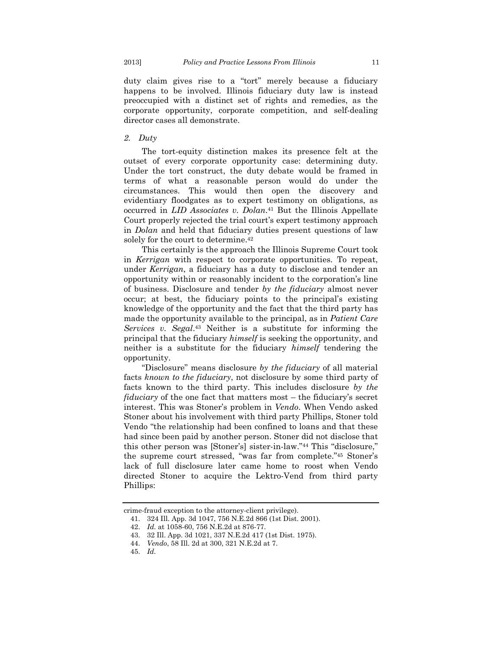duty claim gives rise to a "tort" merely because a fiduciary happens to be involved. Illinois fiduciary duty law is instead preoccupied with a distinct set of rights and remedies, as the corporate opportunity, corporate competition, and self-dealing director cases all demonstrate.

*2. Duty* 

The tort-equity distinction makes its presence felt at the outset of every corporate opportunity case: determining duty. Under the tort construct, the duty debate would be framed in terms of what a reasonable person would do under the circumstances. This would then open the discovery and evidentiary floodgates as to expert testimony on obligations, as occurred in *LID Associates v. Dolan*.41 But the Illinois Appellate Court properly rejected the trial court's expert testimony approach in *Dolan* and held that fiduciary duties present questions of law solely for the court to determine.<sup>42</sup>

This certainly is the approach the Illinois Supreme Court took in *Kerrigan* with respect to corporate opportunities. To repeat, under *Kerrigan*, a fiduciary has a duty to disclose and tender an opportunity within or reasonably incident to the corporation's line of business. Disclosure and tender *by the fiduciary* almost never occur; at best, the fiduciary points to the principal's existing knowledge of the opportunity and the fact that the third party has made the opportunity available to the principal, as in *Patient Care Services v. Segal*.43 Neither is a substitute for informing the principal that the fiduciary *himself* is seeking the opportunity, and neither is a substitute for the fiduciary *himself* tendering the opportunity.

"Disclosure" means disclosure *by the fiduciary* of all material facts *known to the fiduciary*, not disclosure by some third party of facts known to the third party. This includes disclosure *by the fiduciary* of the one fact that matters most – the fiduciary's secret interest. This was Stoner's problem in *Vendo*. When Vendo asked Stoner about his involvement with third party Phillips, Stoner told Vendo "the relationship had been confined to loans and that these had since been paid by another person. Stoner did not disclose that this other person was [Stoner's] sister-in-law."44 This "disclosure," the supreme court stressed, "was far from complete."45 Stoner's lack of full disclosure later came home to roost when Vendo directed Stoner to acquire the Lektro-Vend from third party Phillips:

crime-fraud exception to the attorney-client privilege).

 <sup>41. 324</sup> Ill. App. 3d 1047, 756 N.E.2d 866 (1st Dist. 2001).

 <sup>42.</sup> *Id.* at 1058-60, 756 N.E.2d at 876-77.

 <sup>43. 32</sup> Ill. App. 3d 1021, 337 N.E.2d 417 (1st Dist. 1975).

 <sup>44.</sup> *Vendo*, 58 Ill. 2d at 300, 321 N.E.2d at 7.

 <sup>45.</sup> *Id.*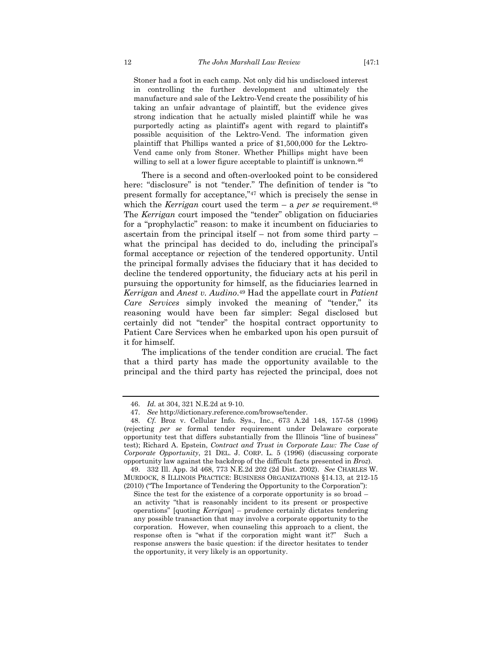Stoner had a foot in each camp. Not only did his undisclosed interest in controlling the further development and ultimately the manufacture and sale of the Lektro-Vend create the possibility of his taking an unfair advantage of plaintiff, but the evidence gives strong indication that he actually misled plaintiff while he was purportedly acting as plaintiff's agent with regard to plaintiff's possible acquisition of the Lektro-Vend. The information given plaintiff that Phillips wanted a price of \$1,500,000 for the Lektro-Vend came only from Stoner. Whether Phillips might have been willing to sell at a lower figure acceptable to plaintiff is unknown.<sup>46</sup>

There is a second and often-overlooked point to be considered here: "disclosure" is not "tender." The definition of tender is "to present formally for acceptance,"47 which is precisely the sense in which the *Kerrigan* court used the term – a *per se* requirement.<sup>48</sup> The *Kerrigan* court imposed the "tender" obligation on fiduciaries for a "prophylactic" reason: to make it incumbent on fiduciaries to ascertain from the principal itself – not from some third party – what the principal has decided to do, including the principal's formal acceptance or rejection of the tendered opportunity. Until the principal formally advises the fiduciary that it has decided to decline the tendered opportunity, the fiduciary acts at his peril in pursuing the opportunity for himself, as the fiduciaries learned in *Kerrigan* and *Anest v. Audino*.49 Had the appellate court in *Patient Care Services* simply invoked the meaning of "tender," its reasoning would have been far simpler: Segal disclosed but certainly did not "tender" the hospital contract opportunity to Patient Care Services when he embarked upon his open pursuit of it for himself.

The implications of the tender condition are crucial. The fact that a third party has made the opportunity available to the principal and the third party has rejected the principal, does not

 <sup>46.</sup> *Id.* at 304, 321 N.E.2d at 9-10.

 <sup>47.</sup> *See* http://dictionary.reference.com/browse/tender.

 <sup>48.</sup> *Cf.* Broz v. Cellular Info. Sys., Inc., 673 A.2d 148, 157-58 (1996) (rejecting *per se* formal tender requirement under Delaware corporate opportunity test that differs substantially from the Illinois "line of business" test); Richard A. Epstein, *Contract and Trust in Corporate Law: The Case of Corporate Opportunity*, 21 DEL. J. CORP. L. 5 (1996) (discussing corporate opportunity law against the backdrop of the difficult facts presented in *Broz*).

 <sup>49. 332</sup> Ill. App. 3d 468, 773 N.E.2d 202 (2d Dist. 2002). *See* CHARLES W. MURDOCK, 8 ILLINOIS PRACTICE: BUSINESS ORGANIZATIONS §14.13, at 212-15 (2010) ("The Importance of Tendering the Opportunity to the Corporation"):

Since the test for the existence of a corporate opportunity is so broad – an activity "that is reasonably incident to its present or prospective operations" [quoting *Kerrigan*] – prudence certainly dictates tendering any possible transaction that may involve a corporate opportunity to the corporation. However, when counseling this approach to a client, the response often is "what if the corporation might want it?" Such a response answers the basic question: if the director hesitates to tender the opportunity, it very likely is an opportunity.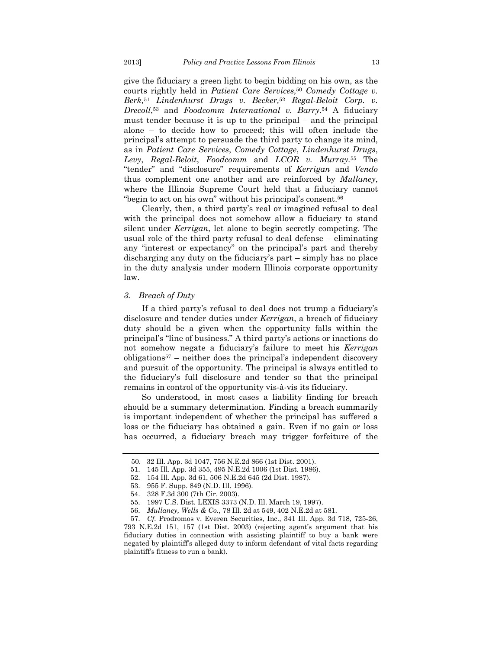give the fiduciary a green light to begin bidding on his own, as the courts rightly held in *Patient Care Services,*50 *Comedy Cottage v. Berk,*<sup>51</sup> *Lindenhurst Drugs v. Becker,*52 *Regal-Beloit Corp. v. Drecoll*,53 and *Foodcomm International v. Barry*.54 A fiduciary must tender because it is up to the principal – and the principal alone – to decide how to proceed; this will often include the principal's attempt to persuade the third party to change its mind, as in *Patient Care Services*, *Comedy Cottage*, *Lindenhurst Drugs*, *Levy*, *Regal-Beloit*, *Foodcomm* and *LCOR v. Murray.*55 The "tender" and "disclosure" requirements of *Kerrigan* and *Vendo* thus complement one another and are reinforced by *Mullaney*, where the Illinois Supreme Court held that a fiduciary cannot "begin to act on his own" without his principal's consent.56

Clearly, then, a third party's real or imagined refusal to deal with the principal does not somehow allow a fiduciary to stand silent under *Kerrigan*, let alone to begin secretly competing. The usual role of the third party refusal to deal defense – eliminating any "interest or expectancy" on the principal's part and thereby discharging any duty on the fiduciary's part – simply has no place in the duty analysis under modern Illinois corporate opportunity law.

#### *3. Breach of Duty*

If a third party's refusal to deal does not trump a fiduciary's disclosure and tender duties under *Kerrigan*, a breach of fiduciary duty should be a given when the opportunity falls within the principal's "line of business." A third party's actions or inactions do not somehow negate a fiduciary's failure to meet his *Kerrigan*  $obligations<sup>57</sup>$  – neither does the principal's independent discovery and pursuit of the opportunity. The principal is always entitled to the fiduciary's full disclosure and tender so that the principal remains in control of the opportunity vis-à-vis its fiduciary.

So understood, in most cases a liability finding for breach should be a summary determination. Finding a breach summarily is important independent of whether the principal has suffered a loss or the fiduciary has obtained a gain. Even if no gain or loss has occurred, a fiduciary breach may trigger forfeiture of the

<sup>50. 32</sup> Ill. App. 3d 1047, 756 N.E.2d 866 (1st Dist. 2001).

 <sup>51. 145</sup> Ill. App. 3d 355, 495 N.E.2d 1006 (1st Dist. 1986).

 <sup>52. 154</sup> Ill. App. 3d 61, 506 N.E.2d 645 (2d Dist. 1987).

 <sup>53. 955</sup> F. Supp. 849 (N.D. Ill. 1996).

 <sup>54. 328</sup> F.3d 300 (7th Cir. 2003).

 <sup>55. 1997</sup> U.S. Dist. LEXIS 3373 (N.D. Ill. March 19, 1997).

 <sup>56.</sup> *Mullaney, Wells & Co.*, 78 Ill. 2d at 549, 402 N.E.2d at 581.

 <sup>57.</sup> *Cf.* Prodromos v. Everen Securities, Inc., 341 Ill. App. 3d 718, 725-26, 793 N.E.2d 151, 157 (1st Dist. 2003) (rejecting agent's argument that his fiduciary duties in connection with assisting plaintiff to buy a bank were negated by plaintiff's alleged duty to inform defendant of vital facts regarding plaintiff's fitness to run a bank).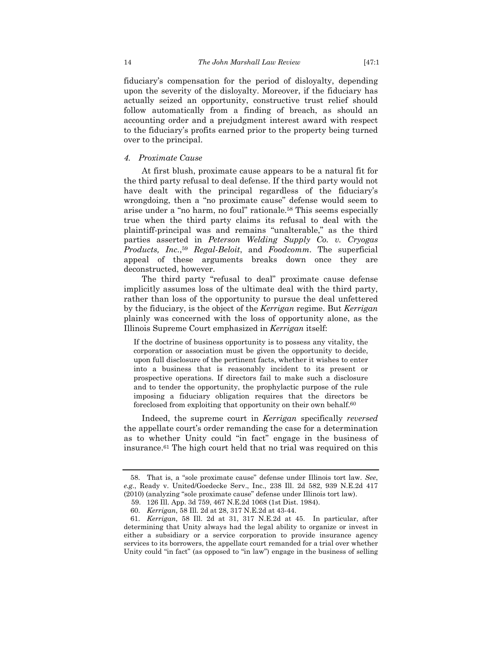fiduciary's compensation for the period of disloyalty, depending upon the severity of the disloyalty. Moreover, if the fiduciary has actually seized an opportunity, constructive trust relief should follow automatically from a finding of breach, as should an accounting order and a prejudgment interest award with respect to the fiduciary's profits earned prior to the property being turned over to the principal.

# *4. Proximate Cause*

At first blush, proximate cause appears to be a natural fit for the third party refusal to deal defense. If the third party would not have dealt with the principal regardless of the fiduciary's wrongdoing, then a "no proximate cause" defense would seem to arise under a "no harm, no foul" rationale.58 This seems especially true when the third party claims its refusal to deal with the plaintiff-principal was and remains "unalterable," as the third parties asserted in *Peterson Welding Supply Co. v. Cryogas Products, Inc.*,59 *Regal-Beloit*, and *Foodcomm*. The superficial appeal of these arguments breaks down once they are deconstructed, however.

The third party "refusal to deal" proximate cause defense implicitly assumes loss of the ultimate deal with the third party, rather than loss of the opportunity to pursue the deal unfettered by the fiduciary, is the object of the *Kerrigan* regime. But *Kerrigan* plainly was concerned with the loss of opportunity alone, as the Illinois Supreme Court emphasized in *Kerrigan* itself:

If the doctrine of business opportunity is to possess any vitality, the corporation or association must be given the opportunity to decide, upon full disclosure of the pertinent facts, whether it wishes to enter into a business that is reasonably incident to its present or prospective operations. If directors fail to make such a disclosure and to tender the opportunity, the prophylactic purpose of the rule imposing a fiduciary obligation requires that the directors be foreclosed from exploiting that opportunity on their own behalf.60

Indeed, the supreme court in *Kerrigan* specifically *reversed* the appellate court's order remanding the case for a determination as to whether Unity could "in fact" engage in the business of insurance.61 The high court held that no trial was required on this

 <sup>58.</sup> That is, a "sole proximate cause" defense under Illinois tort law. *See*, *e.g.*, Ready v. United/Goedecke Serv., Inc., 238 Ill. 2d 582, 939 N.E.2d 417 (2010) (analyzing "sole proximate cause" defense under Illinois tort law).

<sup>59. 126</sup> Ill. App. 3d 759, 467 N.E.2d 1068 (1st Dist. 1984).

 <sup>60.</sup> *Kerrigan*, 58 Ill. 2d at 28, 317 N.E.2d at 43-44.

 <sup>61.</sup> *Kerrigan*, 58 Ill. 2d at 31, 317 N.E.2d at 45. In particular, after determining that Unity always had the legal ability to organize or invest in either a subsidiary or a service corporation to provide insurance agency services to its borrowers, the appellate court remanded for a trial over whether Unity could "in fact" (as opposed to "in law") engage in the business of selling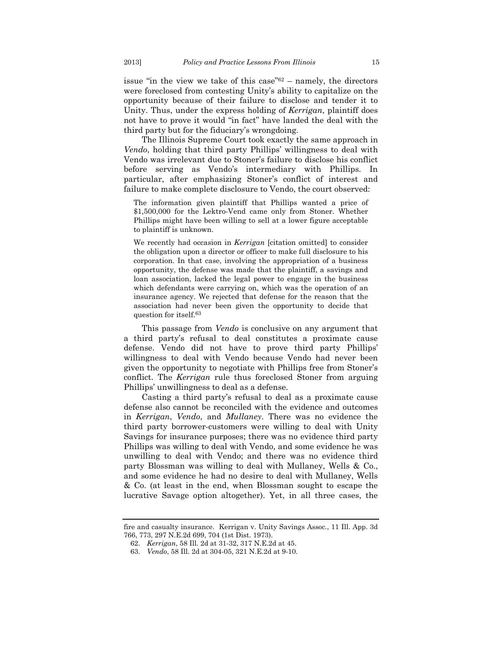issue "in the view we take of this case"62 – namely, the directors were foreclosed from contesting Unity's ability to capitalize on the opportunity because of their failure to disclose and tender it to Unity. Thus, under the express holding of *Kerrigan*, plaintiff does not have to prove it would "in fact" have landed the deal with the third party but for the fiduciary's wrongdoing.

The Illinois Supreme Court took exactly the same approach in *Vendo*, holding that third party Phillips' willingness to deal with Vendo was irrelevant due to Stoner's failure to disclose his conflict before serving as Vendo's intermediary with Phillips. In particular, after emphasizing Stoner's conflict of interest and failure to make complete disclosure to Vendo, the court observed:

The information given plaintiff that Phillips wanted a price of \$1,500,000 for the Lektro-Vend came only from Stoner. Whether Phillips might have been willing to sell at a lower figure acceptable to plaintiff is unknown.

We recently had occasion in *Kerrigan* [citation omitted] to consider the obligation upon a director or officer to make full disclosure to his corporation. In that case, involving the appropriation of a business opportunity, the defense was made that the plaintiff, a savings and loan association, lacked the legal power to engage in the business which defendants were carrying on, which was the operation of an insurance agency. We rejected that defense for the reason that the association had never been given the opportunity to decide that question for itself.63

This passage from *Vendo* is conclusive on any argument that a third party's refusal to deal constitutes a proximate cause defense. Vendo did not have to prove third party Phillips' willingness to deal with Vendo because Vendo had never been given the opportunity to negotiate with Phillips free from Stoner's conflict. The *Kerrigan* rule thus foreclosed Stoner from arguing Phillips' unwillingness to deal as a defense.

Casting a third party's refusal to deal as a proximate cause defense also cannot be reconciled with the evidence and outcomes in *Kerrigan*, *Vendo*, and *Mullaney*. There was no evidence the third party borrower-customers were willing to deal with Unity Savings for insurance purposes; there was no evidence third party Phillips was willing to deal with Vendo, and some evidence he was unwilling to deal with Vendo; and there was no evidence third party Blossman was willing to deal with Mullaney, Wells & Co., and some evidence he had no desire to deal with Mullaney, Wells & Co. (at least in the end, when Blossman sought to escape the lucrative Savage option altogether). Yet, in all three cases, the

fire and casualty insurance. Kerrigan v. Unity Savings Assoc., 11 Ill. App. 3d 766, 773, 297 N.E.2d 699, 704 (1st Dist. 1973).

 <sup>62.</sup> *Kerrigan*, 58 Ill. 2d at 31-32, 317 N.E.2d at 45.

 <sup>63.</sup> *Vendo*, 58 Ill. 2d at 304-05, 321 N.E.2d at 9-10.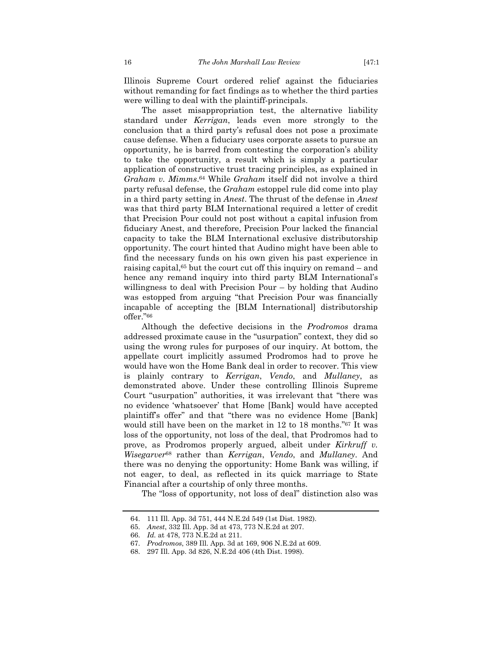Illinois Supreme Court ordered relief against the fiduciaries without remanding for fact findings as to whether the third parties were willing to deal with the plaintiff-principals.

The asset misappropriation test, the alternative liability standard under *Kerrigan*, leads even more strongly to the conclusion that a third party's refusal does not pose a proximate cause defense. When a fiduciary uses corporate assets to pursue an opportunity, he is barred from contesting the corporation's ability to take the opportunity, a result which is simply a particular application of constructive trust tracing principles, as explained in *Graham v. Mimms*.64 While *Graham* itself did not involve a third party refusal defense, the *Graham* estoppel rule did come into play in a third party setting in *Anest*. The thrust of the defense in *Anest* was that third party BLM International required a letter of credit that Precision Pour could not post without a capital infusion from fiduciary Anest, and therefore, Precision Pour lacked the financial capacity to take the BLM International exclusive distributorship opportunity. The court hinted that Audino might have been able to find the necessary funds on his own given his past experience in raising capital,65 but the court cut off this inquiry on remand – and hence any remand inquiry into third party BLM International's willingness to deal with Precision Pour – by holding that Audino was estopped from arguing "that Precision Pour was financially incapable of accepting the [BLM International] distributorship offer."66

Although the defective decisions in the *Prodromos* drama addressed proximate cause in the "usurpation" context, they did so using the wrong rules for purposes of our inquiry. At bottom, the appellate court implicitly assumed Prodromos had to prove he would have won the Home Bank deal in order to recover. This view is plainly contrary to *Kerrigan*, *Vendo*, and *Mullaney*, as demonstrated above. Under these controlling Illinois Supreme Court "usurpation" authorities, it was irrelevant that "there was no evidence 'whatsoever' that Home [Bank] would have accepted plaintiff's offer" and that "there was no evidence Home [Bank] would still have been on the market in 12 to 18 months."67 It was loss of the opportunity, not loss of the deal, that Prodromos had to prove, as Prodromos properly argued, albeit under *Kirkruff v. Wisegarver*68 rather than *Kerrigan*, *Vendo*, and *Mullaney*. And there was no denying the opportunity: Home Bank was willing, if not eager, to deal, as reflected in its quick marriage to State Financial after a courtship of only three months.

The "loss of opportunity, not loss of deal" distinction also was

 <sup>64. 111</sup> Ill. App. 3d 751, 444 N.E.2d 549 (1st Dist. 1982).

 <sup>65.</sup> *Anest*, 332 Ill. App. 3d at 473, 773 N.E.2d at 207.

 <sup>66.</sup> *Id.* at 478, 773 N.E.2d at 211.

 <sup>67.</sup> *Prodromos*, 389 Ill. App. 3d at 169, 906 N.E.2d at 609.

 <sup>68. 297</sup> Ill. App. 3d 826, N.E.2d 406 (4th Dist. 1998).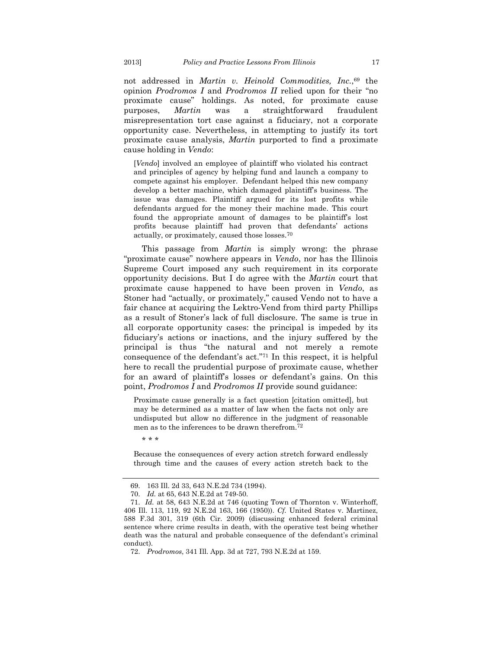not addressed in *Martin v. Heinold Commodities, Inc.*,69 the opinion *Prodromos I* and *Prodromos II* relied upon for their "no proximate cause" holdings. As noted, for proximate cause purposes, *Martin* was a straightforward fraudulent misrepresentation tort case against a fiduciary, not a corporate opportunity case. Nevertheless, in attempting to justify its tort proximate cause analysis, *Martin* purported to find a proximate cause holding in *Vendo*:

[*Vendo*] involved an employee of plaintiff who violated his contract and principles of agency by helping fund and launch a company to compete against his employer. Defendant helped this new company develop a better machine, which damaged plaintiff's business. The issue was damages. Plaintiff argued for its lost profits while defendants argued for the money their machine made. This court found the appropriate amount of damages to be plaintiff's lost profits because plaintiff had proven that defendants' actions actually, or proximately, caused those losses.70

This passage from *Martin* is simply wrong: the phrase "proximate cause" nowhere appears in *Vendo*, nor has the Illinois Supreme Court imposed any such requirement in its corporate opportunity decisions. But I do agree with the *Martin* court that proximate cause happened to have been proven in *Vendo*, as Stoner had "actually, or proximately," caused Vendo not to have a fair chance at acquiring the Lektro-Vend from third party Phillips as a result of Stoner's lack of full disclosure. The same is true in all corporate opportunity cases: the principal is impeded by its fiduciary's actions or inactions, and the injury suffered by the principal is thus "the natural and not merely a remote consequence of the defendant's act."71 In this respect, it is helpful here to recall the prudential purpose of proximate cause, whether for an award of plaintiff's losses or defendant's gains. On this point, *Prodromos I* and *Prodromos II* provide sound guidance:

Proximate cause generally is a fact question [citation omitted], but may be determined as a matter of law when the facts not only are undisputed but allow no difference in the judgment of reasonable men as to the inferences to be drawn therefrom.72

\* \* \*

Because the consequences of every action stretch forward endlessly through time and the causes of every action stretch back to the

 <sup>69. 163</sup> Ill. 2d 33, 643 N.E.2d 734 (1994).

 <sup>70.</sup> *Id.* at 65, 643 N.E.2d at 749-50.

 <sup>71.</sup> *Id.* at 58, 643 N.E.2d at 746 (quoting Town of Thornton v. Winterhoff, 406 Ill. 113, 119, 92 N.E.2d 163, 166 (1950)). *Cf.* United States v. Martinez, 588 F.3d 301, 319 (6th Cir. 2009) (discussing enhanced federal criminal sentence where crime results in death, with the operative test being whether death was the natural and probable consequence of the defendant's criminal conduct).

 <sup>72.</sup> *Prodromos*, 341 Ill. App. 3d at 727, 793 N.E.2d at 159.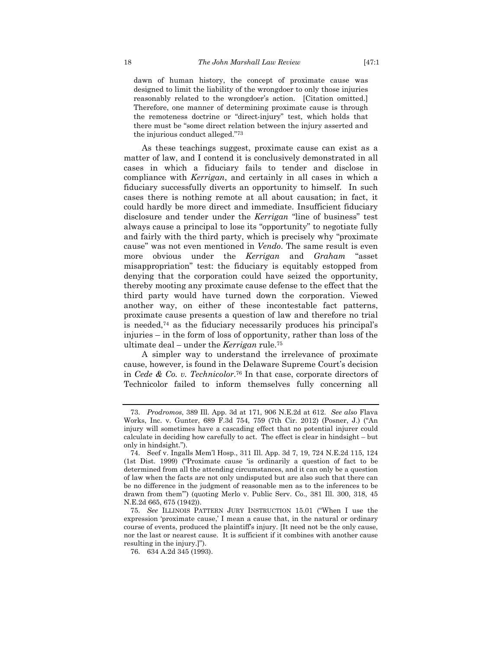dawn of human history, the concept of proximate cause was designed to limit the liability of the wrongdoer to only those injuries reasonably related to the wrongdoer's action. [Citation omitted.] Therefore, one manner of determining proximate cause is through the remoteness doctrine or "direct-injury" test, which holds that there must be "some direct relation between the injury asserted and the injurious conduct alleged."73

As these teachings suggest, proximate cause can exist as a matter of law, and I contend it is conclusively demonstrated in all cases in which a fiduciary fails to tender and disclose in compliance with *Kerrigan*, and certainly in all cases in which a fiduciary successfully diverts an opportunity to himself. In such cases there is nothing remote at all about causation; in fact, it could hardly be more direct and immediate. Insufficient fiduciary disclosure and tender under the *Kerrigan* "line of business" test always cause a principal to lose its "opportunity" to negotiate fully and fairly with the third party, which is precisely why "proximate cause" was not even mentioned in *Vendo*. The same result is even more obvious under the *Kerrigan* and *Graham* "asset misappropriation" test: the fiduciary is equitably estopped from denying that the corporation could have seized the opportunity, thereby mooting any proximate cause defense to the effect that the third party would have turned down the corporation. Viewed another way, on either of these incontestable fact patterns, proximate cause presents a question of law and therefore no trial is needed,74 as the fiduciary necessarily produces his principal's injuries – in the form of loss of opportunity, rather than loss of the ultimate deal – under the *Kerrigan* rule.75

A simpler way to understand the irrelevance of proximate cause, however, is found in the Delaware Supreme Court's decision in *Cede & Co. v. Technicolor*.76 In that case, corporate directors of Technicolor failed to inform themselves fully concerning all

 <sup>73.</sup> *Prodromos*, 389 Ill. App. 3d at 171, 906 N.E.2d at 612. *See also* Flava Works, Inc. v. Gunter, 689 F.3d 754, 759 (7th Cir. 2012) (Posner, J.) ("An injury will sometimes have a cascading effect that no potential injurer could calculate in deciding how carefully to act. The effect is clear in hindsight – but only in hindsight.").

 <sup>74.</sup> Seef v. Ingalls Mem'l Hosp., 311 Ill. App. 3d 7, 19, 724 N.E.2d 115, 124 (1st Dist. 1999) ("Proximate cause 'is ordinarily a question of fact to be determined from all the attending circumstances, and it can only be a question of law when the facts are not only undisputed but are also such that there can be no difference in the judgment of reasonable men as to the inferences to be drawn from them'") (quoting Merlo v. Public Serv. Co., 381 Ill. 300, 318, 45 N.E.2d 665, 675 (1942)).

 <sup>75.</sup> *See* ILLINOIS PATTERN JURY INSTRUCTION 15.01 ("When I use the expression 'proximate cause,' I mean a cause that, in the natural or ordinary course of events, produced the plaintiff's injury. [It need not be the only cause, nor the last or nearest cause. It is sufficient if it combines with another cause resulting in the injury.]").

 <sup>76. 634</sup> A.2d 345 (1993).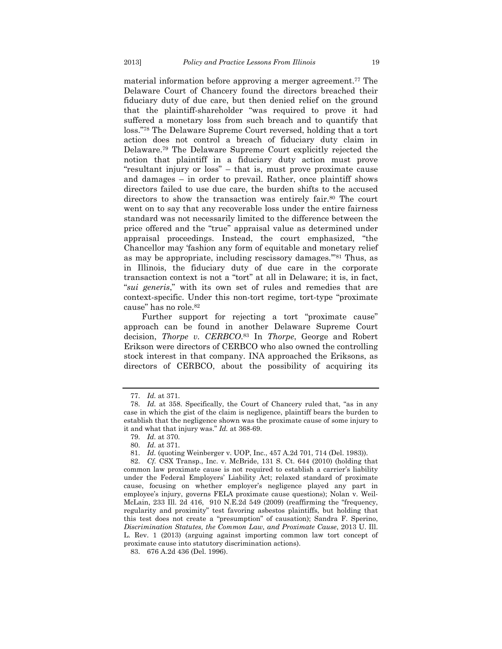material information before approving a merger agreement.77 The Delaware Court of Chancery found the directors breached their fiduciary duty of due care, but then denied relief on the ground that the plaintiff-shareholder "was required to prove it had suffered a monetary loss from such breach and to quantify that loss."78 The Delaware Supreme Court reversed, holding that a tort action does not control a breach of fiduciary duty claim in Delaware.79 The Delaware Supreme Court explicitly rejected the notion that plaintiff in a fiduciary duty action must prove "resultant injury or loss" – that is, must prove proximate cause and damages – in order to prevail. Rather, once plaintiff shows directors failed to use due care, the burden shifts to the accused directors to show the transaction was entirely fair.<sup>80</sup> The court went on to say that any recoverable loss under the entire fairness standard was not necessarily limited to the difference between the price offered and the "true" appraisal value as determined under appraisal proceedings. Instead, the court emphasized, "the Chancellor may 'fashion any form of equitable and monetary relief as may be appropriate, including rescissory damages.'"81 Thus, as in Illinois, the fiduciary duty of due care in the corporate transaction context is not a "tort" at all in Delaware; it is, in fact, "*sui generis*," with its own set of rules and remedies that are context-specific. Under this non-tort regime, tort-type "proximate cause" has no role.82

Further support for rejecting a tort "proximate cause" approach can be found in another Delaware Supreme Court decision, *Thorpe v. CERBCO*.83 In *Thorpe*, George and Robert Erikson were directors of CERBCO who also owned the controlling stock interest in that company. INA approached the Eriksons, as directors of CERBCO, about the possibility of acquiring its

 <sup>77.</sup> *Id.* at 371.

 <sup>78.</sup> *Id.* at 358. Specifically, the Court of Chancery ruled that, "as in any case in which the gist of the claim is negligence, plaintiff bears the burden to establish that the negligence shown was the proximate cause of some injury to it and what that injury was." *Id.* at 368-69.

 <sup>79.</sup> *Id.* at 370.

 <sup>80.</sup> *Id.* at 371.

 <sup>81.</sup> *Id.* (quoting Weinberger v. UOP, Inc., 457 A.2d 701, 714 (Del. 1983)).

 <sup>82.</sup> *Cf.* CSX Transp., Inc. v. McBride, 131 S. Ct. 644 (2010) (holding that common law proximate cause is not required to establish a carrier's liability under the Federal Employers' Liability Act; relaxed standard of proximate cause, focusing on whether employer's negligence played any part in employee's injury, governs FELA proximate cause questions); Nolan v. Weil-McLain, 233 Ill. 2d 416, 910 N.E.2d 549 (2009) (reaffirming the "frequency, regularity and proximity" test favoring asbestos plaintiffs, but holding that this test does not create a "presumption" of causation); Sandra F. Sperino, *Discrimination Statutes, the Common Law, and Proximate Cause*, 2013 U. Ill. L. Rev. 1 (2013) (arguing against importing common law tort concept of proximate cause into statutory discrimination actions).

 <sup>83. 676</sup> A.2d 436 (Del. 1996).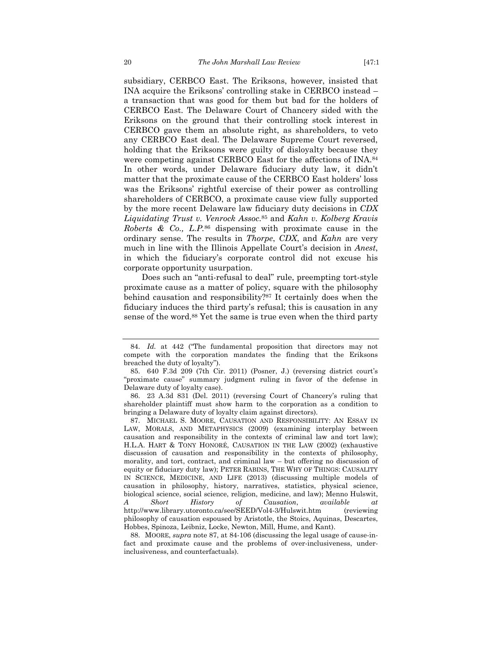subsidiary, CERBCO East. The Eriksons, however, insisted that INA acquire the Eriksons' controlling stake in CERBCO instead – a transaction that was good for them but bad for the holders of CERBCO East. The Delaware Court of Chancery sided with the Eriksons on the ground that their controlling stock interest in CERBCO gave them an absolute right, as shareholders, to veto any CERBCO East deal. The Delaware Supreme Court reversed, holding that the Eriksons were guilty of disloyalty because they were competing against CERBCO East for the affections of INA.84 In other words, under Delaware fiduciary duty law, it didn't matter that the proximate cause of the CERBCO East holders' loss was the Eriksons' rightful exercise of their power as controlling shareholders of CERBCO, a proximate cause view fully supported by the more recent Delaware law fiduciary duty decisions in *CDX Liquidating Trust v. Venrock Assoc.*85 and *Kahn v. Kolberg Kravis Roberts & Co., L.P.*86 dispensing with proximate cause in the ordinary sense. The results in *Thorpe*, *CDX*, and *Kahn* are very much in line with the Illinois Appellate Court's decision in *Anest*, in which the fiduciary's corporate control did not excuse his corporate opportunity usurpation.

Does such an "anti-refusal to deal" rule, preempting tort-style proximate cause as a matter of policy, square with the philosophy behind causation and responsibility?87 It certainly does when the fiduciary induces the third party's refusal; this is causation in any sense of the word.88 Yet the same is true even when the third party

 <sup>84.</sup> *Id.* at 442 ("The fundamental proposition that directors may not compete with the corporation mandates the finding that the Eriksons breached the duty of loyalty").

 <sup>85. 640</sup> F.3d 209 (7th Cir. 2011) (Posner, J.) (reversing district court's "proximate cause" summary judgment ruling in favor of the defense in Delaware duty of loyalty case).

 <sup>86. 23</sup> A.3d 831 (Del. 2011) (reversing Court of Chancery's ruling that shareholder plaintiff must show harm to the corporation as a condition to bringing a Delaware duty of loyalty claim against directors).

 <sup>87.</sup> MICHAEL S. MOORE, CAUSATION AND RESPONSIBILITY: AN ESSAY IN LAW, MORALS, AND METAPHYSICS (2009) (examining interplay between causation and responsibility in the contexts of criminal law and tort law); H.L.A. HART & TONY HONORÉ, CAUSATION IN THE LAW (2002) (exhaustive discussion of causation and responsibility in the contexts of philosophy, morality, and tort, contract, and criminal law – but offering no discussion of equity or fiduciary duty law); PETER RABINS, THE WHY OF THINGS: CAUSALITY IN SCIENCE, MEDICINE, AND LIFE (2013) (discussing multiple models of causation in philosophy, history, narratives, statistics, physical science, biological science, social science, religion, medicine, and law); Menno Hulswit, *A Short History of Causation*, *available at* http://www.library.utoronto.ca/see/SEED/Vol4-3/Hulswit.htm (reviewing philosophy of causation espoused by Aristotle, the Stoics, Aquinas, Descartes, Hobbes, Spinoza, Leibniz, Locke, Newton, Mill, Hume, and Kant).

 <sup>88.</sup> MOORE, *supra* note 87, at 84-106 (discussing the legal usage of cause-infact and proximate cause and the problems of over-inclusiveness, underinclusiveness, and counterfactuals).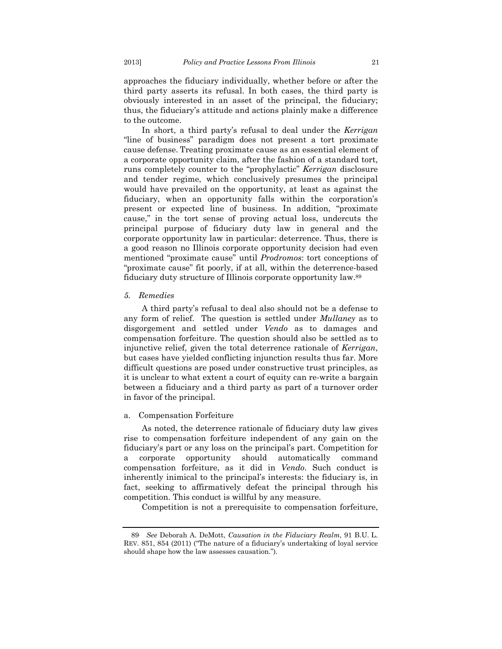approaches the fiduciary individually, whether before or after the third party asserts its refusal. In both cases, the third party is obviously interested in an asset of the principal, the fiduciary; thus, the fiduciary's attitude and actions plainly make a difference to the outcome.

In short, a third party's refusal to deal under the *Kerrigan* "line of business" paradigm does not present a tort proximate cause defense. Treating proximate cause as an essential element of a corporate opportunity claim, after the fashion of a standard tort, runs completely counter to the "prophylactic" *Kerrigan* disclosure and tender regime, which conclusively presumes the principal would have prevailed on the opportunity, at least as against the fiduciary, when an opportunity falls within the corporation's present or expected line of business. In addition, "proximate cause," in the tort sense of proving actual loss, undercuts the principal purpose of fiduciary duty law in general and the corporate opportunity law in particular: deterrence. Thus, there is a good reason no Illinois corporate opportunity decision had even mentioned "proximate cause" until *Prodromos*: tort conceptions of "proximate cause" fit poorly, if at all, within the deterrence-based fiduciary duty structure of Illinois corporate opportunity law.89

#### *5. Remedies*

A third party's refusal to deal also should not be a defense to any form of relief. The question is settled under *Mullaney* as to disgorgement and settled under *Vendo* as to damages and compensation forfeiture. The question should also be settled as to injunctive relief, given the total deterrence rationale of *Kerrigan*, but cases have yielded conflicting injunction results thus far. More difficult questions are posed under constructive trust principles, as it is unclear to what extent a court of equity can re-write a bargain between a fiduciary and a third party as part of a turnover order in favor of the principal.

#### a. Compensation Forfeiture

As noted, the deterrence rationale of fiduciary duty law gives rise to compensation forfeiture independent of any gain on the fiduciary's part or any loss on the principal's part. Competition for a corporate opportunity should automatically command compensation forfeiture, as it did in *Vendo*. Such conduct is inherently inimical to the principal's interests: the fiduciary is, in fact, seeking to affirmatively defeat the principal through his competition. This conduct is willful by any measure.

Competition is not a prerequisite to compensation forfeiture,

<sup>89.</sup> *See* Deborah A. DeMott, *Causation in the Fiduciary Realm*, 91 B.U. L. REV. 851, 854 (2011) ("The nature of a fiduciary's undertaking of loyal service should shape how the law assesses causation.").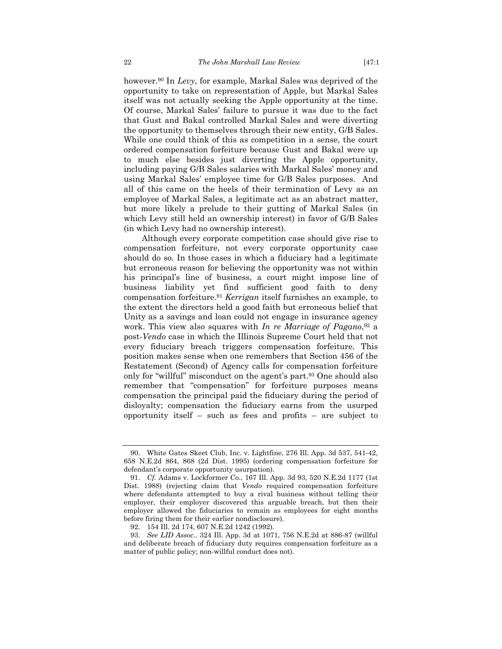however.90 In *Levy*, for example, Markal Sales was deprived of the opportunity to take on representation of Apple, but Markal Sales itself was not actually seeking the Apple opportunity at the time. Of course, Markal Sales' failure to pursue it was due to the fact that Gust and Bakal controlled Markal Sales and were diverting the opportunity to themselves through their new entity, G/B Sales. While one could think of this as competition in a sense, the court ordered compensation forfeiture because Gust and Bakal were up to much else besides just diverting the Apple opportunity, including paying G/B Sales salaries with Markal Sales' money and using Markal Sales' employee time for G/B Sales purposes. And all of this came on the heels of their termination of Levy as an employee of Markal Sales, a legitimate act as an abstract matter, but more likely a prelude to their gutting of Markal Sales (in which Levy still held an ownership interest) in favor of G/B Sales (in which Levy had no ownership interest).

Although every corporate competition case should give rise to compensation forfeiture, not every corporate opportunity case should do so. In those cases in which a fiduciary had a legitimate but erroneous reason for believing the opportunity was not within his principal's line of business, a court might impose line of business liability yet find sufficient good faith to deny compensation forfeiture.91 *Kerrigan* itself furnishes an example, to the extent the directors held a good faith but erroneous belief that Unity as a savings and loan could not engage in insurance agency work. This view also squares with *In re Marriage of Pagano*,92 a post-*Vendo* case in which the Illinois Supreme Court held that not every fiduciary breach triggers compensation forfeiture. This position makes sense when one remembers that Section 456 of the Restatement (Second) of Agency calls for compensation forfeiture only for "willful" misconduct on the agent's part.93 One should also remember that "compensation" for forfeiture purposes means compensation the principal paid the fiduciary during the period of disloyalty; compensation the fiduciary earns from the usurped opportunity itself – such as fees and profits – are subject to

 <sup>90.</sup> White Gates Skeet Club, Inc. v. Lightfine, 276 Ill. App. 3d 537, 541-42, 658 N.E.2d 864, 868 (2d Dist. 1995) (ordering compensation forfeiture for defendant's corporate opportunity usurpation).

 <sup>91.</sup> *Cf.* Adams v. Lockformer Co., 167 Ill. App. 3d 93, 520 N.E.2d 1177 (1st Dist. 1988) (rejecting claim that *Vendo* required compensation forfeiture where defendants attempted to buy a rival business without telling their employer, their employer discovered this arguable breach, but then their employer allowed the fiduciaries to remain as employees for eight months before firing them for their earlier nondisclosure).

 <sup>92. 154</sup> Ill. 2d 174, 607 N.E.2d 1242 (1992).

 <sup>93.</sup> *See LID Assoc*.. 324 Ill. App. 3d at 1071, 756 N.E.2d at 886-87 (willful and deliberate breach of fiduciary duty requires compensation forfeiture as a matter of public policy; non-willful conduct does not).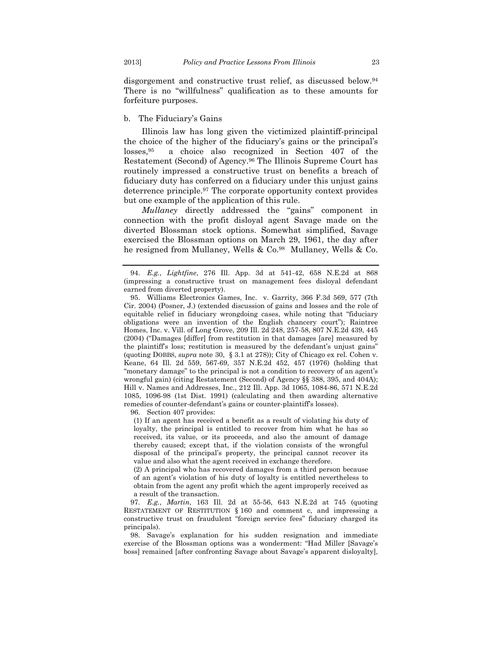disgorgement and constructive trust relief, as discussed below.94 There is no "willfulness" qualification as to these amounts for forfeiture purposes.

#### b. The Fiduciary's Gains

Illinois law has long given the victimized plaintiff-principal the choice of the higher of the fiduciary's gains or the principal's losses,95 a choice also recognized in Section 407 of the Restatement (Second) of Agency.96 The Illinois Supreme Court has routinely impressed a constructive trust on benefits a breach of fiduciary duty has conferred on a fiduciary under this unjust gains deterrence principle.97 The corporate opportunity context provides but one example of the application of this rule.

*Mullaney* directly addressed the "gains" component in connection with the profit disloyal agent Savage made on the diverted Blossman stock options. Somewhat simplified, Savage exercised the Blossman options on March 29, 1961, the day after he resigned from Mullaney, Wells & Co.<sup>98</sup> Mullaney, Wells & Co.

96. Section 407 provides:

(1) If an agent has received a benefit as a result of violating his duty of loyalty, the principal is entitled to recover from him what he has so received, its value, or its proceeds, and also the amount of damage thereby caused; except that, if the violation consists of the wrongful disposal of the principal's property, the principal cannot recover its value and also what the agent received in exchange therefore.

(2) A principal who has recovered damages from a third person because of an agent's violation of his duty of loyalty is entitled nevertheless to obtain from the agent any profit which the agent improperly received as a result of the transaction.

 97. *E.g.*, *Martin*, 163 Ill. 2d at 55-56, 643 N.E.2d at 745 (quoting RESTATEMENT OF RESTITUTION § 160 and comment c, and impressing a constructive trust on fraudulent "foreign service fees" fiduciary charged its principals).

 98. Savage's explanation for his sudden resignation and immediate exercise of the Blossman options was a wonderment: "Had Miller [Savage's boss] remained [after confronting Savage about Savage's apparent disloyalty],

 <sup>94.</sup> *E.g.*, *Lightfine*, 276 Ill. App. 3d at 541-42, 658 N.E.2d at 868 (impressing a constructive trust on management fees disloyal defendant earned from diverted property).

 <sup>95.</sup> Williams Electronics Games, Inc. v. Garrity, 366 F.3d 569, 577 (7th Cir. 2004) (Posner, J.) (extended discussion of gains and losses and the role of equitable relief in fiduciary wrongdoing cases, while noting that "fiduciary obligations were an invention of the English chancery court"); Raintree Homes, Inc. v. Vill. of Long Grove, 209 Ill. 2d 248, 257-58, 807 N.E.2d 439, 445 (2004) ("Damages [differ] from restitution in that damages [are] measured by the plaintiff's loss; restitution is measured by the defendant's unjust gains" (quoting DOBBS, *supra* note 30, § 3.1 at 278)); City of Chicago ex rel. Cohen v. Keane, 64 Ill. 2d 559, 567-69, 357 N.E.2d 452, 457 (1976) (holding that "monetary damage" to the principal is not a condition to recovery of an agent's wrongful gain) (citing Restatement (Second) of Agency §§ 388, 395, and 404A); Hill v. Names and Addresses, Inc., 212 Ill. App. 3d 1065, 1084-86, 571 N.E.2d 1085, 1096-98 (1st Dist. 1991) (calculating and then awarding alternative remedies of counter-defendant's gains or counter-plaintiff's losses).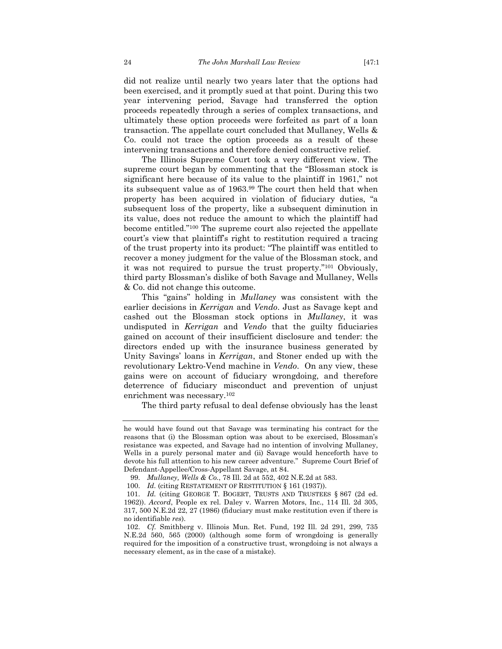did not realize until nearly two years later that the options had been exercised, and it promptly sued at that point. During this two year intervening period, Savage had transferred the option proceeds repeatedly through a series of complex transactions, and ultimately these option proceeds were forfeited as part of a loan transaction. The appellate court concluded that Mullaney, Wells & Co. could not trace the option proceeds as a result of these intervening transactions and therefore denied constructive relief.

The Illinois Supreme Court took a very different view. The supreme court began by commenting that the "Blossman stock is significant here because of its value to the plaintiff in 1961," not its subsequent value as of 1963.99 The court then held that when property has been acquired in violation of fiduciary duties, "a subsequent loss of the property, like a subsequent diminution in its value, does not reduce the amount to which the plaintiff had become entitled."100 The supreme court also rejected the appellate court's view that plaintiff's right to restitution required a tracing of the trust property into its product: "The plaintiff was entitled to recover a money judgment for the value of the Blossman stock, and it was not required to pursue the trust property."101 Obviously, third party Blossman's dislike of both Savage and Mullaney, Wells & Co. did not change this outcome.

This "gains" holding in *Mullaney* was consistent with the earlier decisions in *Kerrigan* and *Vendo*. Just as Savage kept and cashed out the Blossman stock options in *Mullaney*, it was undisputed in *Kerrigan* and *Vendo* that the guilty fiduciaries gained on account of their insufficient disclosure and tender: the directors ended up with the insurance business generated by Unity Savings' loans in *Kerrigan*, and Stoner ended up with the revolutionary Lektro-Vend machine in *Vendo*. On any view, these gains were on account of fiduciary wrongdoing, and therefore deterrence of fiduciary misconduct and prevention of unjust enrichment was necessary.102

The third party refusal to deal defense obviously has the least

he would have found out that Savage was terminating his contract for the reasons that (i) the Blossman option was about to be exercised, Blossman's resistance was expected, and Savage had no intention of involving Mullaney, Wells in a purely personal mater and (ii) Savage would henceforth have to devote his full attention to his new career adventure." Supreme Court Brief of Defendant-Appellee/Cross-Appellant Savage, at 84.

 <sup>99.</sup> *Mullaney, Wells & Co.*, 78 Ill. 2d at 552, 402 N.E.2d at 583.

 <sup>100.</sup> *Id.* (citing RESTATEMENT OF RESTITUTION § 161 (1937)).

<sup>101.</sup> *Id.* (citing GEORGE T. BOGERT, TRUSTS AND TRUSTEES § 867 (2d ed. 1962)). *Accord*, People ex rel. Daley v. Warren Motors, Inc., 114 Ill. 2d 305, 317, 500 N.E.2d 22, 27 (1986) (fiduciary must make restitution even if there is no identifiable *res*).

 <sup>102.</sup> *Cf.* Smithberg v. Illinois Mun. Ret. Fund, 192 Ill. 2d 291, 299, 735 N.E.2d 560, 565 (2000) (although some form of wrongdoing is generally required for the imposition of a constructive trust, wrongdoing is not always a necessary element, as in the case of a mistake).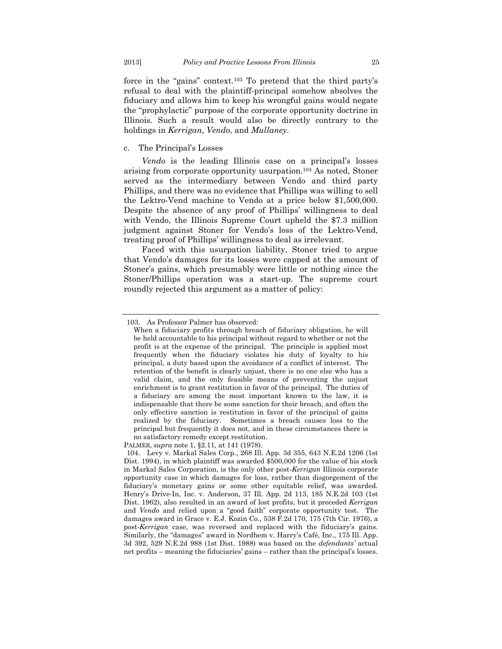force in the "gains" context.103 To pretend that the third party's refusal to deal with the plaintiff-principal somehow absolves the fiduciary and allows him to keep his wrongful gains would negate the "prophylactic" purpose of the corporate opportunity doctrine in Illinois. Such a result would also be directly contrary to the holdings in *Kerrigan*, *Vendo*, and *Mullaney*.

# c. The Principal's Losses

*Vendo* is the leading Illinois case on a principal's losses arising from corporate opportunity usurpation.104 As noted, Stoner served as the intermediary between Vendo and third party Phillips, and there was no evidence that Phillips was willing to sell the Lektro-Vend machine to Vendo at a price below \$1,500,000. Despite the absence of any proof of Phillips' willingness to deal with Vendo, the Illinois Supreme Court upheld the \$7.3 million judgment against Stoner for Vendo's loss of the Lektro-Vend, treating proof of Phillips' willingness to deal as irrelevant.

Faced with this usurpation liability, Stoner tried to argue that Vendo's damages for its losses were capped at the amount of Stoner's gains, which presumably were little or nothing since the Stoner/Phillips operation was a start-up. The supreme court roundly rejected this argument as a matter of policy:

PALMER, *supra* note 1, §2.11, at 141 (1978).

 <sup>103.</sup> As Professor Palmer has observed:

When a fiduciary profits through breach of fiduciary obligation, he will be held accountable to his principal without regard to whether or not the profit is at the expense of the principal. The principle is applied most frequently when the fiduciary violates his duty of loyalty to his principal, a duty based upon the avoidance of a conflict of interest. The retention of the benefit is clearly unjust, there is no one else who has a valid claim, and the only feasible means of preventing the unjust enrichment is to grant restitution in favor of the principal. The duties of a fiduciary are among the most important known to the law, it is indispensable that there be some sanction for their breach, and often the only effective sanction is restitution in favor of the principal of gains realized by the fiduciary. Sometimes a breach causes loss to the principal but frequently it does not, and in these circumstances there is no satisfactory remedy except restitution.

 <sup>104.</sup> Levy v. Markal Sales Corp., 268 Ill. App. 3d 355, 643 N.E.2d 1206 (1st Dist. 1994), in which plaintiff was awarded \$500,000 for the value of his stock in Markal Sales Corporation, is the only other post-*Kerrigan* Illinois corporate opportunity case in which damages for loss, rather than disgorgement of the fiduciary's monetary gains or some other equitable relief, was awarded. Henry's Drive-In, Inc. v. Anderson, 37 Ill. App. 2d 113, 185 N.E.2d 103 (1st Dist. 1962), also resulted in an award of lost profits, but it preceded *Kerrigan* and *Vendo* and relied upon a "good faith" corporate opportunity test. The damages award in Grace v. E.J. Kozin Co., 538 F.2d 170, 175 (7th Cir. 1976), a post-*Kerrigan* case, was reversed and replaced with the fiduciary's gains. Similarly, the "damages" award in Nordhem v. Harry's Café, Inc., 175 Ill. App. 3d 392, 529 N.E.2d 988 (1st Dist. 1988) was based on the *defendants'* actual net profits – meaning the fiduciaries' gains – rather than the principal's losses.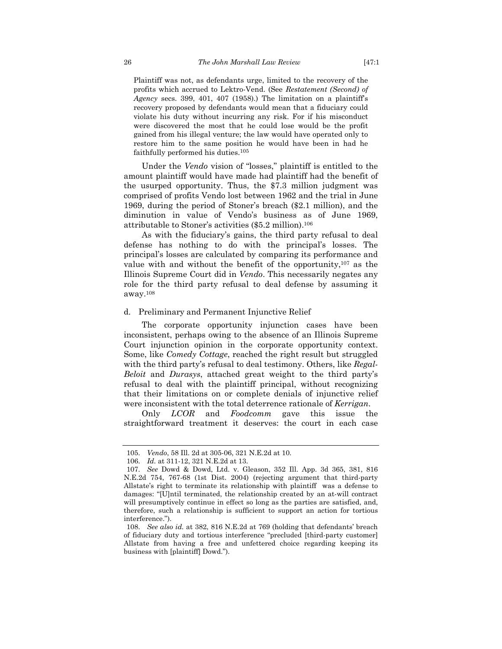Plaintiff was not, as defendants urge, limited to the recovery of the profits which accrued to Lektro-Vend. (See *Restatement (Second) of Agency* secs. 399, 401, 407 (1958).) The limitation on a plaintiff's recovery proposed by defendants would mean that a fiduciary could violate his duty without incurring any risk. For if his misconduct were discovered the most that he could lose would be the profit gained from his illegal venture; the law would have operated only to restore him to the same position he would have been in had he faithfully performed his duties.105

Under the *Vendo* vision of "losses," plaintiff is entitled to the amount plaintiff would have made had plaintiff had the benefit of the usurped opportunity. Thus, the \$7.3 million judgment was comprised of profits Vendo lost between 1962 and the trial in June 1969, during the period of Stoner's breach (\$2.1 million), and the diminution in value of Vendo's business as of June 1969, attributable to Stoner's activities (\$5.2 million).106

As with the fiduciary's gains, the third party refusal to deal defense has nothing to do with the principal's losses. The principal's losses are calculated by comparing its performance and value with and without the benefit of the opportunity, $107$  as the Illinois Supreme Court did in *Vendo*. This necessarily negates any role for the third party refusal to deal defense by assuming it away.108

# d. Preliminary and Permanent Injunctive Relief

The corporate opportunity injunction cases have been inconsistent, perhaps owing to the absence of an Illinois Supreme Court injunction opinion in the corporate opportunity context. Some, like *Comedy Cottage*, reached the right result but struggled with the third party's refusal to deal testimony. Others, like *Regal-Beloit* and *Durasys*, attached great weight to the third party's refusal to deal with the plaintiff principal, without recognizing that their limitations on or complete denials of injunctive relief were inconsistent with the total deterrence rationale of *Kerrigan*.

Only *LCOR* and *Foodcomm* gave this issue the straightforward treatment it deserves: the court in each case

 <sup>105.</sup> *Vendo*, 58 Ill. 2d at 305-06, 321 N.E.2d at 10.

 <sup>106.</sup> *Id.* at 311-12, 321 N.E.2d at 13.

 <sup>107.</sup> *See* Dowd & Dowd, Ltd. v. Gleason, 352 Ill. App. 3d 365, 381, 816 N.E.2d 754, 767-68 (1st Dist. 2004) (rejecting argument that third-party Allstate's right to terminate its relationship with plaintiff was a defense to damages: "[U]ntil terminated, the relationship created by an at-will contract will presumptively continue in effect so long as the parties are satisfied, and, therefore, such a relationship is sufficient to support an action for tortious interference.").

 <sup>108.</sup> *See also id.* at 382, 816 N.E.2d at 769 (holding that defendants' breach of fiduciary duty and tortious interference "precluded [third-party customer] Allstate from having a free and unfettered choice regarding keeping its business with [plaintiff] Dowd.").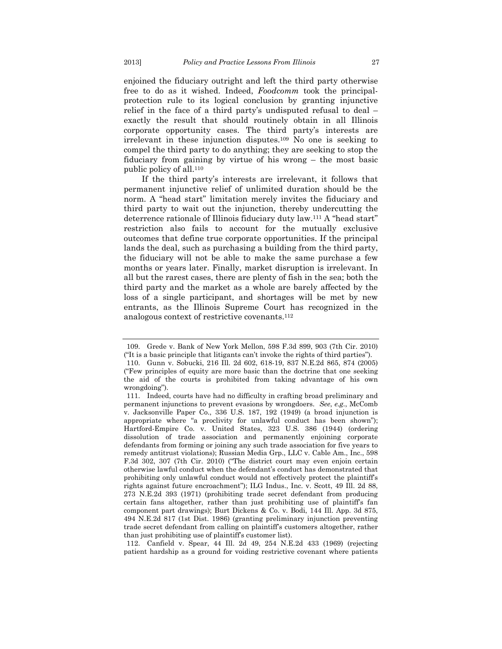enjoined the fiduciary outright and left the third party otherwise free to do as it wished. Indeed, *Foodcomm* took the principalprotection rule to its logical conclusion by granting injunctive relief in the face of a third party's undisputed refusal to deal – exactly the result that should routinely obtain in all Illinois corporate opportunity cases. The third party's interests are irrelevant in these injunction disputes.109 No one is seeking to compel the third party to do anything; they are seeking to stop the fiduciary from gaining by virtue of his wrong – the most basic public policy of all.110

If the third party's interests are irrelevant, it follows that permanent injunctive relief of unlimited duration should be the norm. A "head start" limitation merely invites the fiduciary and third party to wait out the injunction, thereby undercutting the deterrence rationale of Illinois fiduciary duty law.111 A "head start" restriction also fails to account for the mutually exclusive outcomes that define true corporate opportunities. If the principal lands the deal, such as purchasing a building from the third party, the fiduciary will not be able to make the same purchase a few months or years later. Finally, market disruption is irrelevant. In all but the rarest cases, there are plenty of fish in the sea; both the third party and the market as a whole are barely affected by the loss of a single participant, and shortages will be met by new entrants, as the Illinois Supreme Court has recognized in the analogous context of restrictive covenants.112

 <sup>109.</sup> Grede v. Bank of New York Mellon, 598 F.3d 899, 903 (7th Cir. 2010) ("It is a basic principle that litigants can't invoke the rights of third parties").

 <sup>110.</sup> Gunn v. Sobucki, 216 Ill. 2d 602, 618-19, 837 N.E.2d 865, 874 (2005) ("Few principles of equity are more basic than the doctrine that one seeking the aid of the courts is prohibited from taking advantage of his own wrongdoing").

 <sup>111.</sup> Indeed, courts have had no difficulty in crafting broad preliminary and permanent injunctions to prevent evasions by wrongdoers. *See*, *e.g.*, McComb v. Jacksonville Paper Co., 336 U.S. 187, 192 (1949) (a broad injunction is appropriate where "a proclivity for unlawful conduct has been shown"); Hartford-Empire Co. v. United States, 323 U.S. 386 (1944) (ordering dissolution of trade association and permanently enjoining corporate defendants from forming or joining any such trade association for five years to remedy antitrust violations); Russian Media Grp., LLC v. Cable Am., Inc., 598 F.3d 302, 307 (7th Cir. 2010) ("The district court may even enjoin certain otherwise lawful conduct when the defendant's conduct has demonstrated that prohibiting only unlawful conduct would not effectively protect the plaintiff's rights against future encroachment"); ILG Indus., Inc. v. Scott, 49 Ill. 2d 88, 273 N.E.2d 393 (1971) (prohibiting trade secret defendant from producing certain fans altogether, rather than just prohibiting use of plaintiff's fan component part drawings); Burt Dickens & Co. v. Bodi, 144 Ill. App. 3d 875, 494 N.E.2d 817 (1st Dist. 1986) (granting preliminary injunction preventing trade secret defendant from calling on plaintiff's customers altogether, rather than just prohibiting use of plaintiff's customer list).

 <sup>112.</sup> Canfield v. Spear, 44 Ill. 2d 49, 254 N.E.2d 433 (1969) (rejecting patient hardship as a ground for voiding restrictive covenant where patients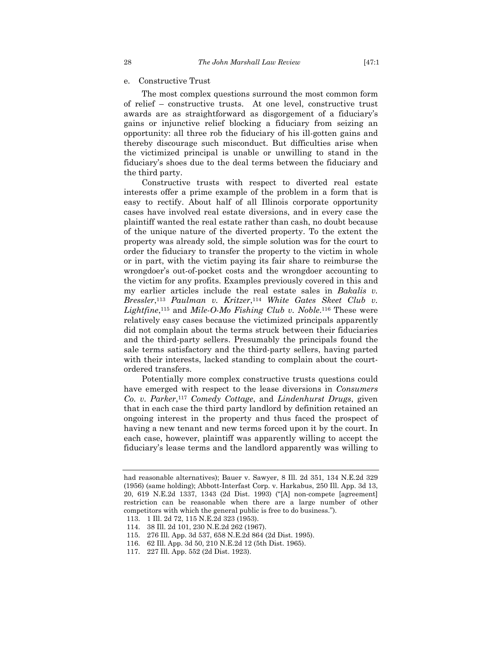e. Constructive Trust

The most complex questions surround the most common form of relief – constructive trusts. At one level, constructive trust awards are as straightforward as disgorgement of a fiduciary's gains or injunctive relief blocking a fiduciary from seizing an opportunity: all three rob the fiduciary of his ill-gotten gains and thereby discourage such misconduct. But difficulties arise when the victimized principal is unable or unwilling to stand in the fiduciary's shoes due to the deal terms between the fiduciary and the third party.

Constructive trusts with respect to diverted real estate interests offer a prime example of the problem in a form that is easy to rectify. About half of all Illinois corporate opportunity cases have involved real estate diversions, and in every case the plaintiff wanted the real estate rather than cash, no doubt because of the unique nature of the diverted property. To the extent the property was already sold, the simple solution was for the court to order the fiduciary to transfer the property to the victim in whole or in part, with the victim paying its fair share to reimburse the wrongdoer's out-of-pocket costs and the wrongdoer accounting to the victim for any profits. Examples previously covered in this and my earlier articles include the real estate sales in *Bakalis v. Bressler*,113 *Paulman v. Kritzer*,114 *White Gates Skeet Club v. Lightfine*,115 and *Mile-O-Mo Fishing Club v. Noble*.116 These were relatively easy cases because the victimized principals apparently did not complain about the terms struck between their fiduciaries and the third-party sellers. Presumably the principals found the sale terms satisfactory and the third-party sellers, having parted with their interests, lacked standing to complain about the courtordered transfers.

Potentially more complex constructive trusts questions could have emerged with respect to the lease diversions in *Consumers Co. v. Parker*,117 *Comedy Cottage*, and *Lindenhurst Drugs*, given that in each case the third party landlord by definition retained an ongoing interest in the property and thus faced the prospect of having a new tenant and new terms forced upon it by the court. In each case, however, plaintiff was apparently willing to accept the fiduciary's lease terms and the landlord apparently was willing to

had reasonable alternatives); Bauer v. Sawyer, 8 Ill. 2d 351, 134 N.E.2d 329 (1956) (same holding); Abbott-Interfast Corp. v. Harkabus, 250 Ill. App. 3d 13, 20, 619 N.E.2d 1337, 1343 (2d Dist. 1993) ("[A] non-compete [agreement] restriction can be reasonable when there are a large number of other competitors with which the general public is free to do business.").

 <sup>113. 1</sup> Ill. 2d 72, 115 N.E.2d 323 (1953).

 <sup>114. 38</sup> Ill. 2d 101, 230 N.E.2d 262 (1967).

 <sup>115. 276</sup> Ill. App. 3d 537, 658 N.E.2d 864 (2d Dist. 1995).

 <sup>116. 62</sup> Ill. App. 3d 50, 210 N.E.2d 12 (5th Dist. 1965).

 <sup>117. 227</sup> Ill. App. 552 (2d Dist. 1923).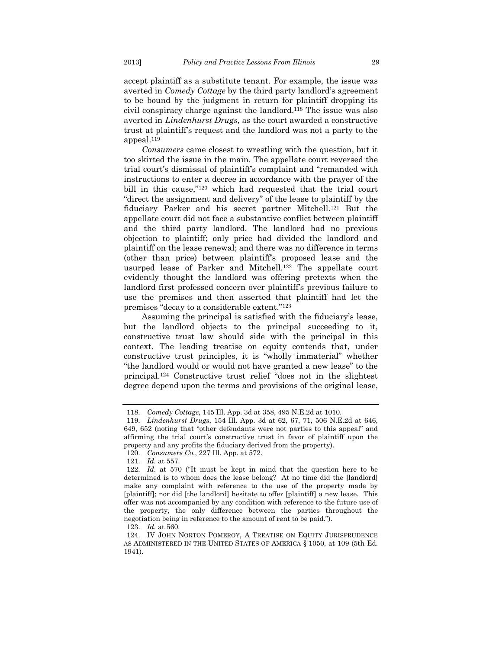accept plaintiff as a substitute tenant. For example, the issue was averted in *Comedy Cottage* by the third party landlord's agreement to be bound by the judgment in return for plaintiff dropping its civil conspiracy charge against the landlord.118 The issue was also averted in *Lindenhurst Drugs*, as the court awarded a constructive trust at plaintiff's request and the landlord was not a party to the appeal.119

*Consumers* came closest to wrestling with the question, but it too skirted the issue in the main. The appellate court reversed the trial court's dismissal of plaintiff's complaint and "remanded with instructions to enter a decree in accordance with the prayer of the bill in this cause,"120 which had requested that the trial court "direct the assignment and delivery" of the lease to plaintiff by the fiduciary Parker and his secret partner Mitchell.121 But the appellate court did not face a substantive conflict between plaintiff and the third party landlord. The landlord had no previous objection to plaintiff; only price had divided the landlord and plaintiff on the lease renewal; and there was no difference in terms (other than price) between plaintiff's proposed lease and the usurped lease of Parker and Mitchell.122 The appellate court evidently thought the landlord was offering pretexts when the landlord first professed concern over plaintiff's previous failure to use the premises and then asserted that plaintiff had let the premises "decay to a considerable extent."123

Assuming the principal is satisfied with the fiduciary's lease, but the landlord objects to the principal succeeding to it, constructive trust law should side with the principal in this context. The leading treatise on equity contends that, under constructive trust principles, it is "wholly immaterial" whether "the landlord would or would not have granted a new lease" to the principal.124 Constructive trust relief "does not in the slightest degree depend upon the terms and provisions of the original lease,

123. *Id.* at 560.

 <sup>118.</sup> *Comedy Cottage*, 145 Ill. App. 3d at 358, 495 N.E.2d at 1010.

 <sup>119.</sup> *Lindenhurst Drugs*, 154 Ill. App. 3d at 62, 67, 71, 506 N.E.2d at 646, 649, 652 (noting that "other defendants were not parties to this appeal" and affirming the trial court's constructive trust in favor of plaintiff upon the property and any profits the fiduciary derived from the property).

 <sup>120.</sup> *Consumers Co.*, 227 Ill. App. at 572.

 <sup>121.</sup> *Id.* at 557.

 <sup>122.</sup> *Id.* at 570 ("It must be kept in mind that the question here to be determined is to whom does the lease belong? At no time did the [landlord] make any complaint with reference to the use of the property made by [plaintiff]; nor did [the landlord] hesitate to offer [plaintiff] a new lease. This offer was not accompanied by any condition with reference to the future use of the property, the only difference between the parties throughout the negotiation being in reference to the amount of rent to be paid.").

 <sup>124.</sup> IV JOHN NORTON POMEROY, A TREATISE ON EQUITY JURISPRUDENCE AS ADMINISTERED IN THE UNITED STATES OF AMERICA § 1050, at 109 (5th Ed. 1941).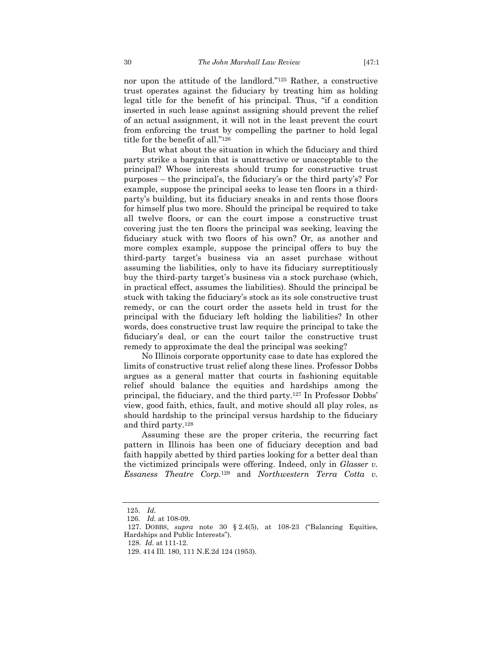nor upon the attitude of the landlord."125 Rather, a constructive trust operates against the fiduciary by treating him as holding legal title for the benefit of his principal. Thus, "if a condition inserted in such lease against assigning should prevent the relief of an actual assignment, it will not in the least prevent the court from enforcing the trust by compelling the partner to hold legal title for the benefit of all."126

But what about the situation in which the fiduciary and third party strike a bargain that is unattractive or unacceptable to the principal? Whose interests should trump for constructive trust purposes – the principal's, the fiduciary's or the third party's? For example, suppose the principal seeks to lease ten floors in a thirdparty's building, but its fiduciary sneaks in and rents those floors for himself plus two more. Should the principal be required to take all twelve floors, or can the court impose a constructive trust covering just the ten floors the principal was seeking, leaving the fiduciary stuck with two floors of his own? Or, as another and more complex example, suppose the principal offers to buy the third-party target's business via an asset purchase without assuming the liabilities, only to have its fiduciary surreptitiously buy the third-party target's business via a stock purchase (which, in practical effect, assumes the liabilities). Should the principal be stuck with taking the fiduciary's stock as its sole constructive trust remedy, or can the court order the assets held in trust for the principal with the fiduciary left holding the liabilities? In other words, does constructive trust law require the principal to take the fiduciary's deal, or can the court tailor the constructive trust remedy to approximate the deal the principal was seeking?

No Illinois corporate opportunity case to date has explored the limits of constructive trust relief along these lines. Professor Dobbs argues as a general matter that courts in fashioning equitable relief should balance the equities and hardships among the principal, the fiduciary, and the third party.127 In Professor Dobbs' view, good faith, ethics, fault, and motive should all play roles, as should hardship to the principal versus hardship to the fiduciary and third party.128

Assuming these are the proper criteria, the recurring fact pattern in Illinois has been one of fiduciary deception and bad faith happily abetted by third parties looking for a better deal than the victimized principals were offering. Indeed, only in *Glasser v. Essaness Theatre Corp.*129 and *Northwestern Terra Cotta v.* 

 <sup>125.</sup> *Id.*

 <sup>126.</sup> *Id.* at 108-09.

 <sup>127.</sup> DOBBS, *supra* note 30 § 2.4(5), at 108-23 ("Balancing Equities, Hardships and Public Interests").

 <sup>128.</sup> *Id.* at 111-12.

<sup>129. 414</sup> Ill. 180, 111 N.E.2d 124 (1953).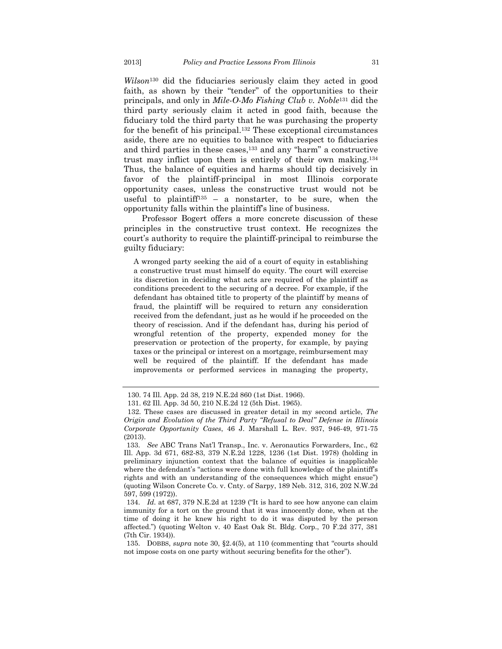*Wilson*130 did the fiduciaries seriously claim they acted in good faith, as shown by their "tender" of the opportunities to their principals, and only in *Mile-O-Mo Fishing Club v. Noble*131 did the third party seriously claim it acted in good faith, because the fiduciary told the third party that he was purchasing the property for the benefit of his principal.132 These exceptional circumstances aside, there are no equities to balance with respect to fiduciaries and third parties in these cases,133 and any "harm" a constructive trust may inflict upon them is entirely of their own making.134 Thus, the balance of equities and harms should tip decisively in favor of the plaintiff-principal in most Illinois corporate opportunity cases, unless the constructive trust would not be useful to plaintiff<sup>135</sup> – a nonstarter, to be sure, when the opportunity falls within the plaintiff's line of business.

Professor Bogert offers a more concrete discussion of these principles in the constructive trust context. He recognizes the court's authority to require the plaintiff-principal to reimburse the guilty fiduciary:

A wronged party seeking the aid of a court of equity in establishing a constructive trust must himself do equity. The court will exercise its discretion in deciding what acts are required of the plaintiff as conditions precedent to the securing of a decree. For example, if the defendant has obtained title to property of the plaintiff by means of fraud, the plaintiff will be required to return any consideration received from the defendant, just as he would if he proceeded on the theory of rescission. And if the defendant has, during his period of wrongful retention of the property, expended money for the preservation or protection of the property, for example, by paying taxes or the principal or interest on a mortgage, reimbursement may well be required of the plaintiff. If the defendant has made improvements or performed services in managing the property,

<sup>130. 74</sup> Ill. App. 2d 38, 219 N.E.2d 860 (1st Dist. 1966).

<sup>131. 62</sup> Ill. App. 3d 50, 210 N.E.2d 12 (5th Dist. 1965).

<sup>132.</sup> These cases are discussed in greater detail in my second article, *The Origin and Evolution of the Third Party "Refusal to Deal" Defense in Illinois Corporate Opportunity Cases*, 46 J. Marshall L. Rev. 937, 946-49, 971-75 (2013).

 <sup>133.</sup> *See* ABC Trans Nat'l Transp., Inc. v. Aeronautics Forwarders, Inc., 62 Ill. App. 3d 671, 682-83, 379 N.E.2d 1228, 1236 (1st Dist. 1978) (holding in preliminary injunction context that the balance of equities is inapplicable where the defendant's "actions were done with full knowledge of the plaintiff's rights and with an understanding of the consequences which might ensue") (quoting Wilson Concrete Co. v. Cnty. of Sarpy, 189 Neb. 312, 316, 202 N.W.2d 597, 599 (1972)).

 <sup>134.</sup> *Id.* at 687, 379 N.E.2d at 1239 ("It is hard to see how anyone can claim immunity for a tort on the ground that it was innocently done, when at the time of doing it he knew his right to do it was disputed by the person affected.") (quoting Welton v. 40 East Oak St. Bldg. Corp., 70 F.2d 377, 381 (7th Cir. 1934)).

 <sup>135.</sup> DOBBS, *supra* note 30, §2.4(5), at 110 (commenting that "courts should not impose costs on one party without securing benefits for the other").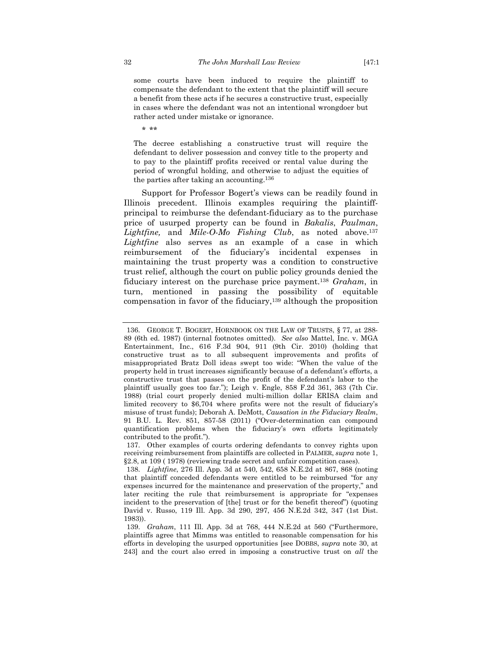some courts have been induced to require the plaintiff to compensate the defendant to the extent that the plaintiff will secure a benefit from these acts if he secures a constructive trust, especially in cases where the defendant was not an intentional wrongdoer but rather acted under mistake or ignorance.

\* \*\*

The decree establishing a constructive trust will require the defendant to deliver possession and convey title to the property and to pay to the plaintiff profits received or rental value during the period of wrongful holding, and otherwise to adjust the equities of the parties after taking an accounting.136

Support for Professor Bogert's views can be readily found in Illinois precedent. Illinois examples requiring the plaintiffprincipal to reimburse the defendant-fiduciary as to the purchase price of usurped property can be found in *Bakalis*, *Paulman*, *Lightfine,* and *Mile-O-Mo Fishing Club*, as noted above.137 *Lightfine* also serves as an example of a case in which reimbursement of the fiduciary's incidental expenses in maintaining the trust property was a condition to constructive trust relief, although the court on public policy grounds denied the fiduciary interest on the purchase price payment.138 *Graham*, in turn, mentioned in passing the possibility of equitable compensation in favor of the fiduciary,139 although the proposition

 <sup>136.</sup> GEORGE T. BOGERT, HORNBOOK ON THE LAW OF TRUSTS, § 77, at 288- 89 (6th ed. 1987) (internal footnotes omitted). *See also* Mattel, Inc. v. MGA Entertainment, Inc., 616 F.3d 904, 911 (9th Cir. 2010) (holding that constructive trust as to all subsequent improvements and profits of misappropriated Bratz Doll ideas swept too wide: "When the value of the property held in trust increases significantly because of a defendant's efforts, a constructive trust that passes on the profit of the defendant's labor to the plaintiff usually goes too far."); Leigh v. Engle, 858 F.2d 361, 363 (7th Cir. 1988) (trial court properly denied multi-million dollar ERISA claim and limited recovery to \$6,704 where profits were not the result of fiduciary's misuse of trust funds); Deborah A. DeMott, *Causation in the Fiduciary Realm*, 91 B.U. L. Rev. 851, 857-58 (2011) ("Over-determination can compound quantification problems when the fiduciary's own efforts legitimately contributed to the profit.").

 <sup>137.</sup> Other examples of courts ordering defendants to convey rights upon receiving reimbursement from plaintiffs are collected in PALMER, *supra* note 1, §2.8, at 109 ( 1978) (reviewing trade secret and unfair competition cases).

 <sup>138.</sup> *Lightfine*, 276 Ill. App. 3d at 540, 542, 658 N.E.2d at 867, 868 (noting that plaintiff conceded defendants were entitled to be reimbursed "for any expenses incurred for the maintenance and preservation of the property," and later reciting the rule that reimbursement is appropriate for "expenses incident to the preservation of [the] trust or for the benefit thereof") (quoting David v. Russo, 119 Ill. App. 3d 290, 297, 456 N.E.2d 342, 347 (1st Dist. 1983)).

 <sup>139.</sup> *Graham*, 111 Ill. App. 3d at 768, 444 N.E.2d at 560 ("Furthermore, plaintiffs agree that Mimms was entitled to reasonable compensation for his efforts in developing the usurped opportunities [see DOBBS, *supra* note 30, at 243] and the court also erred in imposing a constructive trust on *all* the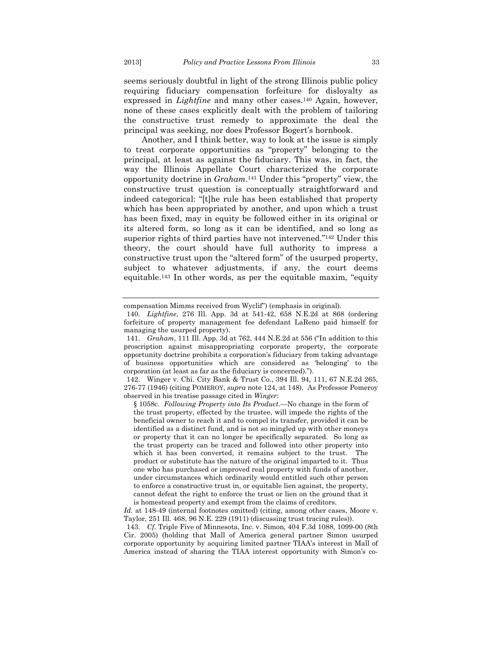seems seriously doubtful in light of the strong Illinois public policy requiring fiduciary compensation forfeiture for disloyalty as expressed in *Lightfine* and many other cases.<sup>140</sup> Again, however, none of these cases explicitly dealt with the problem of tailoring the constructive trust remedy to approximate the deal the principal was seeking, nor does Professor Bogert's hornbook.

Another, and I think better, way to look at the issue is simply to treat corporate opportunities as "property" belonging to the principal, at least as against the fiduciary. This was, in fact, the way the Illinois Appellate Court characterized the corporate opportunity doctrine in *Graham*.141 Under this "property" view, the constructive trust question is conceptually straightforward and indeed categorical: "[t]he rule has been established that property which has been appropriated by another, and upon which a trust has been fixed, may in equity be followed either in its original or its altered form, so long as it can be identified, and so long as superior rights of third parties have not intervened."<sup>142</sup> Under this theory, the court should have full authority to impress a constructive trust upon the "altered form" of the usurped property, subject to whatever adjustments, if any, the court deems equitable.143 In other words, as per the equitable maxim, "equity

compensation Mimms received from Wyclif") (emphasis in original).

 <sup>140.</sup> *Lightfine*, 276 Ill. App. 3d at 541-42, 658 N.E.2d at 868 (ordering forfeiture of property management fee defendant LaReno paid himself for managing the usurped property).

 <sup>141.</sup> *Graham*, 111 Ill. App. 3d at 762, 444 N.E.2d at 556 ("In addition to this proscription against misappropriating corporate property, the corporate opportunity doctrine prohibits a corporation's fiduciary from taking advantage of business opportunities which are considered as 'belonging' to the corporation (at least as far as the fiduciary is concerned).").

 <sup>142.</sup> Winger v. Chi. City Bank & Trust Co., 394 Ill. 94, 111, 67 N.E.2d 265, 276-77 (1946) (citing POMEROY, *supra* note 124, at 148). As Professor Pomeroy observed in his treatise passage cited in *Winger*:

<sup>§ 1058</sup>c. *Following Property into Its Product*.—No change in the form of the trust property, effected by the trustee, will impede the rights of the beneficial owner to reach it and to compel its transfer, provided it can be identified as a distinct fund, and is not so mingled up with other moneys or property that it can no longer be specifically separated. So long as the trust property can be traced and followed into other property into which it has been converted, it remains subject to the trust. The product or substitute has the nature of the original imparted to it. Thus one who has purchased or improved real property with funds of another, under circumstances which ordinarily would entitled such other person to enforce a constructive trust in, or equitable lien against, the property, cannot defeat the right to enforce the trust or lien on the ground that it is homestead property and exempt from the claims of creditors.

*Id.* at 148-49 (internal footnotes omitted) (citing, among other cases, Moore v. Taylor, 251 Ill. 468, 96 N.E. 229 (1911) (discussing trust tracing rules)).

 <sup>143.</sup> *Cf.* Triple Five of Minnesota, Inc. v. Simon*,* 404 F.3d 1088, 1099-00 (8th Cir. 2005) (holding that Mall of America general partner Simon usurped corporate opportunity by acquiring limited partner TIAA's interest in Mall of America instead of sharing the TIAA interest opportunity with Simon's co-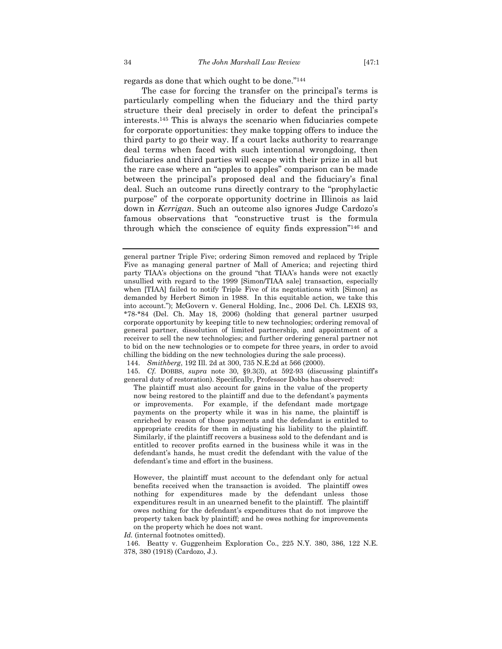regards as done that which ought to be done."144

The case for forcing the transfer on the principal's terms is particularly compelling when the fiduciary and the third party structure their deal precisely in order to defeat the principal's interests.145 This is always the scenario when fiduciaries compete for corporate opportunities: they make topping offers to induce the third party to go their way. If a court lacks authority to rearrange deal terms when faced with such intentional wrongdoing, then fiduciaries and third parties will escape with their prize in all but the rare case where an "apples to apples" comparison can be made between the principal's proposed deal and the fiduciary's final deal. Such an outcome runs directly contrary to the "prophylactic purpose" of the corporate opportunity doctrine in Illinois as laid down in *Kerrigan*. Such an outcome also ignores Judge Cardozo's famous observations that "constructive trust is the formula through which the conscience of equity finds expression"146 and

144. *Smithberg*, 192 Ill. 2d at 300, 735 N.E.2d at 566 (2000).

 145. *Cf.* DOBBS, *supra* note 30, §9.3(3), at 592-93 (discussing plaintiff's general duty of restoration). Specifically, Professor Dobbs has observed:

The plaintiff must also account for gains in the value of the property now being restored to the plaintiff and due to the defendant's payments or improvements. For example, if the defendant made mortgage payments on the property while it was in his name, the plaintiff is enriched by reason of those payments and the defendant is entitled to appropriate credits for them in adjusting his liability to the plaintiff. Similarly, if the plaintiff recovers a business sold to the defendant and is entitled to recover profits earned in the business while it was in the defendant's hands, he must credit the defendant with the value of the defendant's time and effort in the business.

However, the plaintiff must account to the defendant only for actual benefits received when the transaction is avoided. The plaintiff owes nothing for expenditures made by the defendant unless those expenditures result in an unearned benefit to the plaintiff. The plaintiff owes nothing for the defendant's expenditures that do not improve the property taken back by plaintiff; and he owes nothing for improvements on the property which he does not want.

*Id.* (internal footnotes omitted).

 146. Beatty v. Guggenheim Exploration Co., 225 N.Y. 380, 386, 122 N.E. 378, 380 (1918) (Cardozo, J.).

general partner Triple Five; ordering Simon removed and replaced by Triple Five as managing general partner of Mall of America; and rejecting third party TIAA's objections on the ground "that TIAA's hands were not exactly unsullied with regard to the 1999 [Simon/TIAA sale] transaction, especially when [TIAA] failed to notify Triple Five of its negotiations with [Simon] as demanded by Herbert Simon in 1988. In this equitable action, we take this into account."); McGovern v. General Holding, Inc., 2006 Del. Ch. LEXIS 93, \*78-\*84 (Del. Ch. May 18, 2006) (holding that general partner usurped corporate opportunity by keeping title to new technologies; ordering removal of general partner, dissolution of limited partnership, and appointment of a receiver to sell the new technologies; and further ordering general partner not to bid on the new technologies or to compete for three years, in order to avoid chilling the bidding on the new technologies during the sale process).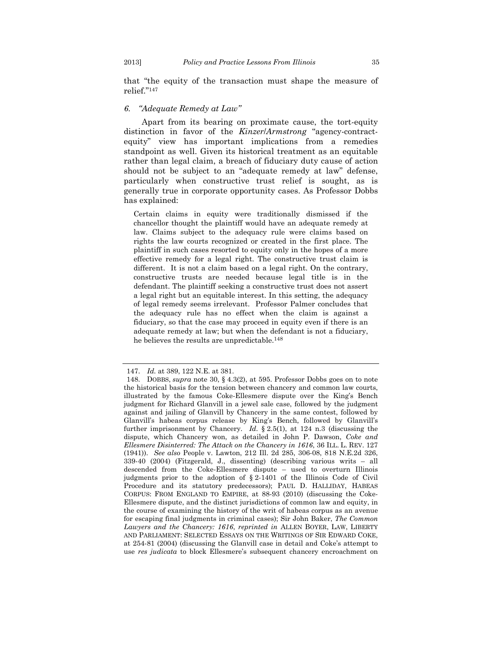that "the equity of the transaction must shape the measure of relief."147

# *6. "Adequate Remedy at Law"*

Apart from its bearing on proximate cause, the tort-equity distinction in favor of the *Kinzer*/*Armstrong* "agency-contractequity" view has important implications from a remedies standpoint as well. Given its historical treatment as an equitable rather than legal claim, a breach of fiduciary duty cause of action should not be subject to an "adequate remedy at law" defense, particularly when constructive trust relief is sought, as is generally true in corporate opportunity cases. As Professor Dobbs has explained:

Certain claims in equity were traditionally dismissed if the chancellor thought the plaintiff would have an adequate remedy at law. Claims subject to the adequacy rule were claims based on rights the law courts recognized or created in the first place. The plaintiff in such cases resorted to equity only in the hopes of a more effective remedy for a legal right. The constructive trust claim is different. It is not a claim based on a legal right. On the contrary, constructive trusts are needed because legal title is in the defendant. The plaintiff seeking a constructive trust does not assert a legal right but an equitable interest. In this setting, the adequacy of legal remedy seems irrelevant. Professor Palmer concludes that the adequacy rule has no effect when the claim is against a fiduciary, so that the case may proceed in equity even if there is an adequate remedy at law; but when the defendant is not a fiduciary, he believes the results are unpredictable.148

 <sup>147.</sup> *Id.* at 389, 122 N.E. at 381.

 <sup>148.</sup> DOBBS, *supra* note 30, § 4.3(2), at 595. Professor Dobbs goes on to note the historical basis for the tension between chancery and common law courts, illustrated by the famous Coke-Ellesmere dispute over the King's Bench judgment for Richard Glanvill in a jewel sale case, followed by the judgment against and jailing of Glanvill by Chancery in the same contest, followed by Glanvill's habeas corpus release by King's Bench, followed by Glanvill's further imprisonment by Chancery. *Id.* § 2.5(1), at 124 n.3 (discussing the dispute, which Chancery won, as detailed in John P. Dawson, *Coke and Ellesmere Disinterred: The Attack on the Chancery in 1616*, 36 ILL. L. REV. 127 (1941)). *See also* People v. Lawton, 212 Ill. 2d 285, 306-08, 818 N.E.2d 326, 339-40 (2004) (Fitzgerald, J., dissenting) (describing various writs – all descended from the Coke-Ellesmere dispute – used to overturn Illinois judgments prior to the adoption of § 2-1401 of the Illinois Code of Civil Procedure and its statutory predecessors); PAUL D. HALLIDAY, HABEAS CORPUS: FROM ENGLAND TO EMPIRE, at 88-93 (2010) (discussing the Coke-Ellesmere dispute, and the distinct jurisdictions of common law and equity, in the course of examining the history of the writ of habeas corpus as an avenue for escaping final judgments in criminal cases); Sir John Baker, *The Common Lawyers and the Chancery: 1616*, *reprinted in* ALLEN BOYER, LAW, LIBERTY AND PARLIAMENT: SELECTED ESSAYS ON THE WRITINGS OF SIR EDWARD COKE, at 254-81 (2004) (discussing the Glanvill case in detail and Coke's attempt to use *res judicata* to block Ellesmere's subsequent chancery encroachment on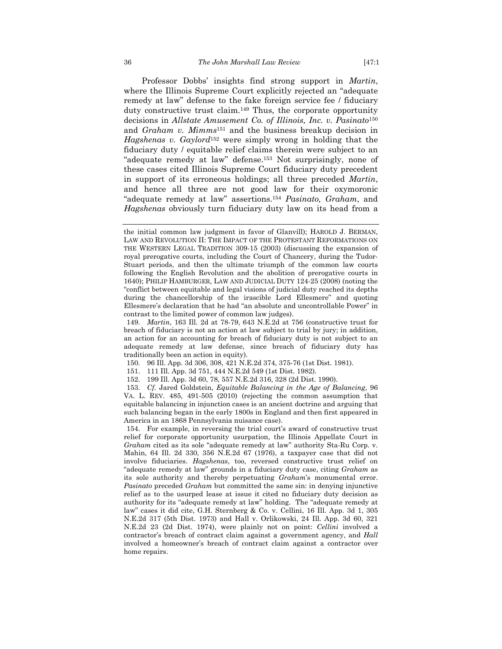Professor Dobbs' insights find strong support in *Martin*, where the Illinois Supreme Court explicitly rejected an "adequate remedy at law" defense to the fake foreign service fee / fiduciary duty constructive trust claim.149 Thus, the corporate opportunity decisions in *Allstate Amusement Co. of Illinois, Inc. v. Pasinato*<sup>150</sup> and *Graham v. Mimms*151 and the business breakup decision in *Hagshenas v. Gaylord*<sup>152</sup> were simply wrong in holding that the fiduciary duty / equitable relief claims therein were subject to an "adequate remedy at law" defense.153 Not surprisingly, none of these cases cited Illinois Supreme Court fiduciary duty precedent in support of its erroneous holdings; all three preceded *Martin*, and hence all three are not good law for their oxymoronic "adequate remedy at law" assertions.154 *Pasinato, Graham*, and *Hagshenas* obviously turn fiduciary duty law on its head from a

- 150. 96 Ill. App. 3d 306, 308, 421 N.E.2d 374, 375-76 (1st Dist. 1981).
- 151. 111 Ill. App. 3d 751, 444 N.E.2d 549 (1st Dist. 1982).
- 152. 199 Ill. App. 3d 60, 78, 557 N.E.2d 316, 328 (2d Dist. 1990).

 153. *Cf.* Jared Goldstein, *Equitable Balancing in the Age of Balancing*, 96 VA. L. REV. 485, 491-505 (2010) (rejecting the common assumption that equitable balancing in injunction cases is an ancient doctrine and arguing that such balancing began in the early 1800s in England and then first appeared in America in an 1868 Pennsylvania nuisance case).

 154. For example, in reversing the trial court's award of constructive trust relief for corporate opportunity usurpation, the Illinois Appellate Court in *Graham* cited as its sole "adequate remedy at law" authority Sta-Ru Corp. v. Mahin, 64 Ill. 2d 330, 356 N.E.2d 67 (1976), a taxpayer case that did not involve fiduciaries. *Hagshenas*, too, reversed constructive trust relief on "adequate remedy at law" grounds in a fiduciary duty case, citing *Graham* as its sole authority and thereby perpetuating *Graham*'s monumental error. *Pasinato* preceded *Graham* but committed the same sin: in denying injunctive relief as to the usurped lease at issue it cited no fiduciary duty decision as authority for its "adequate remedy at law" holding. The "adequate remedy at law" cases it did cite, G.H. Sternberg & Co. v. Cellini, 16 Ill. App. 3d 1, 305 N.E.2d 317 (5th Dist. 1973) and Hall v. Orlikowski, 24 Ill. App. 3d 60, 321 N.E.2d 23 (2d Dist. 1974), were plainly not on point: *Cellini* involved a contractor's breach of contract claim against a government agency, and *Hall* involved a homeowner's breach of contract claim against a contractor over home repairs.

the initial common law judgment in favor of Glanvill); HAROLD J. BERMAN, LAW AND REVOLUTION II: THE IMPACT OF THE PROTESTANT REFORMATIONS ON THE WESTERN LEGAL TRADITION 309-15 (2003) (discussing the expansion of royal prerogative courts, including the Court of Chancery, during the Tudor-Stuart periods, and then the ultimate triumph of the common law courts following the English Revolution and the abolition of prerogative courts in 1640); PHILIP HAMBURGER, LAW AND JUDICIAL DUTY 124-25 (2008) (noting the "conflict between equitable and legal visions of judicial duty reached its depths during the chancellorship of the irascible Lord Ellesmere" and quoting Ellesmere's declaration that he had "an absolute and uncontrollable Power" in contrast to the limited power of common law judges).

 <sup>149.</sup> *Martin*, 163 Ill. 2d at 78-79, 643 N.E.2d at 756 (constructive trust for breach of fiduciary is not an action at law subject to trial by jury; in addition, an action for an accounting for breach of fiduciary duty is not subject to an adequate remedy at law defense, since breach of fiduciary duty has traditionally been an action in equity).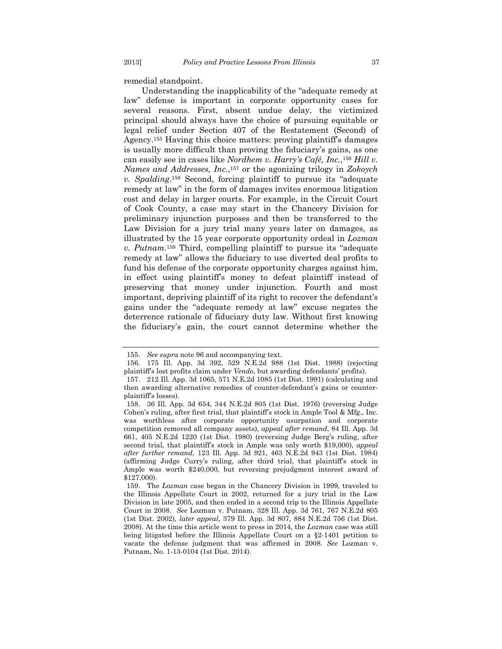remedial standpoint.

Understanding the inapplicability of the "adequate remedy at law" defense is important in corporate opportunity cases for several reasons. First, absent undue delay, the victimized principal should always have the choice of pursuing equitable or legal relief under Section 407 of the Restatement (Second) of Agency.155 Having this choice matters: proving plaintiff's damages is usually more difficult than proving the fiduciary's gains, as one can easily see in cases like *Nordhem v. Harry's Café, Inc.*,156 *Hill v. Names and Addresses, Inc.*,157 or the agonizing trilogy in *Zokoych v. Spalding*.158 Second, forcing plaintiff to pursue its "adequate remedy at law" in the form of damages invites enormous litigation cost and delay in larger courts. For example, in the Circuit Court of Cook County, a case may start in the Chancery Division for preliminary injunction purposes and then be transferred to the Law Division for a jury trial many years later on damages, as illustrated by the 15 year corporate opportunity ordeal in *Lozman v. Putnam*.159 Third, compelling plaintiff to pursue its "adequate remedy at law" allows the fiduciary to use diverted deal profits to fund his defense of the corporate opportunity charges against him, in effect using plaintiff's money to defeat plaintiff instead of preserving that money under injunction. Fourth and most important, depriving plaintiff of its right to recover the defendant's gains under the "adequate remedy at law" excuse negates the deterrence rationale of fiduciary duty law. Without first knowing the fiduciary's gain, the court cannot determine whether the

 <sup>155.</sup> *See supra* note 96 and accompanying text.

 <sup>156. 175</sup> Ill. App. 3d 392, 529 N.E.2d 988 (1st Dist. 1988) (rejecting plaintiff's lost profits claim under *Vendo*, but awarding defendants' profits).

 <sup>157. 212</sup> Ill. App. 3d 1065, 571 N.E.2d 1085 (1st Dist. 1991) (calculating and then awarding alternative remedies of counter-defendant's gains or counterplaintiff's losses).

 <sup>158. 36</sup> Ill. App. 3d 654, 344 N.E.2d 805 (1st Dist. 1976) (reversing Judge Cohen's ruling, after first trial, that plaintiff's stock in Ample Tool & Mfg., Inc. was worthless after corporate opportunity usurpation and corporate competition removed all company assets), *appeal after remand*, 84 Ill. App. 3d 661, 405 N.E.2d 1220 (1st Dist. 1980) (reversing Judge Berg's ruling, after second trial, that plaintiff's stock in Ample was only worth \$19,000), *appeal after further remand*, 123 Ill. App. 3d 921, 463 N.E.2d 943 (1st Dist. 1984) (affirming Judge Curry's ruling, after third trial, that plaintiff's stock in Ample was worth \$240,000, but reversing prejudgment interest award of \$127,000).

 <sup>159.</sup> The *Lozman* case began in the Chancery Division in 1999, traveled to the Illinois Appellate Court in 2002, returned for a jury trial in the Law Division in late 2005, and then ended in a second trip to the Illinois Appellate Court in 2008. *See* Lozman v. Putnam, 328 Ill. App. 3d 761, 767 N.E.2d 805 (1st Dist. 2002), *later appeal*, 379 Ill. App. 3d 807, 884 N.E.2d 756 (1st Dist. 2008). At the time this article went to press in 2014, the *Lozman* case was still being litigated before the Illinois Appellate Court on a §2-1401 petition to vacate the defense judgment that was affirmed in 2008. *See* Lozman v. Putnam, No. 1-13-0104 (1st Dist. 2014).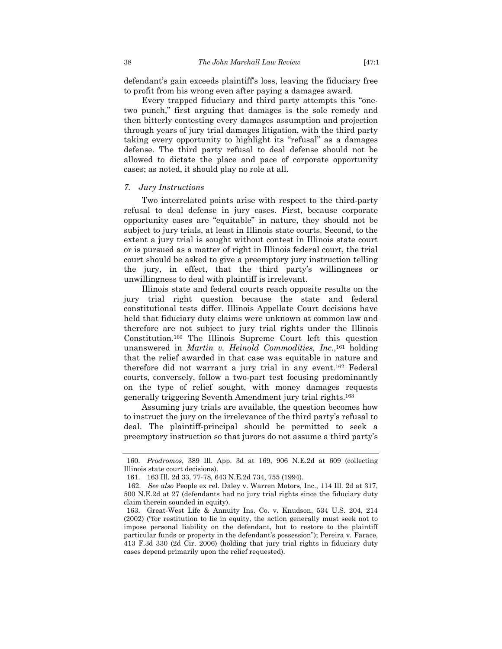defendant's gain exceeds plaintiff's loss, leaving the fiduciary free to profit from his wrong even after paying a damages award.

Every trapped fiduciary and third party attempts this "onetwo punch," first arguing that damages is the sole remedy and then bitterly contesting every damages assumption and projection through years of jury trial damages litigation, with the third party taking every opportunity to highlight its "refusal" as a damages defense. The third party refusal to deal defense should not be allowed to dictate the place and pace of corporate opportunity cases; as noted, it should play no role at all.

#### *7. Jury Instructions*

Two interrelated points arise with respect to the third-party refusal to deal defense in jury cases. First, because corporate opportunity cases are "equitable" in nature, they should not be subject to jury trials, at least in Illinois state courts. Second, to the extent a jury trial is sought without contest in Illinois state court or is pursued as a matter of right in Illinois federal court, the trial court should be asked to give a preemptory jury instruction telling the jury, in effect, that the third party's willingness or unwillingness to deal with plaintiff is irrelevant.

Illinois state and federal courts reach opposite results on the jury trial right question because the state and federal constitutional tests differ. Illinois Appellate Court decisions have held that fiduciary duty claims were unknown at common law and therefore are not subject to jury trial rights under the Illinois Constitution.160 The Illinois Supreme Court left this question unanswered in *Martin v. Heinold Commodities, Inc.*,161 holding that the relief awarded in that case was equitable in nature and therefore did not warrant a jury trial in any event.162 Federal courts, conversely, follow a two-part test focusing predominantly on the type of relief sought, with money damages requests generally triggering Seventh Amendment jury trial rights.163

Assuming jury trials are available, the question becomes how to instruct the jury on the irrelevance of the third party's refusal to deal. The plaintiff-principal should be permitted to seek a preemptory instruction so that jurors do not assume a third party's

 <sup>160.</sup> *Prodromos*, 389 Ill. App. 3d at 169, 906 N.E.2d at 609 (collecting Illinois state court decisions).

 <sup>161. 163</sup> Ill. 2d 33, 77-78, 643 N.E.2d 734, 755 (1994).

<sup>162.</sup> *See also* People ex rel. Daley v. Warren Motors, Inc., 114 Ill. 2d at 317, 500 N.E.2d at 27 (defendants had no jury trial rights since the fiduciary duty claim therein sounded in equity).

 <sup>163.</sup> Great-West Life & Annuity Ins. Co. v. Knudson, 534 U.S. 204, 214 (2002) ("for restitution to lie in equity, the action generally must seek not to impose personal liability on the defendant, but to restore to the plaintiff particular funds or property in the defendant's possession"); Pereira v. Farace, 413 F.3d 330 (2d Cir. 2006) (holding that jury trial rights in fiduciary duty cases depend primarily upon the relief requested).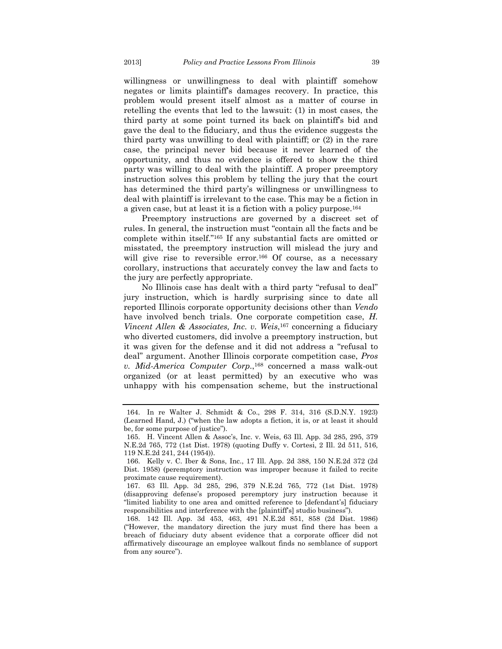willingness or unwillingness to deal with plaintiff somehow negates or limits plaintiff's damages recovery. In practice, this problem would present itself almost as a matter of course in retelling the events that led to the lawsuit: (1) in most cases, the third party at some point turned its back on plaintiff's bid and gave the deal to the fiduciary, and thus the evidence suggests the third party was unwilling to deal with plaintiff; or (2) in the rare case, the principal never bid because it never learned of the opportunity, and thus no evidence is offered to show the third party was willing to deal with the plaintiff. A proper preemptory instruction solves this problem by telling the jury that the court has determined the third party's willingness or unwillingness to deal with plaintiff is irrelevant to the case. This may be a fiction in a given case, but at least it is a fiction with a policy purpose.164

Preemptory instructions are governed by a discreet set of rules. In general, the instruction must "contain all the facts and be complete within itself."165 If any substantial facts are omitted or misstated, the preemptory instruction will mislead the jury and will give rise to reversible error.<sup>166</sup> Of course, as a necessary corollary, instructions that accurately convey the law and facts to the jury are perfectly appropriate.

No Illinois case has dealt with a third party "refusal to deal" jury instruction, which is hardly surprising since to date all reported Illinois corporate opportunity decisions other than *Vendo* have involved bench trials. One corporate competition case, *H. Vincent Allen & Associates, Inc. v. Weis*,<sup>167</sup> concerning a fiduciary who diverted customers, did involve a preemptory instruction, but it was given for the defense and it did not address a "refusal to deal" argument. Another Illinois corporate competition case, *Pros v. Mid-America Computer Corp.*,168 concerned a mass walk-out organized (or at least permitted) by an executive who was unhappy with his compensation scheme, but the instructional

 <sup>164.</sup> In re Walter J. Schmidt & Co., 298 F. 314, 316 (S.D.N.Y. 1923) (Learned Hand, J.) ("when the law adopts a fiction, it is, or at least it should be, for some purpose of justice").

 <sup>165.</sup> H. Vincent Allen & Assoc's, Inc. v. Weis, 63 Ill. App. 3d 285, 295, 379 N.E.2d 765, 772 (1st Dist. 1978) (quoting Duffy v. Cortesi, 2 Ill. 2d 511, 516, 119 N.E.2d 241, 244 (1954)).

 <sup>166.</sup> Kelly v. C. Iber & Sons, Inc., 17 Ill. App. 2d 388, 150 N.E.2d 372 (2d Dist. 1958) (peremptory instruction was improper because it failed to recite proximate cause requirement).

 <sup>167. 63</sup> Ill. App. 3d 285, 296, 379 N.E.2d 765, 772 (1st Dist. 1978) (disapproving defense's proposed peremptory jury instruction because it "limited liability to one area and omitted reference to [defendant's] fiduciary responsibilities and interference with the [plaintiff's] studio business").

 <sup>168. 142</sup> Ill. App. 3d 453, 463, 491 N.E.2d 851, 858 (2d Dist. 1986) ("However, the mandatory direction the jury must find there has been a breach of fiduciary duty absent evidence that a corporate officer did not affirmatively discourage an employee walkout finds no semblance of support from any source").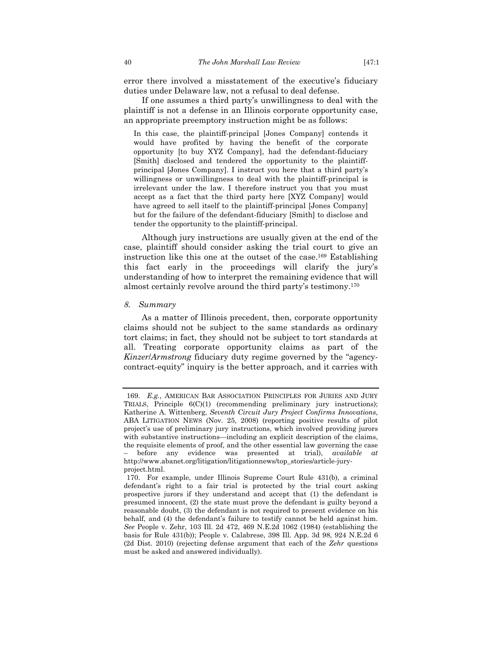error there involved a misstatement of the executive's fiduciary duties under Delaware law, not a refusal to deal defense.

If one assumes a third party's unwillingness to deal with the plaintiff is not a defense in an Illinois corporate opportunity case, an appropriate preemptory instruction might be as follows:

In this case, the plaintiff-principal [Jones Company] contends it would have profited by having the benefit of the corporate opportunity [to buy XYZ Company], had the defendant-fiduciary [Smith] disclosed and tendered the opportunity to the plaintiffprincipal [Jones Company]. I instruct you here that a third party's willingness or unwillingness to deal with the plaintiff-principal is irrelevant under the law. I therefore instruct you that you must accept as a fact that the third party here [XYZ Company] would have agreed to sell itself to the plaintiff-principal [Jones Company] but for the failure of the defendant-fiduciary [Smith] to disclose and tender the opportunity to the plaintiff-principal.

Although jury instructions are usually given at the end of the case, plaintiff should consider asking the trial court to give an instruction like this one at the outset of the case.169 Establishing this fact early in the proceedings will clarify the jury's understanding of how to interpret the remaining evidence that will almost certainly revolve around the third party's testimony.170

#### *8. Summary*

As a matter of Illinois precedent, then, corporate opportunity claims should not be subject to the same standards as ordinary tort claims; in fact, they should not be subject to tort standards at all. Treating corporate opportunity claims as part of the *Kinzer*/*Armstrong* fiduciary duty regime governed by the "agencycontract-equity" inquiry is the better approach, and it carries with

 <sup>169.</sup> *E.g.*, AMERICAN BAR ASSOCIATION PRINCIPLES FOR JURIES AND JURY TRIALS, Principle 6(C)(1) (recommending preliminary jury instructions); Katherine A. Wittenberg, *Seventh Circuit Jury Project Confirms Innovations*, ABA LITIGATION NEWS (Nov. 25, 2008) (reporting positive results of pilot project's use of preliminary jury instructions, which involved providing jurors with substantive instructions—including an explicit description of the claims, the requisite elements of proof, and the other essential law governing the case – before any evidence was presented at trial), *available at* http://www.abanet.org/litigation/litigationnews/top\_stories/article-juryproject.html.

 <sup>170.</sup> For example, under Illinois Supreme Court Rule 431(b), a criminal defendant's right to a fair trial is protected by the trial court asking prospective jurors if they understand and accept that (1) the defendant is presumed innocent, (2) the state must prove the defendant is guilty beyond a reasonable doubt, (3) the defendant is not required to present evidence on his behalf, and (4) the defendant's failure to testify cannot be held against him. *See* People v. Zehr, 103 Ill. 2d 472, 469 N.E.2d 1062 (1984) (establishing the basis for Rule 431(b)); People v. Calabrese, 398 Ill. App. 3d 98, 924 N.E.2d 6 (2d Dist. 2010) (rejecting defense argument that each of the *Zehr* questions must be asked and answered individually).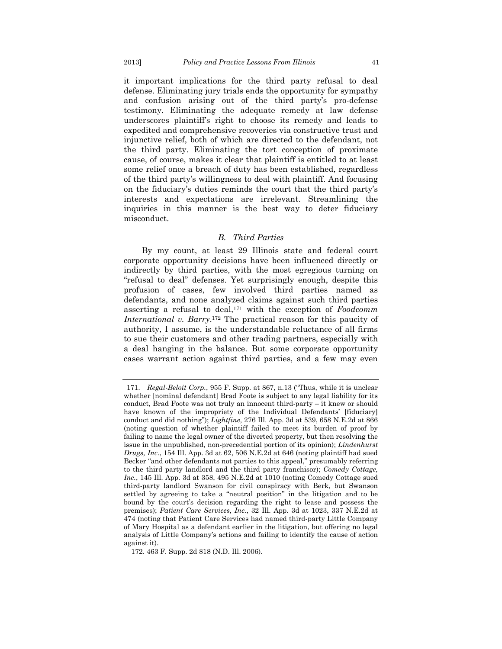it important implications for the third party refusal to deal defense. Eliminating jury trials ends the opportunity for sympathy and confusion arising out of the third party's pro-defense testimony. Eliminating the adequate remedy at law defense underscores plaintiff's right to choose its remedy and leads to expedited and comprehensive recoveries via constructive trust and injunctive relief, both of which are directed to the defendant, not the third party. Eliminating the tort conception of proximate cause, of course, makes it clear that plaintiff is entitled to at least some relief once a breach of duty has been established, regardless of the third party's willingness to deal with plaintiff. And focusing on the fiduciary's duties reminds the court that the third party's interests and expectations are irrelevant. Streamlining the inquiries in this manner is the best way to deter fiduciary misconduct.

#### *B. Third Parties*

By my count, at least 29 Illinois state and federal court corporate opportunity decisions have been influenced directly or indirectly by third parties, with the most egregious turning on "refusal to deal" defenses. Yet surprisingly enough, despite this profusion of cases, few involved third parties named as defendants, and none analyzed claims against such third parties asserting a refusal to deal,171 with the exception of *Foodcomm International v. Barry*.172 The practical reason for this paucity of authority, I assume, is the understandable reluctance of all firms to sue their customers and other trading partners, especially with a deal hanging in the balance. But some corporate opportunity cases warrant action against third parties, and a few may even

 <sup>171.</sup> *Regal-Beloit Corp.*, 955 F. Supp. at 867, n.13 ("Thus, while it is unclear whether [nominal defendant] Brad Foote is subject to any legal liability for its conduct, Brad Foote was not truly an innocent third-party – it knew or should have known of the impropriety of the Individual Defendants' [fiduciary] conduct and did nothing"); *Lightfine,* 276 Ill. App. 3d at 539, 658 N.E.2d at 866 (noting question of whether plaintiff failed to meet its burden of proof by failing to name the legal owner of the diverted property, but then resolving the issue in the unpublished, non-precedential portion of its opinion); *Lindenhurst Drugs, Inc.*, 154 Ill. App. 3d at 62, 506 N.E.2d at 646 (noting plaintiff had sued Becker "and other defendants not parties to this appeal," presumably referring to the third party landlord and the third party franchisor); *Comedy Cottage, Inc.*, 145 Ill. App. 3d at 358, 495 N.E.2d at 1010 (noting Comedy Cottage sued third-party landlord Swanson for civil conspiracy with Berk, but Swanson settled by agreeing to take a "neutral position" in the litigation and to be bound by the court's decision regarding the right to lease and possess the premises); *Patient Care Services, Inc.*, 32 Ill. App. 3d at 1023, 337 N.E.2d at 474 (noting that Patient Care Services had named third-party Little Company of Mary Hospital as a defendant earlier in the litigation, but offering no legal analysis of Little Company's actions and failing to identify the cause of action against it).

<sup>172. 463</sup> F. Supp. 2d 818 (N.D. Ill. 2006).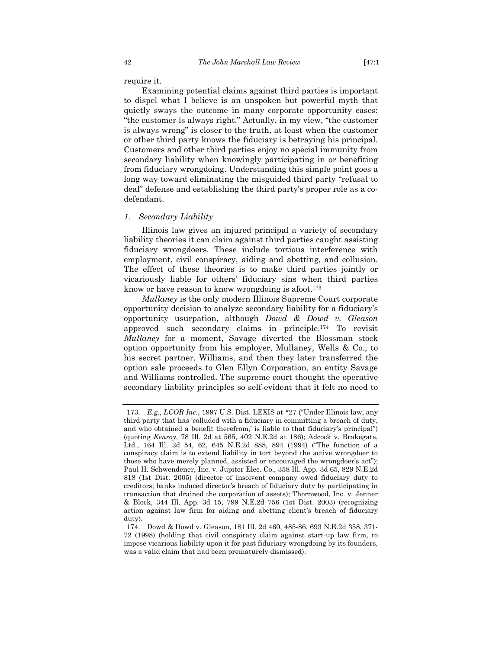require it.

Examining potential claims against third parties is important to dispel what I believe is an unspoken but powerful myth that quietly sways the outcome in many corporate opportunity cases: "the customer is always right." Actually, in my view, "the customer is always wrong" is closer to the truth, at least when the customer or other third party knows the fiduciary is betraying his principal. Customers and other third parties enjoy no special immunity from secondary liability when knowingly participating in or benefiting from fiduciary wrongdoing. Understanding this simple point goes a long way toward eliminating the misguided third party "refusal to deal" defense and establishing the third party's proper role as a codefendant.

# *1. Secondary Liability*

Illinois law gives an injured principal a variety of secondary liability theories it can claim against third parties caught assisting fiduciary wrongdoers. These include tortious interference with employment, civil conspiracy, aiding and abetting, and collusion. The effect of these theories is to make third parties jointly or vicariously liable for others' fiduciary sins when third parties know or have reason to know wrongdoing is afoot.<sup>173</sup>

*Mullaney* is the only modern Illinois Supreme Court corporate opportunity decision to analyze secondary liability for a fiduciary's opportunity usurpation, although *Dowd & Dowd v. Gleason* approved such secondary claims in principle.174 To revisit *Mullaney* for a moment, Savage diverted the Blossman stock option opportunity from his employer, Mullaney, Wells & Co., to his secret partner, Williams, and then they later transferred the option sale proceeds to Glen Ellyn Corporation, an entity Savage and Williams controlled. The supreme court thought the operative secondary liability principles so self-evident that it felt no need to

 <sup>173.</sup> *E.g.*, *LCOR Inc.*, 1997 U.S. Dist. LEXIS at \*27 ("Under Illinois law, any third party that has 'colluded with a fiduciary in committing a breach of duty, and who obtained a benefit therefrom,' is liable to that fiduciary's principal") (quoting *Kenroy*, 78 Ill. 2d at 565, 402 N.E.2d at 186); Adcock v. Brakegate, Ltd., 164 Ill. 2d 54, 62, 645 N.E.2d 888, 894 (1994) ("The function of a conspiracy claim is to extend liability in tort beyond the active wrongdoer to those who have merely planned, assisted or encouraged the wrongdoer's act"); Paul H. Schwendener, Inc. v. Jupiter Elec. Co., 358 Ill. App. 3d 65, 829 N.E.2d 818 (1st Dist. 2005) (director of insolvent company owed fiduciary duty to creditors; banks induced director's breach of fiduciary duty by participating in transaction that drained the corporation of assets); Thornwood, Inc. v. Jenner & Block, 344 Ill. App. 3d 15, 799 N.E.2d 756 (1st Dist. 2003) (recognizing action against law firm for aiding and abetting client's breach of fiduciary duty).

 <sup>174.</sup> Dowd & Dowd v. Gleason, 181 Ill. 2d 460, 485-86, 693 N.E.2d 358, 371- 72 (1998) (holding that civil conspiracy claim against start-up law firm, to impose vicarious liability upon it for past fiduciary wrongdoing by its founders, was a valid claim that had been prematurely dismissed).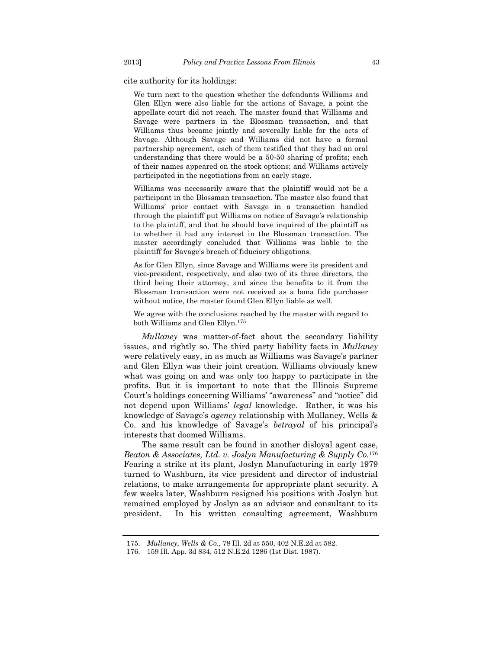cite authority for its holdings:

We turn next to the question whether the defendants Williams and Glen Ellyn were also liable for the actions of Savage, a point the appellate court did not reach. The master found that Williams and Savage were partners in the Blossman transaction, and that Williams thus became jointly and severally liable for the acts of Savage. Although Savage and Williams did not have a formal partnership agreement, each of them testified that they had an oral understanding that there would be a 50-50 sharing of profits; each of their names appeared on the stock options; and Williams actively participated in the negotiations from an early stage.

Williams was necessarily aware that the plaintiff would not be a participant in the Blossman transaction. The master also found that Williams' prior contact with Savage in a transaction handled through the plaintiff put Williams on notice of Savage's relationship to the plaintiff, and that he should have inquired of the plaintiff as to whether it had any interest in the Blossman transaction. The master accordingly concluded that Williams was liable to the plaintiff for Savage's breach of fiduciary obligations.

As for Glen Ellyn, since Savage and Williams were its president and vice-president, respectively, and also two of its three directors, the third being their attorney, and since the benefits to it from the Blossman transaction were not received as a bona fide purchaser without notice, the master found Glen Ellyn liable as well.

We agree with the conclusions reached by the master with regard to both Williams and Glen Ellyn.175

*Mullaney* was matter-of-fact about the secondary liability issues, and rightly so. The third party liability facts in *Mullaney* were relatively easy, in as much as Williams was Savage's partner and Glen Ellyn was their joint creation. Williams obviously knew what was going on and was only too happy to participate in the profits. But it is important to note that the Illinois Supreme Court's holdings concerning Williams' "awareness" and "notice" did not depend upon Williams' *legal* knowledge. Rather, it was his knowledge of Savage's *agency* relationship with Mullaney, Wells & Co. and his knowledge of Savage's *betrayal* of his principal's interests that doomed Williams.

The same result can be found in another disloyal agent case, *Beaton & Associates, Ltd. v. Joslyn Manufacturing & Supply Co.*<sup>176</sup> Fearing a strike at its plant, Joslyn Manufacturing in early 1979 turned to Washburn, its vice president and director of industrial relations, to make arrangements for appropriate plant security. A few weeks later, Washburn resigned his positions with Joslyn but remained employed by Joslyn as an advisor and consultant to its president. In his written consulting agreement, Washburn

 <sup>175.</sup> *Mullaney, Wells & Co.*, 78 Ill. 2d at 550, 402 N.E.2d at 582.

 <sup>176. 159</sup> Ill. App. 3d 834, 512 N.E.2d 1286 (1st Dist. 1987).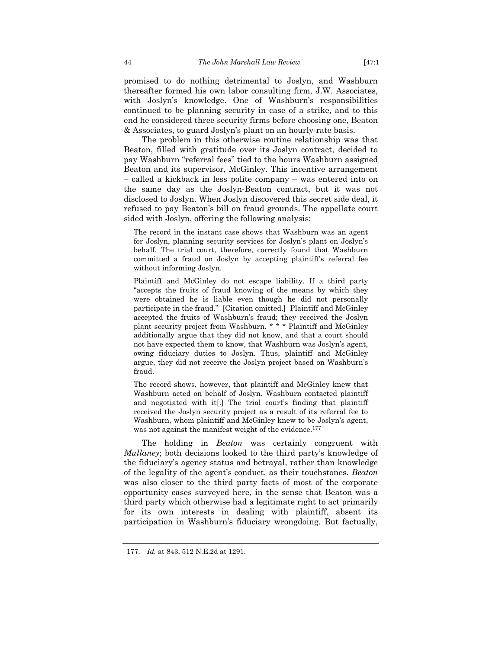promised to do nothing detrimental to Joslyn, and Washburn thereafter formed his own labor consulting firm, J.W. Associates, with Joslyn's knowledge. One of Washburn's responsibilities continued to be planning security in case of a strike, and to this end he considered three security firms before choosing one, Beaton & Associates, to guard Joslyn's plant on an hourly-rate basis.

The problem in this otherwise routine relationship was that Beaton, filled with gratitude over its Joslyn contract, decided to pay Washburn "referral fees" tied to the hours Washburn assigned Beaton and its supervisor, McGinley. This incentive arrangement – called a kickback in less polite company – was entered into on the same day as the Joslyn-Beaton contract, but it was not disclosed to Joslyn. When Joslyn discovered this secret side deal, it refused to pay Beaton's bill on fraud grounds. The appellate court sided with Joslyn, offering the following analysis:

The record in the instant case shows that Washburn was an agent for Joslyn, planning security services for Joslyn's plant on Joslyn's behalf. The trial court, therefore, correctly found that Washburn committed a fraud on Joslyn by accepting plaintiff's referral fee without informing Joslyn.

Plaintiff and McGinley do not escape liability. If a third party "accepts the fruits of fraud knowing of the means by which they were obtained he is liable even though he did not personally participate in the fraud." [Citation omitted.] Plaintiff and McGinley accepted the fruits of Washburn's fraud; they received the Joslyn plant security project from Washburn. \* \* \* Plaintiff and McGinley additionally argue that they did not know, and that a court should not have expected them to know, that Washburn was Joslyn's agent, owing fiduciary duties to Joslyn. Thus, plaintiff and McGinley argue, they did not receive the Joslyn project based on Washburn's fraud.

The record shows, however, that plaintiff and McGinley knew that Washburn acted on behalf of Joslyn. Washburn contacted plaintiff and negotiated with it[.] The trial court's finding that plaintiff received the Joslyn security project as a result of its referral fee to Washburn, whom plaintiff and McGinley knew to be Joslyn's agent, was not against the manifest weight of the evidence.<sup>177</sup>

The holding in *Beaton* was certainly congruent with *Mullaney*; both decisions looked to the third party's knowledge of the fiduciary's agency status and betrayal, rather than knowledge of the legality of the agent's conduct, as their touchstones. *Beaton* was also closer to the third party facts of most of the corporate opportunity cases surveyed here, in the sense that Beaton was a third party which otherwise had a legitimate right to act primarily for its own interests in dealing with plaintiff, absent its participation in Washburn's fiduciary wrongdoing. But factually,

 <sup>177.</sup> *Id.* at 843, 512 N.E.2d at 1291.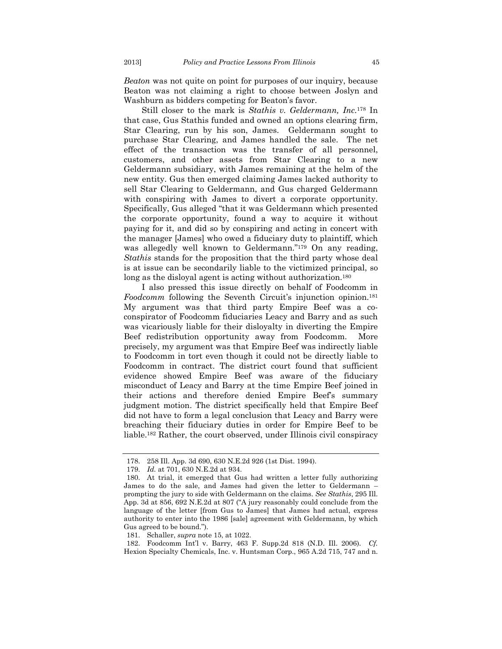*Beaton* was not quite on point for purposes of our inquiry, because Beaton was not claiming a right to choose between Joslyn and Washburn as bidders competing for Beaton's favor.

Still closer to the mark is *Stathis v. Geldermann, Inc.*178 In that case, Gus Stathis funded and owned an options clearing firm, Star Clearing, run by his son, James. Geldermann sought to purchase Star Clearing, and James handled the sale. The net effect of the transaction was the transfer of all personnel, customers, and other assets from Star Clearing to a new Geldermann subsidiary, with James remaining at the helm of the new entity. Gus then emerged claiming James lacked authority to sell Star Clearing to Geldermann, and Gus charged Geldermann with conspiring with James to divert a corporate opportunity. Specifically, Gus alleged "that it was Geldermann which presented the corporate opportunity, found a way to acquire it without paying for it, and did so by conspiring and acting in concert with the manager [James] who owed a fiduciary duty to plaintiff, which was allegedly well known to Geldermann."179 On any reading, *Stathis* stands for the proposition that the third party whose deal is at issue can be secondarily liable to the victimized principal, so long as the disloyal agent is acting without authorization.<sup>180</sup>

I also pressed this issue directly on behalf of Foodcomm in *Foodcomm* following the Seventh Circuit's injunction opinion.181 My argument was that third party Empire Beef was a coconspirator of Foodcomm fiduciaries Leacy and Barry and as such was vicariously liable for their disloyalty in diverting the Empire Beef redistribution opportunity away from Foodcomm. More precisely, my argument was that Empire Beef was indirectly liable to Foodcomm in tort even though it could not be directly liable to Foodcomm in contract. The district court found that sufficient evidence showed Empire Beef was aware of the fiduciary misconduct of Leacy and Barry at the time Empire Beef joined in their actions and therefore denied Empire Beef's summary judgment motion. The district specifically held that Empire Beef did not have to form a legal conclusion that Leacy and Barry were breaching their fiduciary duties in order for Empire Beef to be liable.182 Rather, the court observed, under Illinois civil conspiracy

 <sup>178. 258</sup> Ill. App. 3d 690, 630 N.E.2d 926 (1st Dist. 1994).

 <sup>179.</sup> *Id.* at 701, 630 N.E.2d at 934.

 <sup>180.</sup> At trial, it emerged that Gus had written a letter fully authorizing James to do the sale, and James had given the letter to Geldermann – prompting the jury to side with Geldermann on the claims. *See Stathis*, 295 Ill. App. 3d at 856, 692 N.E.2d at 807 ("A jury reasonably could conclude from the language of the letter [from Gus to James] that James had actual, express authority to enter into the 1986 [sale] agreement with Geldermann, by which Gus agreed to be bound.").

 <sup>181.</sup> Schaller, *supra* note 15, at 1022.

 <sup>182.</sup> Foodcomm Int'l v. Barry, 463 F. Supp.2d 818 (N.D. Ill. 2006). *Cf.* Hexion Specialty Chemicals, Inc. v. Huntsman Corp., 965 A.2d 715, 747 and n.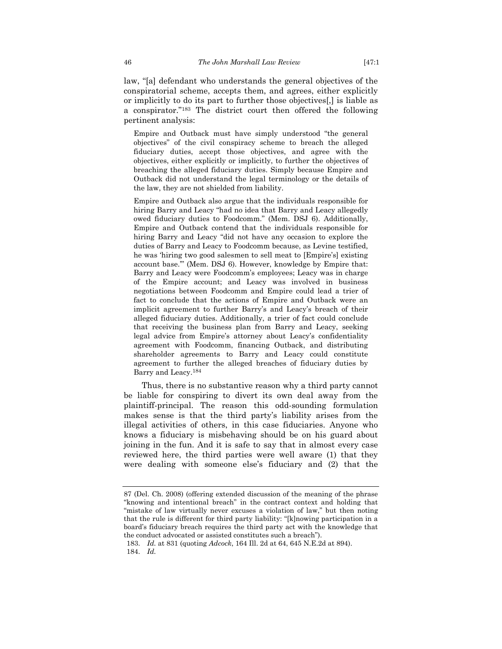law, "[a] defendant who understands the general objectives of the conspiratorial scheme, accepts them, and agrees, either explicitly or implicitly to do its part to further those objectives[,] is liable as a conspirator."183 The district court then offered the following pertinent analysis:

Empire and Outback must have simply understood "the general objectives" of the civil conspiracy scheme to breach the alleged fiduciary duties, accept those objectives, and agree with the objectives, either explicitly or implicitly, to further the objectives of breaching the alleged fiduciary duties. Simply because Empire and Outback did not understand the legal terminology or the details of the law, they are not shielded from liability.

Empire and Outback also argue that the individuals responsible for hiring Barry and Leacy "had no idea that Barry and Leacy allegedly owed fiduciary duties to Foodcomm." (Mem. DSJ 6). Additionally, Empire and Outback contend that the individuals responsible for hiring Barry and Leacy "did not have any occasion to explore the duties of Barry and Leacy to Foodcomm because, as Levine testified, he was 'hiring two good salesmen to sell meat to [Empire's] existing account base.'" (Mem. DSJ 6). However, knowledge by Empire that: Barry and Leacy were Foodcomm's employees; Leacy was in charge of the Empire account; and Leacy was involved in business negotiations between Foodcomm and Empire could lead a trier of fact to conclude that the actions of Empire and Outback were an implicit agreement to further Barry's and Leacy's breach of their alleged fiduciary duties. Additionally, a trier of fact could conclude that receiving the business plan from Barry and Leacy, seeking legal advice from Empire's attorney about Leacy's confidentiality agreement with Foodcomm, financing Outback, and distributing shareholder agreements to Barry and Leacy could constitute agreement to further the alleged breaches of fiduciary duties by Barry and Leacy.184

Thus, there is no substantive reason why a third party cannot be liable for conspiring to divert its own deal away from the plaintiff-principal. The reason this odd-sounding formulation makes sense is that the third party's liability arises from the illegal activities of others, in this case fiduciaries. Anyone who knows a fiduciary is misbehaving should be on his guard about joining in the fun. And it is safe to say that in almost every case reviewed here, the third parties were well aware (1) that they were dealing with someone else's fiduciary and (2) that the

184. *Id.*

<sup>87 (</sup>Del. Ch. 2008) (offering extended discussion of the meaning of the phrase "knowing and intentional breach" in the contract context and holding that "mistake of law virtually never excuses a violation of law," but then noting that the rule is different for third party liability: "[k]nowing participation in a board's fiduciary breach requires the third party act with the knowledge that the conduct advocated or assisted constitutes such a breach").

 <sup>183.</sup> *Id.* at 831 (quoting *Adcock*, 164 Ill. 2d at 64, 645 N.E.2d at 894).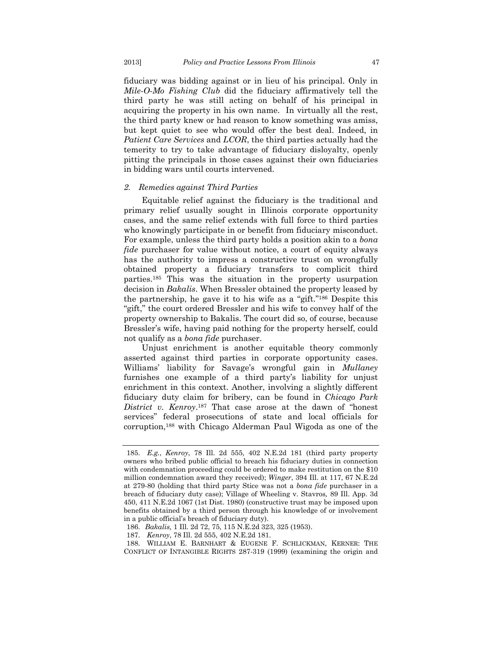fiduciary was bidding against or in lieu of his principal. Only in *Mile-O-Mo Fishing Club* did the fiduciary affirmatively tell the third party he was still acting on behalf of his principal in acquiring the property in his own name. In virtually all the rest, the third party knew or had reason to know something was amiss, but kept quiet to see who would offer the best deal. Indeed, in *Patient Care Services* and *LCOR*, the third parties actually had the temerity to try to take advantage of fiduciary disloyalty, openly pitting the principals in those cases against their own fiduciaries in bidding wars until courts intervened.

#### *2. Remedies against Third Parties*

Equitable relief against the fiduciary is the traditional and primary relief usually sought in Illinois corporate opportunity cases, and the same relief extends with full force to third parties who knowingly participate in or benefit from fiduciary misconduct. For example, unless the third party holds a position akin to a *bona fide* purchaser for value without notice, a court of equity always has the authority to impress a constructive trust on wrongfully obtained property a fiduciary transfers to complicit third parties.185 This was the situation in the property usurpation decision in *Bakalis*. When Bressler obtained the property leased by the partnership, he gave it to his wife as a "gift."186 Despite this "gift," the court ordered Bressler and his wife to convey half of the property ownership to Bakalis. The court did so, of course, because Bressler's wife, having paid nothing for the property herself, could not qualify as a *bona fide* purchaser.

Unjust enrichment is another equitable theory commonly asserted against third parties in corporate opportunity cases. Williams' liability for Savage's wrongful gain in *Mullaney* furnishes one example of a third party's liability for unjust enrichment in this context. Another, involving a slightly different fiduciary duty claim for bribery, can be found in *Chicago Park District v. Kenroy*.187 That case arose at the dawn of "honest services" federal prosecutions of state and local officials for corruption,188 with Chicago Alderman Paul Wigoda as one of the

 <sup>185.</sup> *E.g.*, *Kenroy*, 78 Ill. 2d 555, 402 N.E.2d 181 (third party property owners who bribed public official to breach his fiduciary duties in connection with condemnation proceeding could be ordered to make restitution on the \$10 million condemnation award they received); *Winger*, 394 Ill. at 117, 67 N.E.2d at 279-80 (holding that third party Stice was not a *bona fide* purchaser in a breach of fiduciary duty case); Village of Wheeling v. Stavros*,* 89 Ill. App. 3d 450, 411 N.E.2d 1067 (1st Dist. 1980) (constructive trust may be imposed upon benefits obtained by a third person through his knowledge of or involvement in a public official's breach of fiduciary duty).

 <sup>186.</sup> *Bakalis,* 1 Ill. 2d 72, 75, 115 N.E.2d 323, 325 (1953).

 <sup>187.</sup> *Kenroy*, 78 Ill. 2d 555, 402 N.E.2d 181.

 <sup>188.</sup> WILLIAM E. BARNHART & EUGENE F. SCHLICKMAN, KERNER: THE CONFLICT OF INTANGIBLE RIGHTS 287-319 (1999) (examining the origin and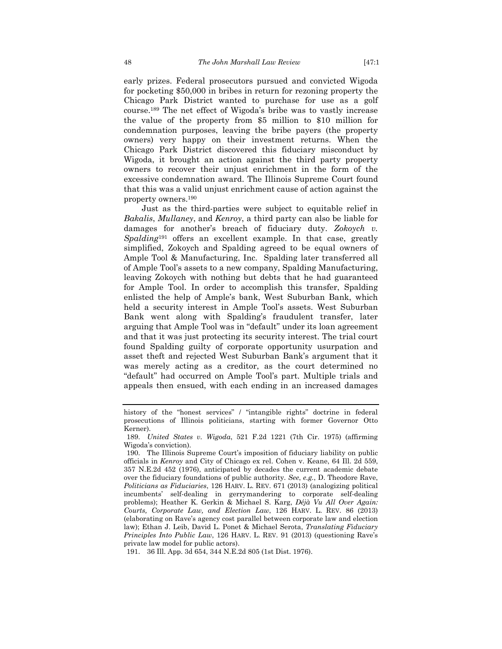early prizes. Federal prosecutors pursued and convicted Wigoda for pocketing \$50,000 in bribes in return for rezoning property the Chicago Park District wanted to purchase for use as a golf course.189 The net effect of Wigoda's bribe was to vastly increase the value of the property from \$5 million to \$10 million for condemnation purposes, leaving the bribe payers (the property owners) very happy on their investment returns. When the Chicago Park District discovered this fiduciary misconduct by Wigoda, it brought an action against the third party property owners to recover their unjust enrichment in the form of the excessive condemnation award. The Illinois Supreme Court found that this was a valid unjust enrichment cause of action against the property owners.190

Just as the third-parties were subject to equitable relief in *Bakalis*, *Mullaney*, and *Kenroy*, a third party can also be liable for damages for another's breach of fiduciary duty. *Zokoych v. Spalding*191 offers an excellent example. In that case, greatly simplified, Zokoych and Spalding agreed to be equal owners of Ample Tool & Manufacturing, Inc. Spalding later transferred all of Ample Tool's assets to a new company, Spalding Manufacturing, leaving Zokoych with nothing but debts that he had guaranteed for Ample Tool. In order to accomplish this transfer, Spalding enlisted the help of Ample's bank, West Suburban Bank, which held a security interest in Ample Tool's assets. West Suburban Bank went along with Spalding's fraudulent transfer, later arguing that Ample Tool was in "default" under its loan agreement and that it was just protecting its security interest. The trial court found Spalding guilty of corporate opportunity usurpation and asset theft and rejected West Suburban Bank's argument that it was merely acting as a creditor, as the court determined no "default" had occurred on Ample Tool's part. Multiple trials and appeals then ensued, with each ending in an increased damages

history of the "honest services" / "intangible rights" doctrine in federal prosecutions of Illinois politicians, starting with former Governor Otto Kerner).

 <sup>189.</sup> *United States v. Wigoda*, 521 F.2d 1221 (7th Cir. 1975) (affirming Wigoda's conviction).

 <sup>190.</sup> The Illinois Supreme Court's imposition of fiduciary liability on public officials in *Kenroy* and City of Chicago ex rel. Cohen v. Keane, 64 Ill. 2d 559, 357 N.E.2d 452 (1976), anticipated by decades the current academic debate over the fiduciary foundations of public authority. *See*, *e.g.*, D. Theodore Rave, *Politicians as Fiduciaries*, 126 HARV. L. REV. 671 (2013) (analogizing political incumbents' self-dealing in gerrymandering to corporate self-dealing problems); Heather K. Gerkin & Michael S. Karg, *Déjà Vu All Over Again: Courts, Corporate Law, and Election Law*, 126 HARV. L. REV. 86 (2013) (elaborating on Rave's agency cost parallel between corporate law and election law); Ethan J. Leib, David L. Ponet & Michael Serota, *Translating Fiduciary Principles Into Public Law*, 126 HARV. L. REV. 91 (2013) (questioning Rave's private law model for public actors).

 <sup>191. 36</sup> Ill. App. 3d 654, 344 N.E.2d 805 (1st Dist. 1976).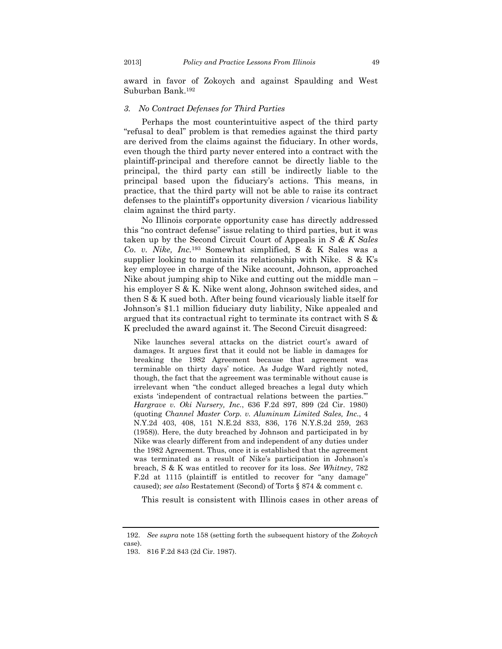award in favor of Zokoych and against Spaulding and West Suburban Bank.192

## *3. No Contract Defenses for Third Parties*

Perhaps the most counterintuitive aspect of the third party "refusal to deal" problem is that remedies against the third party are derived from the claims against the fiduciary. In other words, even though the third party never entered into a contract with the plaintiff-principal and therefore cannot be directly liable to the principal, the third party can still be indirectly liable to the principal based upon the fiduciary's actions. This means, in practice, that the third party will not be able to raise its contract defenses to the plaintiff's opportunity diversion / vicarious liability claim against the third party.

No Illinois corporate opportunity case has directly addressed this "no contract defense" issue relating to third parties, but it was taken up by the Second Circuit Court of Appeals in *S & K Sales Co. v. Nike, Inc.*193 Somewhat simplified, S & K Sales was a supplier looking to maintain its relationship with Nike. S & K's key employee in charge of the Nike account, Johnson, approached Nike about jumping ship to Nike and cutting out the middle man – his employer S & K. Nike went along, Johnson switched sides, and then S & K sued both. After being found vicariously liable itself for Johnson's \$1.1 million fiduciary duty liability, Nike appealed and argued that its contractual right to terminate its contract with S & K precluded the award against it. The Second Circuit disagreed:

Nike launches several attacks on the district court's award of damages. It argues first that it could not be liable in damages for breaking the 1982 Agreement because that agreement was terminable on thirty days' notice. As Judge Ward rightly noted, though, the fact that the agreement was terminable without cause is irrelevant when "the conduct alleged breaches a legal duty which exists 'independent of contractual relations between the parties.'" *Hargrave v. Oki Nursery, Inc.*, 636 F.2d 897, 899 (2d Cir. 1980) (quoting *Channel Master Corp. v. Aluminum Limited Sales, Inc.*, 4 N.Y.2d 403, 408, 151 N.E.2d 833, 836, 176 N.Y.S.2d 259, 263 (1958))*.* Here, the duty breached by Johnson and participated in by Nike was clearly different from and independent of any duties under the 1982 Agreement. Thus, once it is established that the agreement was terminated as a result of Nike's participation in Johnson's breach, S & K was entitled to recover for its loss. *See Whitney*, 782 F.2d at 1115 (plaintiff is entitled to recover for "any damage" caused); *see also* Restatement (Second) of Torts § 874 & comment c.

This result is consistent with Illinois cases in other areas of

 <sup>192.</sup> *See supra* note 158 (setting forth the subsequent history of the *Zokoych* case).

 <sup>193. 816</sup> F.2d 843 (2d Cir. 1987).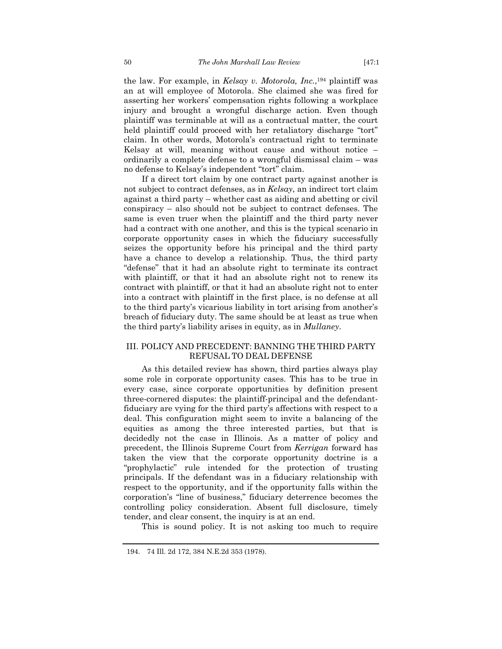the law. For example, in *Kelsay v. Motorola, Inc.*,194 plaintiff was an at will employee of Motorola. She claimed she was fired for asserting her workers' compensation rights following a workplace injury and brought a wrongful discharge action. Even though plaintiff was terminable at will as a contractual matter, the court held plaintiff could proceed with her retaliatory discharge "tort" claim. In other words, Motorola's contractual right to terminate Kelsay at will, meaning without cause and without notice – ordinarily a complete defense to a wrongful dismissal claim – was no defense to Kelsay's independent "tort" claim.

If a direct tort claim by one contract party against another is not subject to contract defenses, as in *Kelsay*, an indirect tort claim against a third party – whether cast as aiding and abetting or civil conspiracy – also should not be subject to contract defenses. The same is even truer when the plaintiff and the third party never had a contract with one another, and this is the typical scenario in corporate opportunity cases in which the fiduciary successfully seizes the opportunity before his principal and the third party have a chance to develop a relationship. Thus, the third party "defense" that it had an absolute right to terminate its contract with plaintiff, or that it had an absolute right not to renew its contract with plaintiff, or that it had an absolute right not to enter into a contract with plaintiff in the first place, is no defense at all to the third party's vicarious liability in tort arising from another's breach of fiduciary duty. The same should be at least as true when the third party's liability arises in equity, as in *Mullaney*.

# III. POLICY AND PRECEDENT: BANNING THE THIRD PARTY REFUSAL TO DEAL DEFENSE

As this detailed review has shown, third parties always play some role in corporate opportunity cases. This has to be true in every case, since corporate opportunities by definition present three-cornered disputes: the plaintiff-principal and the defendantfiduciary are vying for the third party's affections with respect to a deal. This configuration might seem to invite a balancing of the equities as among the three interested parties, but that is decidedly not the case in Illinois. As a matter of policy and precedent, the Illinois Supreme Court from *Kerrigan* forward has taken the view that the corporate opportunity doctrine is a "prophylactic" rule intended for the protection of trusting principals. If the defendant was in a fiduciary relationship with respect to the opportunity, and if the opportunity falls within the corporation's "line of business," fiduciary deterrence becomes the controlling policy consideration. Absent full disclosure, timely tender, and clear consent, the inquiry is at an end.

This is sound policy. It is not asking too much to require

 <sup>194. 74</sup> Ill. 2d 172, 384 N.E.2d 353 (1978).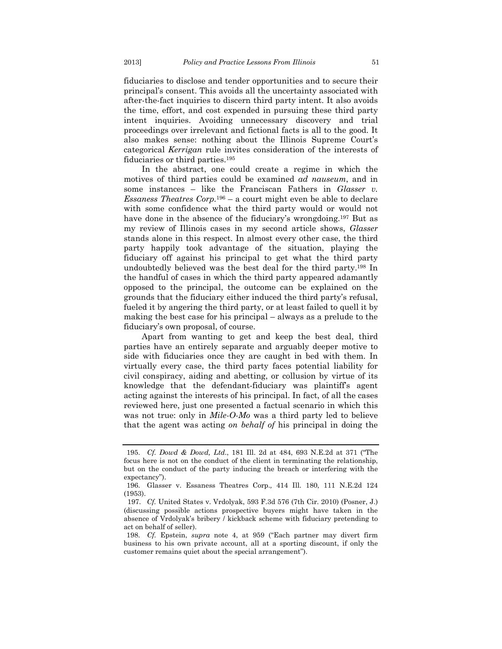fiduciaries to disclose and tender opportunities and to secure their principal's consent. This avoids all the uncertainty associated with after-the-fact inquiries to discern third party intent. It also avoids the time, effort, and cost expended in pursuing these third party intent inquiries. Avoiding unnecessary discovery and trial proceedings over irrelevant and fictional facts is all to the good. It also makes sense: nothing about the Illinois Supreme Court's categorical *Kerrigan* rule invites consideration of the interests of fiduciaries or third parties.195

In the abstract, one could create a regime in which the motives of third parties could be examined *ad nauseum*, and in some instances – like the Franciscan Fathers in *Glasser v. Essaness Theatres Corp.*196 – a court might even be able to declare with some confidence what the third party would or would not have done in the absence of the fiduciary's wrongdoing.<sup>197</sup> But as my review of Illinois cases in my second article shows, *Glasser*  stands alone in this respect. In almost every other case, the third party happily took advantage of the situation, playing the fiduciary off against his principal to get what the third party undoubtedly believed was the best deal for the third party.198 In the handful of cases in which the third party appeared adamantly opposed to the principal, the outcome can be explained on the grounds that the fiduciary either induced the third party's refusal, fueled it by angering the third party, or at least failed to quell it by making the best case for his principal – always as a prelude to the fiduciary's own proposal, of course.

Apart from wanting to get and keep the best deal, third parties have an entirely separate and arguably deeper motive to side with fiduciaries once they are caught in bed with them. In virtually every case, the third party faces potential liability for civil conspiracy, aiding and abetting, or collusion by virtue of its knowledge that the defendant-fiduciary was plaintiff's agent acting against the interests of his principal. In fact, of all the cases reviewed here, just one presented a factual scenario in which this was not true: only in *Mile-O-Mo* was a third party led to believe that the agent was acting *on behalf of* his principal in doing the

 <sup>195.</sup> *Cf. Dowd & Dowd, Ltd.*, 181 Ill. 2d at 484, 693 N.E.2d at 371 ("The focus here is not on the conduct of the client in terminating the relationship, but on the conduct of the party inducing the breach or interfering with the expectancy").

 <sup>196.</sup> Glasser v. Essaness Theatres Corp.*,* 414 Ill. 180, 111 N.E.2d 124 (1953).

<sup>197.</sup> *Cf.* United States v. Vrdolyak, 593 F.3d 576 (7th Cir. 2010) (Posner, J.) (discussing possible actions prospective buyers might have taken in the absence of Vrdolyak's bribery / kickback scheme with fiduciary pretending to act on behalf of seller).

 <sup>198.</sup> *Cf.* Epstein, *supra* note 4, at 959 ("Each partner may divert firm business to his own private account, all at a sporting discount, if only the customer remains quiet about the special arrangement").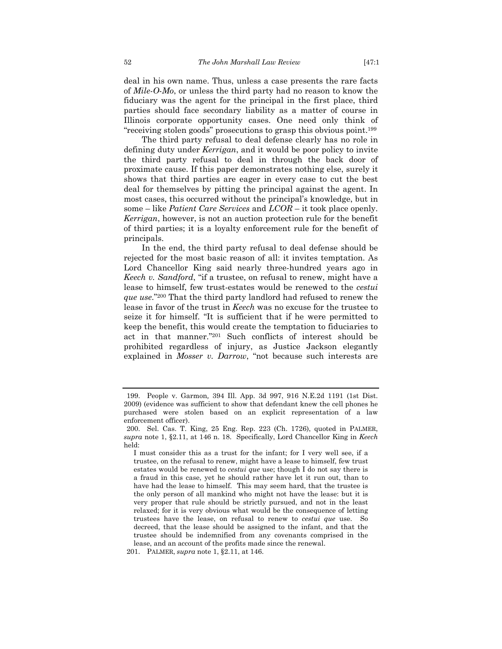deal in his own name. Thus, unless a case presents the rare facts of *Mile-O-Mo*, or unless the third party had no reason to know the fiduciary was the agent for the principal in the first place, third parties should face secondary liability as a matter of course in Illinois corporate opportunity cases. One need only think of "receiving stolen goods" prosecutions to grasp this obvious point.199

The third party refusal to deal defense clearly has no role in defining duty under *Kerrigan*, and it would be poor policy to invite the third party refusal to deal in through the back door of proximate cause. If this paper demonstrates nothing else, surely it shows that third parties are eager in every case to cut the best deal for themselves by pitting the principal against the agent. In most cases, this occurred without the principal's knowledge, but in some – like *Patient Care Services* and *LCOR* – it took place openly. *Kerrigan*, however, is not an auction protection rule for the benefit of third parties; it is a loyalty enforcement rule for the benefit of principals.

In the end, the third party refusal to deal defense should be rejected for the most basic reason of all: it invites temptation. As Lord Chancellor King said nearly three-hundred years ago in *Keech v. Sandford*, "if a trustee, on refusal to renew, might have a lease to himself, few trust-estates would be renewed to the *cestui que use*."200 That the third party landlord had refused to renew the lease in favor of the trust in *Keech* was no excuse for the trustee to seize it for himself. "It is sufficient that if he were permitted to keep the benefit, this would create the temptation to fiduciaries to act in that manner."201 Such conflicts of interest should be prohibited regardless of injury, as Justice Jackson elegantly explained in *Mosser v. Darrow*, "not because such interests are

 <sup>199.</sup> People v. Garmon*,* 394 Ill. App. 3d 997, 916 N.E.2d 1191 (1st Dist. 2009) (evidence was sufficient to show that defendant knew the cell phones he purchased were stolen based on an explicit representation of a law enforcement officer).

 <sup>200.</sup> Sel. Cas. T. King, 25 Eng. Rep. 223 (Ch. 1726), quoted in PALMER, *supra* note 1, §2.11, at 146 n. 18. Specifically, Lord Chancellor King in *Keech* held:

I must consider this as a trust for the infant; for I very well see, if a trustee, on the refusal to renew, might have a lease to himself, few trust estates would be renewed to *cestui que* use; though I do not say there is a fraud in this case, yet he should rather have let it run out, than to have had the lease to himself. This may seem hard, that the trustee is the only person of all mankind who might not have the lease: but it is very proper that rule should be strictly pursued, and not in the least relaxed; for it is very obvious what would be the consequence of letting trustees have the lease, on refusal to renew to *cestui que* use. So decreed, that the lease should be assigned to the infant, and that the trustee should be indemnified from any covenants comprised in the lease, and an account of the profits made since the renewal.

 <sup>201.</sup> PALMER, *supra* note 1, §2.11, at 146.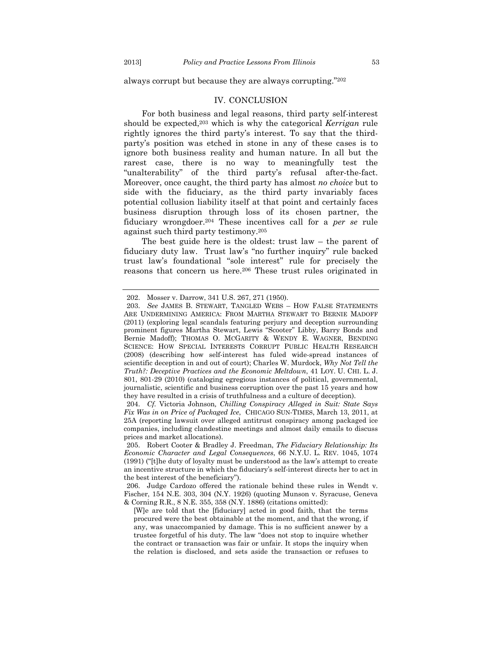always corrupt but because they are always corrupting."202

#### IV. CONCLUSION

For both business and legal reasons, third party self-interest should be expected,203 which is why the categorical *Kerrigan* rule rightly ignores the third party's interest. To say that the thirdparty's position was etched in stone in any of these cases is to ignore both business reality and human nature. In all but the rarest case, there is no way to meaningfully test the "unalterability" of the third party's refusal after-the-fact. Moreover, once caught, the third party has almost *no choice* but to side with the fiduciary, as the third party invariably faces potential collusion liability itself at that point and certainly faces business disruption through loss of its chosen partner, the fiduciary wrongdoer.204 These incentives call for a *per se* rule against such third party testimony.205

The best guide here is the oldest: trust law – the parent of fiduciary duty law. Trust law's "no further inquiry" rule backed trust law's foundational "sole interest" rule for precisely the reasons that concern us here.206 These trust rules originated in

 <sup>202.</sup> Mosser v. Darrow, 341 U.S. 267, 271 (1950).

 <sup>203.</sup> *See* JAMES B. STEWART, TANGLED WEBS – HOW FALSE STATEMENTS ARE UNDERMINING AMERICA: FROM MARTHA STEWART TO BERNIE MADOFF (2011) (exploring legal scandals featuring perjury and deception surrounding prominent figures Martha Stewart, Lewis "Scooter" Libby, Barry Bonds and Bernie Madoff); THOMAS O. MCGARITY & WENDY E. WAGNER, BENDING SCIENCE: HOW SPECIAL INTERESTS CORRUPT PUBLIC HEALTH RESEARCH (2008) (describing how self-interest has fuled wide-spread instances of scientific deception in and out of court); Charles W. Murdock, *Why Not Tell the Truth?: Deceptive Practices and the Economic Meltdown*, 41 LOY. U. CHI. L. J. 801, 801-29 (2010) (cataloging egregious instances of political, governmental, journalistic, scientific and business corruption over the past 15 years and how they have resulted in a crisis of truthfulness and a culture of deception).

 <sup>204.</sup> *Cf.* Victoria Johnson*, Chilling Conspiracy Alleged in Suit: State Says Fix Was in on Price of Packaged Ice*, CHICAGO SUN-TIMES, March 13, 2011, at 25A (reporting lawsuit over alleged antitrust conspiracy among packaged ice companies, including clandestine meetings and almost daily emails to discuss prices and market allocations).

 <sup>205.</sup> Robert Cooter & Bradley J. Freedman, *The Fiduciary Relationship: Its Economic Character and Legal Consequences*, 66 N.Y.U. L. REV. 1045, 1074 (1991) ("[t]he duty of loyalty must be understood as the law's attempt to create an incentive structure in which the fiduciary's self-interest directs her to act in the best interest of the beneficiary").

 <sup>206.</sup> Judge Cardozo offered the rationale behind these rules in Wendt v. Fischer, 154 N.E. 303, 304 (N.Y. 1926) (quoting Munson v. Syracuse, Geneva & Corning R.R., 8 N.E. 355, 358 (N.Y. 1886) (citations omitted):

<sup>[</sup>W]e are told that the [fiduciary] acted in good faith, that the terms procured were the best obtainable at the moment, and that the wrong, if any, was unaccompanied by damage. This is no sufficient answer by a trustee forgetful of his duty. The law "does not stop to inquire whether the contract or transaction was fair or unfair. It stops the inquiry when the relation is disclosed, and sets aside the transaction or refuses to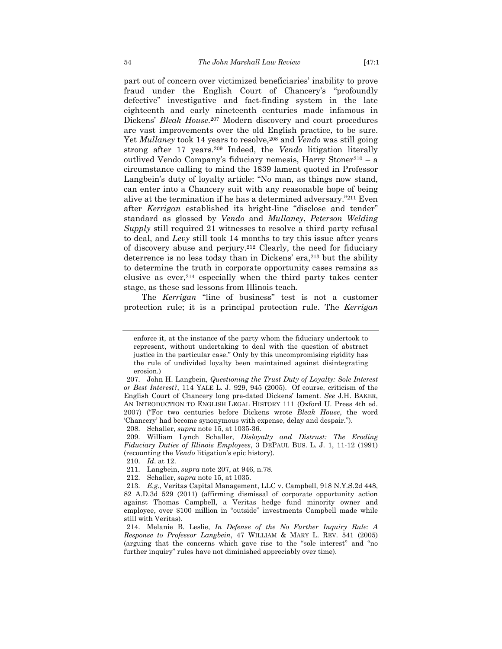part out of concern over victimized beneficiaries' inability to prove fraud under the English Court of Chancery's "profoundly defective" investigative and fact-finding system in the late eighteenth and early nineteenth centuries made infamous in Dickens' *Bleak House*.207 Modern discovery and court procedures are vast improvements over the old English practice, to be sure. Yet *Mullaney* took 14 years to resolve, <sup>208</sup> and *Vendo* was still going strong after 17 years.209 Indeed, the *Vendo* litigation literally outlived Vendo Company's fiduciary nemesis, Harry Stoner210 – a circumstance calling to mind the 1839 lament quoted in Professor Langbein's duty of loyalty article: "No man, as things now stand, can enter into a Chancery suit with any reasonable hope of being alive at the termination if he has a determined adversary."211 Even after *Kerrigan* established its bright-line "disclose and tender" standard as glossed by *Vendo* and *Mullaney*, *Peterson Welding Supply* still required 21 witnesses to resolve a third party refusal to deal, and *Levy* still took 14 months to try this issue after years of discovery abuse and perjury.212 Clearly, the need for fiduciary deterrence is no less today than in Dickens' era,213 but the ability to determine the truth in corporate opportunity cases remains as elusive as ever,214 especially when the third party takes center stage, as these sad lessons from Illinois teach.

The *Kerrigan* "line of business" test is not a customer protection rule; it is a principal protection rule. The *Kerrigan*

enforce it, at the instance of the party whom the fiduciary undertook to represent, without undertaking to deal with the question of abstract justice in the particular case." Only by this uncompromising rigidity has the rule of undivided loyalty been maintained against disintegrating erosion.)

 <sup>207.</sup> John H. Langbein, *Questioning the Trust Duty of Loyalty: Sole Interest or Best Interest?*, 114 YALE L. J. 929, 945 (2005). Of course, criticism of the English Court of Chancery long pre-dated Dickens' lament. *See* J.H. BAKER, AN INTRODUCTION TO ENGLISH LEGAL HISTORY 111 (Oxford U. Press 4th ed. 2007) ("For two centuries before Dickens wrote *Bleak House*, the word 'Chancery' had become synonymous with expense, delay and despair.").

 <sup>208.</sup> Schaller, *supra* note 15, at 1035-36.

 <sup>209.</sup> William Lynch Schaller, *Disloyalty and Distrust: The Eroding Fiduciary Duties of Illinois Employees*, 3 DEPAUL BUS. L. J. 1, 11-12 (1991) (recounting the *Vendo* litigation's epic history).

 <sup>210.</sup> *Id*. at 12.

 <sup>211.</sup> Langbein, *supra* note 207, at 946, n.78.

 <sup>212.</sup> Schaller, *supra* note 15, at 1035.

 <sup>213.</sup> *E.g.*, Veritas Capital Management, LLC v. Campbell, 918 N.Y.S.2d 448, 82 A.D.3d 529 (2011) (affirming dismissal of corporate opportunity action against Thomas Campbell, a Veritas hedge fund minority owner and employee, over \$100 million in "outside" investments Campbell made while still with Veritas).

 <sup>214.</sup> Melanie B. Leslie, *In Defense of the No Further Inquiry Rule: A Response to Professor Langbein*, 47 WILLIAM & MARY L. REV. 541 (2005) (arguing that the concerns which gave rise to the "sole interest" and "no further inquiry" rules have not diminished appreciably over time).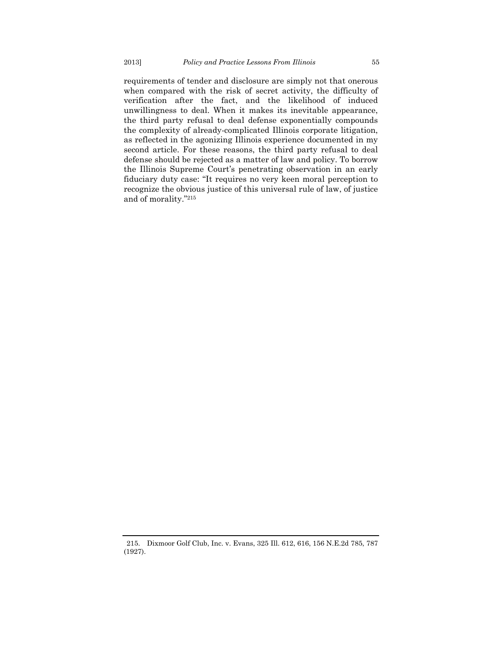requirements of tender and disclosure are simply not that onerous when compared with the risk of secret activity, the difficulty of verification after the fact, and the likelihood of induced unwillingness to deal. When it makes its inevitable appearance, the third party refusal to deal defense exponentially compounds the complexity of already-complicated Illinois corporate litigation, as reflected in the agonizing Illinois experience documented in my second article. For these reasons, the third party refusal to deal defense should be rejected as a matter of law and policy. To borrow the Illinois Supreme Court's penetrating observation in an early fiduciary duty case: "It requires no very keen moral perception to recognize the obvious justice of this universal rule of law, of justice and of morality."215

 <sup>215.</sup> Dixmoor Golf Club, Inc. v. Evans, 325 Ill. 612, 616, 156 N.E.2d 785, 787 (1927).